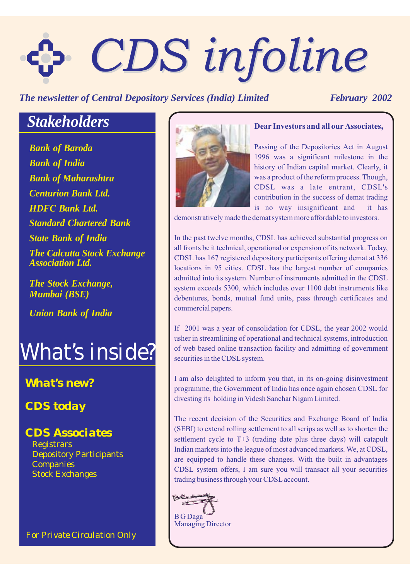# *CDS infoline CDS infoline*

*The newsletter of Central Depository Services (India) Limited February 2002* 

# *Stakeholders*

*Bank of Baroda Bank of Maharashtra Centurion Bank Ltd. HDFC Bank Ltd. Standard Chartered Bank Bank of India State Bank of India The Calcutta Stock Exchange Association Ltd.*

*The Stock Exchange, Mumbai (BSE)*

*Union Bank of India*

# *What's inside?*

# *What's new?*

*CDS today*

# *CDS Associates*

**Registrars** Stock Exchanges Depository Participants **Companies** 

*For Private Circulation Only*



## **Dear Investors and all our Associates,**

Passing of the Depositories Act in August 1996 was a significant milestone in the history of Indian capital market. Clearly, it was a product of the reform process. Though, CDSL was a late entrant, CDSL's contribution in the success of demat trading is no way insignificant and it has

demonstratively made the demat system more affordable to investors.

In the past twelve months, CDSL has achieved substantial progress on all fronts be it technical, operational or expension of its network. Today, CDSL has 167 registered depository participants offering demat at 336 locations in 95 cities. CDSL has the largest number of companies admitted into its system. Number of instruments admitted in the CDSL system exceeds 5300, which includes over 1100 debt instruments like debentures, bonds, mutual fund units, pass through certificates and commercial papers.

If 2001 was a year of consolidation for CDSL, the year 2002 would usher in streamlining of operational and technical systems, introduction of web based online transaction facility and admitting of government securities in the CDSL system.

I am also delighted to inform you that, in its on-going disinvestment programme, the Government of India has once again chosen CDSL for divesting its holding in Videsh Sanchar Nigam Limited.

The recent decision of the Securities and Exchange Board of India (SEBI) to extend rolling settlement to all scrips as well as to shorten the settlement cycle to T+3 (trading date plus three days) will catapult Indian markets into the league of most advanced markets. We, at CDSL, are equipped to handle these changes. With the built in advantages CDSL system offers, I am sure you will transact all your securities trading business through your CDSL account.

**TALE** ستستنيع B G Daga Managing Director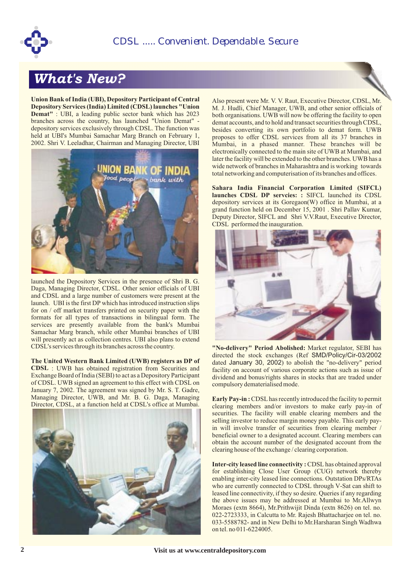

# *What's New?*

**Union Bank of India (UBI), Depository Participant of Central Depository Services (India) Limited (CDSL) launches "Union Demat"** : UBI, a leading public sector bank which has 2023 branches across the country, has launched "Union Demat" depository services exclusively through CDSL. The function was held at UBI's Mumbai Samachar Marg Branch on February 1, 2002. Shri V. Leeladhar, Chairman and Managing Director, UBI



launched the Depository Services in the presence of Shri B. G. Daga, Managing Director, CDSL. Other senior officials of UBI and CDSL and a large number of customers were present at the launch. UBI is the first DP which has introduced instruction slips for on / off market transfers printed on security paper with the formats for all types of transactions in bilingual form. The services are presently available from the bank's Mumbai Samachar Marg branch, while other Mumbai branches of UBI will presently act as collection centres. UBI also plans to extend CDSL's services through its branches across the country.

**The United Western Bank Limited (UWB) registers as DP of CDSL** : UWB has obtained registration from Securities and Exchange Board of India (SEBI) to act as a Depository Participant of CDSL. UWB signed an agreement to this effect with CDSL on January 7, 2002. The agreement was signed by Mr. S. T. Gadre, Managing Director, UWB, and Mr. B. G. Daga, Managing Director, CDSL, at a function held at CDSL's office at Mumbai.



Also present were Mr. V. V. Raut, Executive Director, CDSL, Mr. M. J. Hudli, Chief Manager, UWB, and other senior officials of both organisations. UWB will now be offering the facility to open demat accounts, and to hold and transact securities through CDSL, besides converting its own portfolio to demat form. UWB proposes to offer CDSL services from all its 37 branches in Mumbai, in a phased manner. These branches will be electronically connected to the main site of UWB at Mumbai, and later the facility will be extended to the other branches. UWB has a wide network of branches in Maharashtra and is working towards total networking and computerisation of its branches and offices.

launches CDSL DP servcies: : SIFCL launched its CDSL depository services at its Goregaon(W) office in Mumbai, at a grand function held on December 15, 2001 . Shri Pallav Kumar, Deputy Director, SIFCL and Shri V.V.Raut, Executive Director, CDSL performed the inauguration. **Sahara India Financial Corporation Limited (SIFCL)**



"No-delivery" Period Abolished: Market regulator, SEBI has directed the stock exchanges (Ref SMD/Policy/Cir-03/2002 dated January 30, 2002) to abolish the "no-delivery" period facility on account of various corporate actions such as issue of dividend and bonus/rights shares in stocks that are traded under compulsory dematerialised mode.

**Early Pay-in:** CDSL has recently introduced the facility to permit clearing members and/or investors to make early pay-in of securities. The facility will enable clearing members and the selling investor to reduce margin money payable. This early payin will involve transfer of securities from clearing member / beneficial owner to a designated account. Clearing members can obtain the account number of the designated account from the clearing house of the exchange / clearing corporation.

**Inter-city leased line connectivity: CDSL has obtained approval** for establishing Close User Group (CUG) network thereby enabling inter-city leased line connections. Outstation DPs/RTAs who are currently connected to CDSL through V-Sat can shift to leased line connectivity, if they so desire. Queries if any regarding the above issues may be addressed at Mumbai to Mr.Allwyn Moraes (extn 8664), Mr.Prithwijit Dinda (extn 8626) on tel. no. 022-2723333, in Calcutta to Mr. Rajesh Bhattacharjee on tel. no. 033-5588782- and in New Delhi to Mr.Harsharan Singh Wadhwa on tel. no 011-6224005.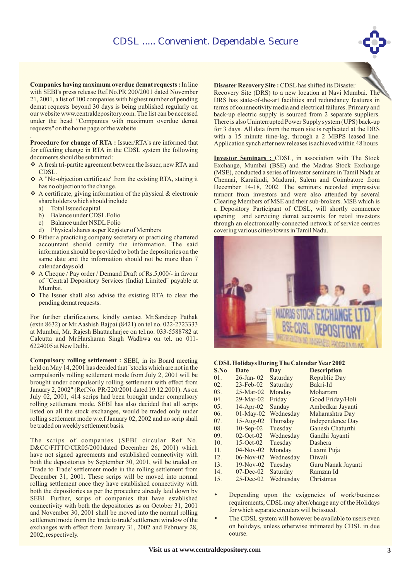**Companies having maximum overdue demat requests :** In line with SEBI's press release Ref.No.PR 200/2001 dated November 21, 2001, a list of 100 companies with highest number of pending demat requests beyond 30 days is being published regularly on our website www.centraldepository.com. The list can be accessed under the head "Companies with maximum overdue demat requests" on the home page of the website

**Procedure for change of RTA :** Issuer/RTA's are informed that . for effecting change in RTA in the CDSL system the following documents should be submitted :

- ❖ A fresh tri-partite agreement between the Issuer, new RTA and CDSL.
- A "No-objection certificate' from the existing RTA, stating it v has no objection to the change.
- $\triangle$  A certificate, giving information of the physical & electronic shareholders which should include
	- a) Total Issued capital<br>b) Balance under CDS
	- b) Balance under CDSL Folio<br>c) Balance under NSDL Folio
	- Balance under NSDL Folio
	- d) Physical shares as per Register of Members
- Either a practicing company secretary or practicing chartered v accountant should certify the information. The said information should be provided to both the depositories on the same date and the information should not be more than 7 calendar days old.
- ◆ A Cheque / Pay order / Demand Draft of Rs.5,000/- in favour of "Central Depository Services (India) Limited" payable at Mumbai.
- \* The Issuer shall also advise the existing RTA to clear the pending demat requests.

For further clarifications, kindly contact Mr.Sandeep Pathak (extn 8632) or Mr.Aashish Bajpai (8421) on tel no. 022-2723333 at Mumbai, Mr. Rajesh Bhattacharjee on tel.no. 033-5588782 at Calcutta and Mr.Harsharan Singh Wadhwa on tel. no 011- 6224005 at New Delhi.

**Compulsory rolling settlement :** SEBI, in its Board meeting held on May 14, 2001 has decided that "stocks which are not in the compulsorily rolling settlement mode from July 2, 2001 will be brought under compulsorily rolling settlement with effect from January 2, 2002" (Ref No. PR/220/2001 dated 19.12.2001). As on July 02, 2001, 414 scrips had been brought under compulsory rolling settlement mode. SEBI has also decided that all scrips listed on all the stock exchanges, would be traded only under rolling settlement mode w.e.f January 02, 2002 and no scrip shall be traded on weekly settlement basis.

The scrips of companies (SEBI circular Ref No. D&CC/FITTC/CIR05/2001dated December 26, 2001) which have not signed agreements and established connectivity with both the depositories by September 30, 2001, will be traded on 'Trade to Trade' settlement mode in the rolling settlement from December 31, 2001. These scrips will be moved into normal rolling settlement once they have established connectivity with both the depositories as per the procedure already laid down by SEBI. Further, scrips of companies that have established connectivity with both the depositories as on October 31, 2001 and November 30, 2001 shall be moved into the normal rolling settlement mode from the 'trade to trade' settlement window of the exchanges with effect from January 31, 2002 and February 28, 2002, respectively.



#### **Disaster Recovery Site :** CDSL has shifted its Disaster

Recovery Site (DRS) to a new location at Navi Mumbai. The DRS has state-of-the-art facilities and redundancy features in terms of connnectivity media and electrical failures. Primary and back-up electric supply is sourced from 2 separate suppliers. There is also Uninterrupted Power Supply system (UPS) back-up for 3 days. All data from the main site is replicated at the DRS with a 15 minute time-lag, through a 2 MBPS leased line. Application synch after new releases is achieved within 48 hours

**Investor Seminars : CDSL, in association with The Stock** Exchange, Mumbai (BSE) and the Madras Stock Exchange (MSE), conducted a series of Investor seminars in Tamil Nadu at Chennai, Karaikudi, Madurai, Salem and Coimbatore from December 14-18, 2002. The seminars recorded impressive turnout from investors and were also attended by several Clearing Members of MSE and their sub-brokers. MSE which is a Depository Participant of CDSL, will shortly commence opening and servicing demat accounts for retail investors through an electronically-connected network of service centres covering various cities/towns in Tamil Nadu.



#### **CDSL Holidays During The Calendar Year 2002**

| S.No | Date            | Day       | <b>Description</b> |
|------|-----------------|-----------|--------------------|
| 01.  | $26 - Jan - 02$ | Saturday  | Republic Day       |
| 02.  | $23$ -Feb-02    | Saturday  | Bakri-Id           |
| 03.  | $25-Mar-02$     | Monday    | Moharram           |
| 04.  | $29-Mar-02$     | Friday    | Good Friday/Holi   |
| 05.  | $14-Apr-02$     | Sunday    | Ambedkar Jayanti   |
| 06.  | $01-May-02$     | Wednesday | Maharashtra Day    |
| 07.  | $15-Aug-02$     | Thursday  | Independence Day   |
| 08.  | $10-Sep-02$     | Tuesday   | Ganesh Chaturthi   |
| 09.  | $02$ -Oct- $02$ | Wednesday | Gandhi Jayanti     |
| 10.  | $15-Oct-02$     | Tuesday   | Dashera            |
| 11.  | $04-Nov-02$     | Monday    | Laxmi Puja         |
| 12.  | $06-Nov-02$     | Wednesday | Diwali             |
| 13.  | $19-Nov-02$     | Tuesday   | Guru Nanak Jayanti |
| 14.  | $07 - Dec-02$   | Saturday  | Ramzan Id          |
| 15.  | $25$ -Dec-02    | Wednesday | Christmas          |
|      |                 |           |                    |

- Depending upon the exigencies of work/business requirements, CDSL may alter/change any of the Holidays for which separate circulars will be issued. •
- The CDSL system will however be available to users even on holidays, unless otherwise intimated by CDSL in due course. •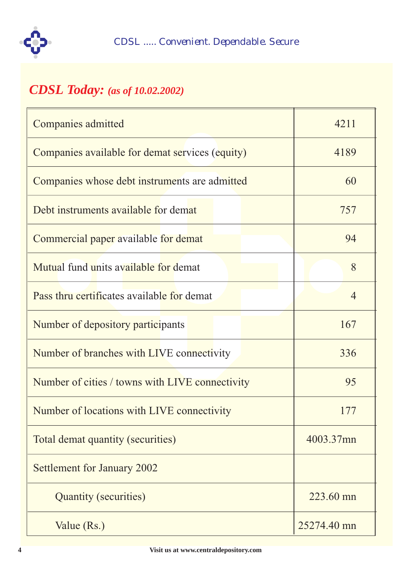

# *CDSL Today: (as of 10.02.2002)*

| Companies admitted                              | 4211           |
|-------------------------------------------------|----------------|
| Companies available for demat services (equity) | 4189           |
| Companies whose debt instruments are admitted   | 60             |
| Debt instruments available for demat            | 757            |
| Commercial paper available for demat            | 94             |
| Mutual fund units available for demat           | 8              |
| Pass thru certificates available for demat      | $\overline{4}$ |
| Number of depository participants               | 167            |
| Number of branches with LIVE connectivity       | 336            |
| Number of cities / towns with LIVE connectivity | 95             |
| Number of locations with LIVE connectivity      | 177            |
| Total demat quantity (securities)               | 4003.37mn      |
| Settlement for January 2002                     |                |
| Quantity (securities)                           | 223.60 mn      |
| Value (Rs.)                                     | 25274.40 mn    |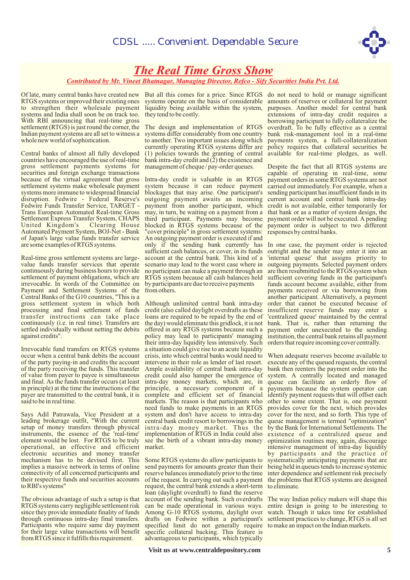

## *The Real Time Gross Show*

#### *Contributed by Mr. Vineet Bhatnagar, Managing Director, Refco - Sify Securities India Pvt. Ltd.*

RTGS systems or improved their existing ones to strengthen their wholesale payment systems and India shall soon be on track too. With RBI announcing that real-time gross settlement (RTGS) is just round the corner, the Indian payment systems are all set to witness a systems differ considerably from one country whole new world of sophistication.

Central banks of almost all fully developed countries have encouraged the use of real-time gross settlement payments systems for securities and foreign exchange transactions because of the virtual agreement that gross settlement systems make wholesale payment systems more immune to widespread financial disruption. Fedwire - Federal Reserve's Fedwire Funds Transfer Service, TARGET - Trans European Automated Real-time Gross Settlement Express Transfer System, CHAPS United Kingdom's Clearing House Automated Payment System, BOJ-Net - Bank of Japan's large value funds transfer service are some examples of RTGS systems.

Real-time gross settlement systems are largevalue funds transfer services that operate continuously during business hours to provide settlement of payment obligations, which are irrevocable. In words of the Committee on Payment and Settlement Systems of the Central Banks of the G10 countries, "This is a gross settlement system in which both processing and final settlement of funds transfer instructions can take place continuously (i.e. in real time). Transfers are settled individually without netting the debits against credits".

Irrevocable fund transfers on RTGS systems occur when a central bank debits the account of the party paying-in and credits the account of the party receiving the funds. This transfer of value from payer to payee is simultaneous and final. As the funds transfer occurs (at least in principle) at the time the instructions of the payer are transmitted to the central bank, it is said to be in real time.

Says Adil Patrawala, Vice President at a leading brokerage outfit, "With the current setup of money transfers through physical instruments, the essence of the 'real-time' element would be lost. For RTGS to be truly operational, an effective and efficient market. electronic securities and money transfer mechanism has to be devised first. This implies a massive network in terms of online connectivity of all concerned participants and their respective funds and securities accounts to RBI's systems"

The obvious advantage of such a setup is that RTGS systems carry negligible settlement risk since they provide immediate finality of funds through continuous intra-day final transfers. Participants who require same day payment for their large value transactions will benefit from RTGS since it fulfills this requirement.

Of late, many central banks have created new But all this comes for a price. Since RTGS do not need to hold or manage significant systems operate on the basis of considerable liquidity being available within the system, they tend to be costly.

> The design and implementation of RTGS to another. Two important issues along which currently operating RTGS systems differ are (1) policies towards the granting of central bank intra-day credit and  $(2)$  the existence and management of cheque / pay-order queues.

> Intra-day credit is valuable in an RTGS system because it can reduce payment blockages that may arise. One participant's outgoing payment awaits an incoming payment from another participant, which may, in turn, be waiting on a payment from a third participant. Payments may become blocked in RTGS systems because of the "cover principle" in gross settlement systems: An outgoing payment order is executed if and only if the sending bank currently has sufficient cash balances, or cover, in its funds account at the central bank. This kind of a scenario may lead to the worst case where in no participant can make a payment through an RTGS system because all cash balances held by participants are due to receive payments from others.

> Although unlimited central bank intra-day credit (also called daylight overdrafts as these loans are required to be repaid by the end of the day) would eliminate this gridlock, it is not offered in any RTGS systems because such a policy may lead to participants' managing their intra-day liquidity less intensively. Such a situation could give rise to an acute liquidity crisis, into which central banks would need to intervene in their role as lender of last resort. Ample availability of central bank intra-day credit could also hamper the emergence of intra-day money markets, which are, in principle, a necessary component of a complete and efficient set of financial markets. The reason is that participants who need funds to make payments in an RTGS system and don't have access to intra-day central bank credit resort to borrowings in the intra-day money market. Thus the implementation of RTGS in India could also see the birth of a vibrant intra-day money

> Some RTGS systems do allow participants to send payments for amounts greater than their reserve balances immediately prior to the time of the request. In carrying out such a payment request, the central bank extends a short-term loan (daylight overdraft) to fund the reserve account of the sending bank. Such overdrafts can be made operational in various ways. Among G-10 RTGS systems, daylight over drafts on Fedwire within a participant's specified limit do not generally require specific collateral backing. This feature is advantageous to participants, which typically

amounts of reserves or collateral for payment purposes. Another model for central bank extensions of intra-day credit requires a borrowing participant to fully collateralize the overdraft. To be fully effective as a central bank risk-management tool in a real-time payments system, a full-collateralization policy requires that collateral securities be available for real-time pledges, as well.

Despite the fact that all RTGS systems are capable of operating in real-time, some payment orders in some RTGS systems are not carried out immediately. For example, when a sending participant has insufficient funds in its current account and central bank intra-day credit is not available, either temporarily for that bank or as a matter of system design, the payment order will not be executed. A pending payment order is subject to two different responses by central banks.

In one case, the payment order is rejected outright and the sender may enter it into an 'internal queue' that assigns priority to outgoing payments. Selected payment orders are then resubmitted to the RTGS system when sufficient covering funds in the participant's funds account become available, either from payments received or via borrowing from another participant. Alternatively, a payment order that cannot be executed because of insufficient reserve funds may enter a 'centralized queue' maintained by the central bank. That is, rather than returning the payment order unexecuted to the sending institution, the central bank retains all payment orders that require incoming cover centrally.

When adequate reserves become available to execute any of the queued requests, the central bank then reenters the payment order into the system. A centrally located and managed queue can facilitate an orderly flow of payments because the system operator can identify payment requests that will offset each other to some extent. That is, one payment provides cover for the next, which provides cover for the next, and so forth. This type of queue management is termed "optimization" by the Bank for International Settlements. The existence of a centralized queue and optimization routines may, again, discourage intensive management of intra-day liquidity by participants and the practice of systematically anticipating payments that are being held in queues tends to increase systemic inter dependence and settlement risk precisely the problems that RTGS systems are designed to eliminate.

The way Indian policy makers will shape this entire design is going to be interesting to watch. Though it takes time for established settlement practices to change, RTGS is all set to make an impact on the Indian markets.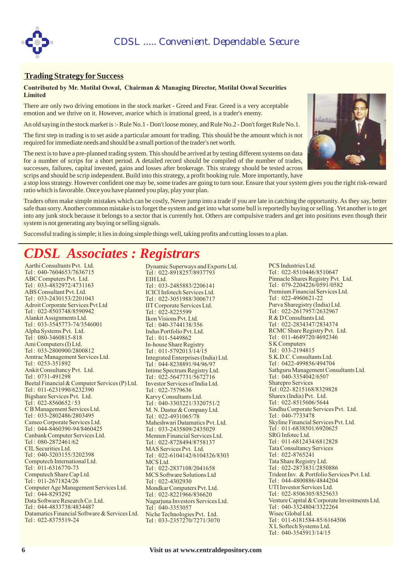



#### **Trading Strategy for Success**

#### **Contributed by Mr. Motilal Oswal, Chairman & Managing Director, Motilal Oswal Securities Limited**

There are only two driving emotions in the stock market - Greed and Fear. Greed is a very acceptable emotion and we thrive on it. However, avarice which is irrational greed, is a trader's enemy.

An old saying in the stock market is :- Rule No.1 - Don't loose money, and Rule No.2 - Don't forget Rule No.1.

The first step in trading is to set aside a particular amount for trading. This should be the amount which is not required for immediate needs and should be a small portion of the trader's net worth.

The next is to have a pre-planned trading system. This should be arrived at by testing different systems on data for a number of scrips for a short period. A detailed record should be compiled of the number of trades, successes, failures, capital invested, gains and losses after brokerage. This strategy should be tested across scrips and should be scrip independent. Build into this strategy, a profit booking rule. More importantly, have



Traders often make simple mistakes which can be costly, Never jump into a trade if you are late in catching the opportunity. As they say, better safe than sorry.Another common mistake is to forget the system and get into what some bull is reportedly buying or selling .Yet another is to get into any junk stock because it belongs to a sector that is currently hot. Others are compulsive traders and get into positions even though their system is not generating any buying or selling signals.

Successful trading is simple; it lies in doing simple things well, taking profits and cutting losses to a plan.

# *CDSL Associates : Registrars*

Aarthi Consultants Pvt. Ltd. Tel : 040-7604653/7636715 ABC Computers Pvt. Ltd. Tel : 033-4832972/4731163 ABS Consultant Pvt. Ltd. Tel : 033-2430153/2201043 Adroit Corporate Services Pvt Ltd Tel : 022-8503748/8590942 Alankit Assignments Ltd. Tel : 033-3545773-74/3546001 Alpha Systems Pvt. Ltd. Tel : 080-3460815-818 Ami Computers (I) Ltd. Tel: 033-2800900/2800812 Amtrac Management Services Ltd. Tel : 0253-351892 Ankit Consultancy Pvt. Ltd. Tel : 0731-491298 Beetal Financial & Computer Services (P) Ltd. Tel : 011-6231990/6232390 Bigshare Services Pvt. Ltd. Tel: 022-8560652/53 C B Management Services Ltd. Tel : 033-2802486/2803495 Cameo Corporate Services Ltd. Tel : 044-8460390-94/8460425 Canbank Computer Services Ltd. Tel : 080-2872461/62 CIL Securities Ltd. Tel : 040-3203155/3202398 Computech International Ltd. Tel : 011-6316770-73 Computech Share Cap Ltd. Tel : 011-2671824/26 Computer Age Management Services Ltd. Tel : 044-8293292 Data Software Research Co. Ltd. Tel : 044-4833738/4834487 Datamatics Financial Software & Services Ltd. Tel : 022-8375519-24

Dynamic Superways and Exports Ltd. Tel : 022-8918257/8937793 EIH Ltd. Tel : 033-2485883/2206141 ICICI Infotech Services Ltd. Tel : 022-3051988/3006717 IIT Corporate Services Ltd. Tel: 022-8225599 Ikon Visions Pvt. Ltd. Tel : 040-3744138/356 Indus Portfolio Pvt. Ltd. Tel : 011-5449862 In-house Share Registry Tel : 011-5792013/14/15 Integrated Enterprises (India) Ltd. Tel : 044-8238891/94/96/97 Intime Spectrum Registry Ltd. Tel : 022-5647731/5672716 Investor Services of India Ltd. Tel : 022-7579636 Karvy Consultants Ltd. Tel : 040-3303221/3320751/2 M. N. Dastur & Company Ltd. Tel : 022-4931065/78 Maheshwari Datamatics Pvt. Ltd. Tel : 033-2435809/2435029 Mennen Financial Services Ltd. Tel : 022-8728494/8758137 MAS Services Pvt. Ltd. Tel : 022-6104142/6104326/8303 MCS Ltd. Tel : 022-2837108/2041658 MCS Software Solutions Ltd Tel : 022-4302930 Mondkar Computers Pvt. Ltd. Tel : 022-8221966/836620 Nagarjuna Investors Services Ltd. Tel : 040-3353057 Niche Technologies Pvt. Ltd. Tel : 033-2357270/7271/3070

Tel : 022-8510446/8510647 Pinnacle Shares Registry Pvt. Ltd. Tel : 079-2204226/0591/0582 Premium Financial Services Ltd. Tel : 022-4960621-22 Purva Sharegistry (India) Ltd. Tel : 022-2617957/2632967 R & D Consultants Ltd. Tel : 022-2834347/2834374 RCMC Share Registry Pvt. Ltd. Tel : 011-4649720/4692346 S K Computers Tel: 033-2194815 S.K.D.C. Consultants Ltd. Tel : 0422-499856/494704 Sathguru Management Consultants Ltd. Tel : 040-3354042/6507 Sharepro Services Tel : 022- 8215168/8329828 Sharex (India) Pvt. Ltd. Tel : 022-8515606/5644 Sindhu Corporate Services Pvt. Ltd. Tel : 040-7733478 Skyline Financial Services Pvt. Ltd. Tel : 011-6838501/6920625 SRG Infotec Ltd. Tel : 011-6812434/6812828 Tata Consultancy Services Tel : 022-8765241 Tata Share Registry Ltd. Tel : 022-2873831/2850886 Trident Inv. & Portfolio Services Pvt. Ltd. Tel : 044-4800886/4844204 UTI Investor Services Ltd. Tel: 022-8506305/8525633 Venture Capital & Corporate Investments Ltd. Tel : 040-3324804/3322264 Wisec Global Ltd. Tel : 011-6181584-85/6164506 X L Softech Systems Ltd. Tel : 040-3545913/14/15

PCS Industries Ltd.

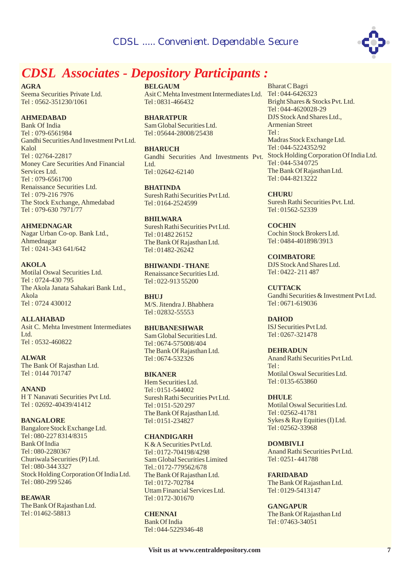

# *CDSL Associates - Depository Participants :*

**AGRA**

Seema Securities Private Ltd. Tel : 0562-351230/1061

#### **AHMEDABAD**

Bank Of India Tel : 079-6561984 Gandhi SecuritiesAnd Investment Pvt Ltd. Kalol Tel : 02764-22817 Money Care Securities And Financial Services Ltd. Tel : 079-6561700 Renaissance Securities Ltd. Tel : 079-216 7976 The Stock Exchange, Ahmedabad Tel : 079-630 7971/77

**AHMEDNAGAR**

Nagar Urban Co-op. Bank Ltd., Ahmednagar Tel : 0241-343 641/642

#### **AKOLA**

Motilal Oswal Securities Ltd. Tel : 0724-430 795 The Akola Janata Sahakari Bank Ltd., Akola Tel : 0724 430012

#### **ALLAHABAD**

Asit C. Mehta Investment Intermediates Ltd. Tel : 0532-460822

**ALWAR**

The Bank Of Rajasthan Ltd. Tel : 0144 701747

**ANAND** H T Nanavati Securities Pvt Ltd. Tel : 02692-40439/41412

#### **BANGALORE**

Bangalore Stock Exchange Ltd. Tel : 080-227 8314/8315 Bank Of India Tel : 080-2280367 Churiwala Securities (P) Ltd. Tel : 080-344 3327 Stock Holding Corporation Of India Ltd. Tel : 080-299 5246

**BEAWAR**

The Bank Of Rajasthan Ltd. Tel : 01462-58813

#### **BELGAUM**

Asit C Mehta Investment Intermediates Ltd. Tel : 044-6426323 Tel : 0831-466432

**BHARATPUR** Sam Global Securities Ltd. Tel : 05644-28008/25438

**BHARUCH** Gandhi Securities And Investments Pvt. Stock Holding Corporation Of India Ltd. L<sub>td</sub> Tel : 02642-62140

**BHATINDA** Suresh Rathi Securities Pvt Ltd. Tel : 0164-2524599

**BHILWARA** Suresh Rathi Securities Pvt Ltd. Tel : 01482 26152 The Bank Of Rajasthan Ltd. Tel : 01482-26242

Renaissance Securities Ltd. Tel : 022-913 55200 **BHIWANDI -THANE**

**BHUJ** M/S. Jitendra J. Bhabhera Tel : 02832-55553

#### **BHUBANESHWAR**

Sam Global Securities Ltd. Tel : 0674-575008/404 The Bank Of Rajasthan Ltd. Tel : 0674-532326

#### **BIKANER**

Hem Securities Ltd. Tel : 0151-544002 Suresh Rathi Securities Pvt Ltd. Tel : 0151-520 297 The Bank Of Rajasthan Ltd. Tel : 0151-234827

#### **CHANDIGARH**

K &A Securities Pvt Ltd. Tel : 0172-704198/4298 Sam Global Securities Limited Tel.: 0172-779562/678 The Bank Of Rajasthan Ltd. Tel : 0172-702784 Uttam Financial Services Ltd. Tel : 0172-301670

**CHENNAI** Bank Of India Tel : 044-5229346-48

Bharat C Bagri Bright Shares & Stocks Pvt. Ltd. Tel : 044-4620028-29 DJS StockAnd Shares Ltd., Armenian Street  $Tel \cdot$ Madras Stock Exchange Ltd. Tel : 044-5224352/92 Tel : 044-534 0725 The Bank Of Rajasthan Ltd. Tel : 044-8213222

Suresh Rathi Securities Pvt. Ltd. Tel : 01562-52339 **CHURU**

Cochin Stock Brokers Ltd. Tel : 0484-401898/3913 **COCHIN**

DJS StockAnd Shares Ltd. Tel : 0422- 211 487 **COIMBATORE**

Gandhi Securities & Investment Pvt Ltd. Tel : 0671-619036 **CUTTACK**

ISJ Securities Pvt Ltd. Tel : 0267-321478 **DAHOD**

Anand Rathi Securities Pvt Ltd.  $T_{\mathsf{P}}$ ]  $\cdot$ Motilal Oswal Securities Ltd. Tel : 0135-653860 **DEHRADUN**

Motilal Oswal Securities Ltd. Tel : 02562-41781 Sykes & Ray Equities (I) Ltd. Tel : 02562-33968 **DHULE**

Anand Rathi Securities Pvt Ltd. Tel : 0251- 441788 **DOMBIVLI**

The Bank Of Rajasthan Ltd. Tel : 0129-5413147 **FARIDABAD**

**GANGAPUR** The Bank Of Rajasthan Ltd Tel : 07463-34051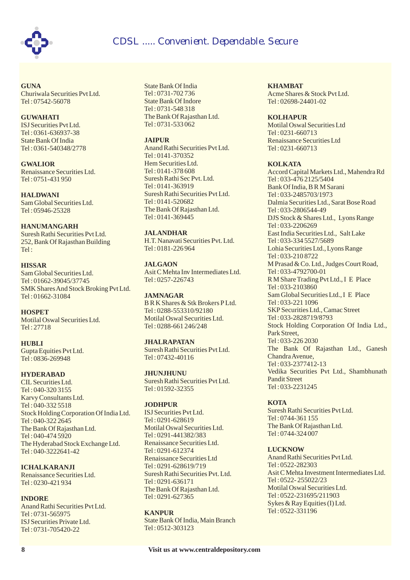

**GUNA** Churiwala Securities Pvt Ltd. Tel : 07542-56078

#### **GUWAHATI** ISJ Securities Pvt Ltd. Tel : 0361-636937-38

State Bank Of India Tel : 0361-540348/2778

**GWALIOR** Renaissance Securities Ltd. Tel : 0751-431 950

**HALDWANI** Sam Global Securities Ltd. Tel : 05946-25328

**HANUMANGARH** Suresh Rathi Securities Pvt Ltd. 252, Bank Of Rajasthan Building Tel :

**HISSAR** Sam Global Securities Ltd. Tel : 01662-39045/37745 SMK Shares And Stock Broking Pvt Ltd. Tel : 01662-31084

**HOSPET** Motilal Oswal Securities Ltd. Tel : 27718

**HUBLI** Gupta Equities Pvt Ltd. Tel: 0836-269948

#### **HYDERABAD**

CIL Securities Ltd. Tel : 040-320 3155 Karvy Consultants Ltd. Tel : 040-332 5518 Stock Holding Corporation Of India Ltd. Tel : 040-322 2645 The Bank Of Rajasthan Ltd. Tel : 040-474 5920 The Hyderabad Stock Exchange Ltd. Tel : 040-3222641-42

**ICHALKARANJI** Renaissance Securities Ltd. Tel : 0230-421 934

#### **INDORE**

Anand Rathi Securities Pvt Ltd. Tel : 0731-565975 ISJ Securities Private Ltd. Tel : 0731-705420-22

State Bank Of India Tel : 0731-702 736 State Bank Of Indore Tel : 0731-548 318 The Bank Of Rajasthan Ltd. Tel : 0731-533 062

#### **JAIPUR**

Anand Rathi Securities Pvt Ltd. Tel : 0141-370352 Hem Securities Ltd. Tel : 0141-378 608 Suresh Rathi Sec Pvt. Ltd. Tel : 0141-363919 Suresh Rathi Securities Pvt Ltd. Tel : 0141-520682 The Bank Of Rajasthan Ltd. Tel : 0141-369445

H.T. Nanavati Securities Pvt. Ltd. Tel : 0181-226 964 **JALANDHAR**

Asit C Mehta Inv Intermediates Ltd. Tel : 0257-226743 **JALGAON**

B R K Shares & Stk Brokers P Ltd. Tel : 0288-553310/92180 Motilal Oswal Securities Ltd. Tel : 0288-661 246/248 **JAMNAGAR**

Suresh Rathi Securities Pvt Ltd. Tel : 07432-40116 **JHALRAPATAN**

Suresh Rathi Securities Pvt Ltd. Tel : 01592-32355 **JHUNJHUNU**

#### **JODHPUR**

ISJ Securities Pvt Ltd. Tel : 0291-628619 Motilal Oswal Securities Ltd. Tel : 0291-441382/383 Renaissance Securities Ltd. Tel : 0291-612374 Renaissance Securities Ltd Tel : 0291-628619/719 Suresh Rathi Securities Pvt. Ltd. Tel : 0291-636171 The Bank Of Rajasthan Ltd. Tel : 0291-627365

State Bank Of India, Main Branch Tel : 0512-303123 **KANPUR**

**KHAMBAT** Acme Shares & Stock Pvt Ltd. Tel : 02698-24401-02

#### **KOLHAPUR**

Motilal Oswal Securities Ltd Tel : 0231-660713 Renaissance Securities Ltd Tel : 0231-660713

#### **KOLKATA**

Accord Capital Markets Ltd., Mahendra Rd Tel : 033-476 2125/5404 Bank Of India, BRM Sarani Tel : 033-2485703/1973 Dalmia Securities Ltd., Sarat Bose Road Tel : 033-2806544-49 DJS Stock & Shares Ltd., Lyons Range Tel : 033-2206269 East India Securities Ltd., Salt Lake Tel : 033-334 5527/5689 Lohia Securities Ltd., Lyons Range Tel : 033-210 8722 M Prasad & Co. Ltd., Judges Court Road, Tel : 033-4792700-01 R M Share Trading Pvt Ltd., I E Place Tel : 033-2103860 Sam Global Securities Ltd., I E Place Tel : 033-221 1096 SKP Securities Ltd., Camac Street Tel : 033-2828719/8793 Stock Holding Corporation Of India Ltd., Park Street, Tel : 033-226 2030 The Bank Of Rajasthan Ltd., Ganesh ChandraAvenue, Tel : 033-2377412-13 Vedika Securities Pvt Ltd., Shambhunath Pandit Street Tel : 033-2231245

#### **KOTA**

Suresh Rathi Securities Pvt Ltd. Tel : 0744-361 155 The Bank Of Rajasthan Ltd. Tel : 0744-324 007

#### **LUCKNOW**

Anand Rathi Securities Pvt Ltd. Tel : 0522-282303 Asit C Mehta Investment Intermediates Ltd. Tel : 0522- 255022/23 Motilal Oswal Securities Ltd. Tel : 0522-231695/211903 Sykes & Ray Equities (I) Ltd. Tel : 0522-331196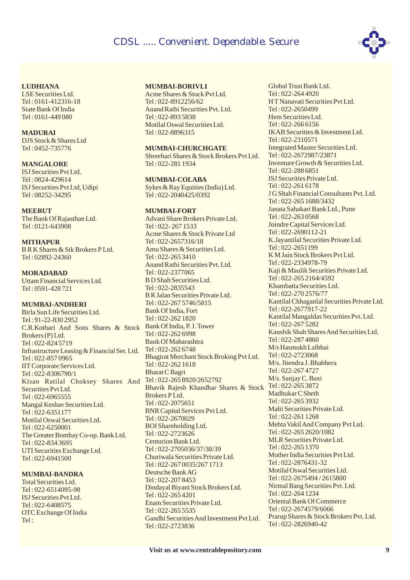

#### **LUDHIANA**

LSE Securities Ltd. Tel : 0161-412316-18 State Bank Of India Tel : 0161-449 080

#### **MADURAI** DJS Stock & Shares Ltd Tel : 0452-735776

**MANGALORE** ISJ Securities Pvt Ltd. Tel : 0824-429614 ISJ Securities Pvt Ltd, Udipi Tel : 08252-34295

#### **MEERUT**

The Bank Of Rajasthan Ltd. Tel : 0121-643908

**MITHAPUR** B R K Shares & Stk Brokers P Ltd. Tel : 02892-24360

## **MORADABAD**

Uttam Financial Services Ltd. Tel : 0591-428 721

#### **MUMBAI-ANDHERI**

Mangal Keshav Securities Ltd. Tel : 022-6351177 Motilal Oswal Securities Ltd. Tel : 022-6250001 UTI Securities Exchange Ltd. Tel : 022-6941500 Birla Sun Life Securities Ltd. Tel : 91-22-830 2952 C.R.Kothari And Sons Shares & Stock Bank Of India, P. J. Tower Brokers (P) Ltd. Tel : 022-824 5719 Infrastructure Leasing & Financial Ser. Ltd. Tel : 022-857 0965 IIT Corporate Services Ltd. Tel : 022-8306790/1 Kisan Ratilal Choksey Shares And Securities Pvt Ltd. Tel : 022-6965555 The Greater Bombay Co-op. Bank Ltd. Tel : 022-834 3695

#### **MUMBAI-BANDRA**

Total Securities Ltd. Tel : 022-6514095-98 ISJ Securities Pvt Ltd. Tel : 022-6408575 OTC Exchange Of India Tel :

#### **MUMBAI-BORIVLI**

Acme Shares & Stock Pvt Ltd. Tel : 022-8912256/62 Anand Rathi Securities Pvt. Ltd. Tel : 022-893 5838 Motilal Oswal Securities Ltd. Tel : 022-8896315

#### **MUMBAI-CHURCHGATE**

Shreehari Shares & Stock Brokers Pvt Ltd. Tel : 022-281 1934

## **MUMBAI-COLABA**

Sykes & Ray Equities (India) Ltd. Tel : 022-2040425/0392

#### **MUMBAI-FORT**

Advani Share Brokers Private Ltd. Tel : 022- 267 1533 Acme Shares & Stock Private Ltd Tel : 022-2657316/18 Amu Shares & Securities Ltd. Tel : 022-265 3410 Anand Rathi Securities Pvt. Ltd. Tel : 022-2377065 B D Shah Securities Ltd. Tel : 022-2835543 B R Jalan Securities Private Ltd. Tel : 022-267 5746/5815 Bank Of India, Fort Tel : 022-262 1820 Tel : 022-262 6998 Bank Of Maharashtra Tel : 022-262 6748 Bhagirat Merchant Stock Broking Pvt Ltd. Tel : 022-262 1618 Bharat C Bagri Tel : 022-265 8920/2652792 Bhavik Rajesh Khandhar Shares & Stock Tel : 022-265 3872 Brokers P Ltd. Tel : 022-2075651 BNR Capital Services Pvt Ltd. Tel : 022-2670029 BOI Shareholding Ltd. Tel : 022-2723626 Centurion Bank Ltd. Tel : 022-2705036/37/38/39 Churiwala Securities Private Ltd. Tel : 022-267 0035/267 1713 Deutsche BankAG Tel : 022-207 8453 Dindayal Biyani Stock Brokers Ltd. Tel : 022-265 4201 Enam Securities Private Ltd. Tel : 022-265 5535 Gandhi SecuritiesAnd Investment Pvt Ltd. Tel : 022-2723836

Global Trust Bank Ltd. Tel : 022-264 4920 H T Nanavati Securities Pvt Ltd. Tel : 022-2650499 Hem Securities Ltd. Tel : 022-266 6156 IKAB Securities & Investment Ltd. Tel : 022-2310571 Integrated Master Securities Ltd. Tel : 022-2672987/23871 Inventure Growth & Securities Ltd. Tel : 022-288 6851 ISJ Securities Private Ltd. Tel : 022-261 6178 J G Shah Financial Consultants Pvt. Ltd. Tel : 022-265 1688/3432 Janata Sahakari Bank Ltd., Pune Tel : 022-263 0568 Joindre Capital Services Ltd. Tel : 022-2690112-21 K.Jayantilal Securities Private Ltd. Tel : 022-2651199 K M Jain Stock Brokers Pvt Ltd. Tel : 022-2334978-79 Kaji & Maulik Securities Private Ltd. Tel : 022-265 2164/4592 Khambatta Securities Ltd. Tel : 022-270 2576/77 Kantilal Chhaganlal Securities Private Ltd. Tel : 022-2677917-22 Kantilal Mangaldas Securities Pvt. Ltd. Tel : 022-267 5282 Kaushik Shah SharesAnd Securities Ltd. Tel : 022-287 4860 M/s Hasmukh Lalbhai Tel : 022-2723068 M/s. Jitendra J. Bhabhera Tel : 022-267 4727 M/s. Sanjay C. Baxi Madhukar C Sheth  $Tel \cdot 022 - 2653932$ Malti Securities Private Ltd. Tel : 022-261 1268 Mehta Vakil And Company Pvt Ltd. Tel : 022-265 2620/1082 MLR Securities Private Ltd. Tel : 022-265 1370 Mother India Securities Pvt Ltd. Tel : 022-2876431-32 Motilal Oswal Securities Ltd. Tel : 022-2675494 / 2615800 Nirmal Bang Securities Pvt. Ltd. Tel : 022-264 1234 Oriental Bank Of Commerce Tel : 022-2674579/6066 Prarup Shares & Stock Brokers Pvt. Ltd. Tel : 022-2826940-42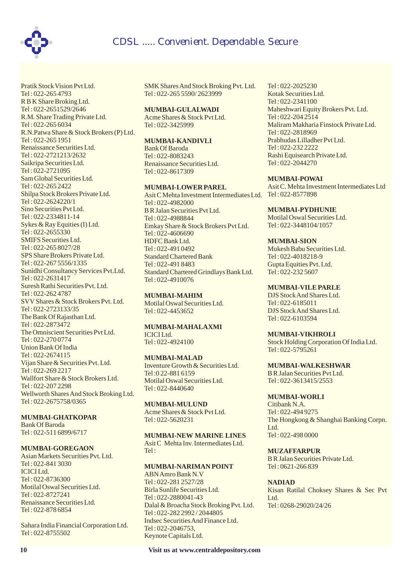

Pratik Stock Vision Pvt Ltd. Tel : 022-265 4793 R B K Share Broking Ltd. Tel : 022-2651529/2646 R.M. Share Trading Private Ltd. Tel : 022-265 6034 R.N.Patwa Share & Stock Brokers (P) Ltd. Tel : 022-265 1951 Renaissance Securities Ltd. Tel : 022-2721213/2632 Saikripa Securities Ltd. Tel : 022-2721095 Sam Global Securities Ltd. Tel : 022-265 2422 Shilpa Stock Brokers Private Ltd. Tel : 022-2624220/1 SMIFS Securities Ltd. Tel : 022-265 8027/28 SPS Share Brokers Private Ltd. Tel : 022-267 5556/1335 Sunidhi Consultancy Services Pvt.Ltd. Tel : 022-2631417 Suresh Rathi Securities Pvt. Ltd. Tel : 022-262 4787 SVV Shares & Stock Brokers Pvt. Ltd. Tel : 022-2723133/35 The Bank Of Rajasthan Ltd. Tel : 022-2873472 The Omniscient Securities Pvt Ltd. Tel : 022-270 0774 Union Bank Of India Tel : 022-2674115 Vijan Share & Securities Pvt. Ltd. Tel : 022-269 2217 Wallfort Share & Stock Brokers Ltd. Tel : 022-207 2298 Wellworth Shares And Stock Broking Ltd. Tel : 022-2675758/0365 Sino Securities Pvt Ltd. Tel : 022-2334811-14 Sykes & Ray Equities (I) Ltd. Tel : 022-2655330

#### **MUMBAI-GHATKOPAR**

Bank Of Baroda Tel : 022-511 6899/6717

#### **MUMBAI-GOREGAON**

Motilal Oswal Securities Ltd. Tel : 022-8727241 Asian Markets Securities Pvt. Ltd. Tel : 022-841 3030 ICICI Ltd. Tel : 022-8736300 Renaissance Securities Ltd. Tel : 022-878 6854

Sahara India Financial Corporation Ltd. Tel : 022-8755502

SMK Shares And Stock Broking Pvt. Ltd. Tel : 022-265 5590/ 2623999

#### **MUMBAI-GULALWADI**

Acme Shares & Stock Pvt Ltd. Tel : 022-3425999

#### **MUMBAI-KANDIVLI**

Bank Of Baroda Tel : 022-8083243 Renaissance Securities Ltd. Tel : 022-8617309

#### **MUMBAI-LOWER PAREL**

Asit C Mehta Investment Intermediates Ltd. Tel : 022-8577898 Tel : 022-4982000 B R Jalan Securities Pvt Ltd. Tel : 022-4988844 Emkay Share & Stock Brokers Pvt Ltd. Tel : 022-4606690 HDFC Bank Ltd. Tel : 022-491 0492 Standard Chartered Bank Tel : 022-491 8483 Standard Chartered Grindlays Bank Ltd. Tel : 022-4910076

Motilal Oswal Securities Ltd. Tel : 022-4453652 **MUMBAI-MAHIM**

ICICI Ltd. Tel : 022-4924100 **MUMBAI-MAHALAXMI**

**MUMBAI-MALAD** Inventure Growth & Securities Ltd. Tel :0 22-881 6159 Motilal Oswal Securities Ltd. Tel : 022-8440640

**MUMBAI-MULUND** Acme Shares & Stock Pvt Ltd. Tel : 022-5620231

Asit C Mehta Inv. Intermediates Ltd.  $T_{\mathsf{P}}$ ]  $\cdot$ **MUMBAI-NEW MARINE LINES**

#### **MUMBAI-NARIMAN POINT**

ABNAmro Bank N.V Tel : 022-281 2527/28 Birla Sunlife Securities Ltd. Tel : 022-2880041-43 Dalal & Broacha Stock Broking Pvt. Ltd. Tel : 022-282 2992 / 2044805 Indsec SecuritiesAnd Finance Ltd. Tel : 022-2046753, Keynote Capitals Ltd.

Tel : 022-2025230 Kotak Securities Ltd. Tel : 022-2341100 Maheshwari Equity Brokers Pvt. Ltd. Tel : 022-204 2514 Maliram Makharia Finstock Private Ltd. Tel : 022-2818969 Prabhudas Lilladher Pvt Ltd. Tel : 022-232 2222 Rashi Equisearch Private Ltd. Tel : 022-2044270

#### **MUMBAI-POWAI**

Asit C. Mehta Investment Intermediates Ltd

**MUMBAI-PYDHUNIE**

Motilal Oswal Securities Ltd. Tel : 022-3448104/1057

#### **MUMBAI-SION**

Mukesh Babu Securities Ltd. Tel : 022-4018218-9 Gupta Equities Pvt. Ltd. Tel : 022-232 5607

#### **MUMBAI-VILE PARLE**

DJS StockAnd Shares Ltd. Tel : 022-6185011 DJS StockAnd Shares Ltd. Tel : 022-6103594

#### **MUMBAI-VIKHROLI**

Stock Holding Corporation Of India Ltd. Tel : 022-5795261

**MUMBAI-WALKESHWAR**

B R Jalan Securities Pvt Ltd. Tel : 022-3613415/2553

#### **MUMBAI-WORLI**

Citibank N.A. Tel : 022-494 9275 The Hongkong & Shanghai Banking Corpn. L<sub>td</sub> Tel : 022-498 0000

**MUZAFFARPUR**

B R Jalan Securities Private Ltd. Tel : 0621-266 839

#### **NADIAD**

Kisan Ratilal Choksey Shares & Sec Pvt L<sub>td</sub> Tel : 0268-29020/24/26

**10 Visit us at www.centraldepository.com**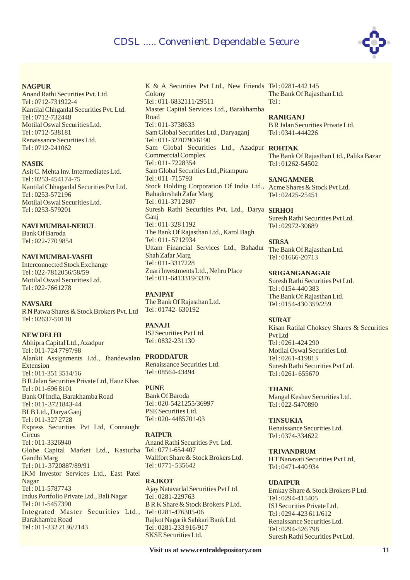

#### **NAGPUR**

Anand Rathi Securities Pvt. Ltd. Tel : 0712-731922-4 Kantilal Chhganlal Securities Pvt. Ltd. Tel : 0712-732448 Motilal Oswal Securities Ltd. Tel : 0712-538181 Renaissance Securities Ltd. Tel : 0712-241062

#### **NASIK**

Asit C. Mehta Inv. Intermediates Ltd. Tel : 0253-454174-75 Kantilal Chhaganlal Securities Pvt Ltd. Tel : 0253-572196 Motilal Oswal Securities Ltd. Tel : 0253-579201

#### **NAVI MUMBAI-NERUL**

Bank Of Baroda Tel : 022-770 9854

#### **NAVI MUMBAI-VASHI**

Interconnected Stock Exchange Tel : 022-7812056/58/59 Motilal Oswal Securities Ltd. Tel : 022-7661278

#### **NAVSARI**

R N Patwa Shares & Stock Brokers Pvt. Ltd Tel : 02637-50110

#### **NEW DELHI**

Abhipra Capital Ltd.,Azadpur Tel : 011-724 7797/98 Alankit Assignments Ltd., Jhandewalan **PRODDATUR** Extension Tel : 011-351 3514/16 B R Jalan Securities Private Ltd, Hauz Khas Tel : 011-696 8101 Bank Of India, Barakhamba Road Tel : 011- 3721843-44 BLB Ltd., Darya Ganj Tel : 011-327 2728 Express Securities Pvt Ltd, Connaught **Circus** Tel : 011-3326940 Globe Capital Market Ltd., Kasturba Tel : 0771-654 407 Gandhi Marg Tel : 011- 3720887/89/91 IKM Investor Services Ltd., East Patel Nagar Tel : 011-5787743 Indus Portfolio Private Ltd., Bali Nagar Tel : 011-5457390 Integrated Master Securities Ltd., Tel : 0281-476305-06 Barakhamba Road Tel : 011-332 2136/2143

K & A Securities Pvt Ltd., New Friends Tel : 0281-442 145 Colony Tel : 011-6832111/29511 Master Capital Services Ltd., Barakhamba Road Tel : 011-3738633 Sam Global Securities Ltd., Daryaganj Tel : 011-3270790/6190 Sam Global Securities Ltd., Azadpur **ROHTAK** Commercial Complex Tel : 011- 7228354 Sam Global Securities Ltd.,Pitampura Tel : 011 -715793 Stock Holding Corporation Of India Ltd., Acme Shares & Stock Pvt Ltd. Bahadurshah Zafar Marg Tel : 011-371 2807 Suresh Rathi Securities Pvt. Ltd., Darya **SIRHOI** Ganj Tel : 011-328 1192 The Bank Of Rajasthan Ltd., Karol Bagh Tel : 011- 5712934 Uttam Financial Services Ltd., Bahadur Shah Zafar Marg Tel : 011-3317228 Zuari Investments Ltd., Nehru Place Tel : 011-6413319/3376

The Bank Of Rajasthan Ltd. Tel : 01742- 630192 **PANIPAT**

#### **PANAJI**

ISJ Securities Pvt Ltd. Tel : 0832-231130

Renaissance Securities Ltd. Tel : 08564-43494

Bank Of Baroda Tel : 020-5421255/36997 PSE Securities Ltd. Tel : 020- 4485701-03 **PUNE**

#### **RAIPUR**

Anand Rathi Securities Pvt. Ltd. Wallfort Share & Stock Brokers Ltd. Tel : 0771- 535642

Ajay Natavarlal Securities Pvt Ltd. Tel : 0281-229763 B R K Share & Stock Brokers P Ltd. Rajkot Nagarik Sahkari Bank Ltd. Tel : 0281-233 916/917 SKSE Securities Ltd. **RAJKOT**

The Bank Of Rajasthan Ltd.  $Tel \cdot$ 

B R Jalan Securities Private Ltd. Tel : 0341-444226 **RANIGANJ**

The Bank Of Rajasthan Ltd., Palika Bazar Tel : 01262-54502

Tel : 02425-25451 **SANGAMNER**

Suresh Rathi Securities Pvt Ltd. Tel : 02972-30689

The Bank Of Rajasthan Ltd. Tel : 01666-20713 **SIRSA**

Suresh Rathi Securities Pvt Ltd. Tel : 0154-440 383 The Bank Of Rajasthan Ltd. Tel : 0154-430 359/259 **SRIGANGANAGAR**

Kisan Ratilal Choksey Shares & Securities Pvt Ltd Tel : 0261-424 290 Motilal Oswal Securities Ltd. Tel : 0261-419813 Suresh Rathi Securities Pvt Ltd. Tel : 0261- 655670 **SURAT**

Mangal Keshav Securities Ltd. Tel : 022-5470890 **THANE**

Renaissance Securities Ltd. Tel : 0374-334622 **TINSUKIA**

**TRIVANDRUM**

H T Nanavati Securities Pvt Ltd, Tel : 0471-440 934

#### **UDAIPUR**

Emkay Share & Stock Brokers P Ltd. Tel : 0294-415405 ISJ Securities Private Ltd. Tel : 0294-423 611/612 Renaissance Securities Ltd. Tel : 0294-526 798 Suresh Rathi Securities Pvt Ltd.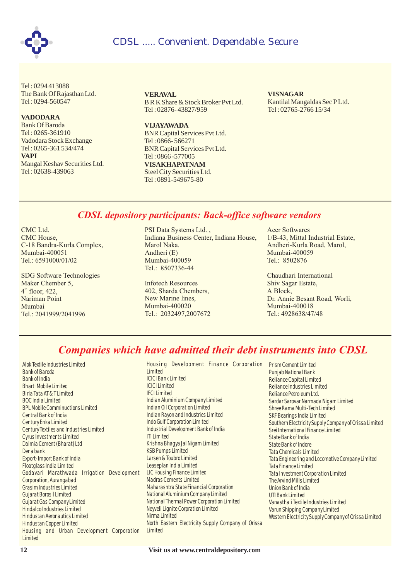

Tel : 0294 413088 The Bank Of Rajasthan Ltd. Tel : 0294-560547

#### **VADODARA**

Bank Of Baroda Tel : 0265-361910 Vadodara Stock Exchange Tel : 0265-361 534/474 Mangal Keshav Securities Ltd. Tel : 02638-439063 **VAPI**

**VERAVAL** B R K Share & Stock Broker Pvt Ltd. Tel : 02876- 43827/959

**VIJAYAWADA** BNR Capital Services Pvt Ltd. Tel : 0866- 566271 BNR Capital Services Pvt Ltd. Tel : 0866 -577005

**VISAKHAPATNAM** Steel City Securities Ltd. Tel : 0891-549675-80

Kantilal Mangaldas Sec P Ltd. Tel : 02765-2766 15/34 **VISNAGAR**

### *CDSL depository participants: Back-office software vendors*

CMC Ltd. CMC House, C-18 Bandra-Kurla Complex, Mumbai-400051 Tel.: 6591000/01/02

SDG Software Technologies Maker Chember 5,  $4<sup>th</sup>$  floor, 422, Nariman Point Mumbai Tel.: 2041999/2041996

PSI Data Systems Ltd. , Indiana Business Center, Indiana House, Marol Naka. Andheri (E) Mumbai-400059 Tel.: 8507336-44

Infotech Resources 402, Sharda Chembers, New Marine lines, Mumbai-400020 Tel.: 2032497,2007672 Acer Softwares 1/B-43, Mittal Industrial Estate, Andheri-Kurla Road, Marol, Mumbai-400059 Tel.: 8502876

Chaudhari International Shiv Sagar Estate, A Block, Dr. Annie Besant Road, Worli, Mumbai-400018 Tel.: 4928638/47/48

## *Companies which have admitted their debt instruments into CDSL*

Alok Textile Industries Limited Bank of Baroda Bank of India Bharti Mobile Limited Birla Tata AT & T Limited BOC India Limited BPL Mobile Comminuctions Limited Central Bank of India Century Enka Limited Century Textiles and Industries Limited Cyrus Investments Limited Dalmia Cement (Bharat) Ltd Dena bank Export-Import Bank of India Floatglass India Limited Godavari Marathwada Irrigation Development Corporation, Aurangabad Grasim Industries Limited Gujarat Borosil Limited Gujarat Gas Company Limited Hindalco Industries Limited Hindustan Aeronautics Limited Hindustan Copper Limited Housing and Urban Development Corporation **Limited** 

Housing Development Finance Corporation Prism Cement Limited Limited ICICI Bank Limited ICICI Limited IFCI Limited Indian Aluminium Company Limited Indian Oil Corporation Limited Indian Rayon and Industries Limited Indo Gulf Corporation Limited Industrial Development Bank of India ITI Limited Krishna Bhagya Jal Nigam Limited KSB Pumps Limited Larsen & Toubro Limited Leaseplan India Limited LIC Housing Finance Limited Madras Cements Limited Maharashtra State Financial Corporation National Aluminium Company Limited National Thermal Power Corporation Limited Neyveli Lignite Corpration Limited Nirma Limited North Eastern Electricity Supply Company of Orissa **Limited** 

Punjab National Bank Reliance Capital Limited Reliance Industries Limited Reliance Petroleum Ltd. Sardar Sarovar Narmada Nigam Limited Shree Rama Multi-Tech Limited SKF Bearings India Limited Southern Electricity Supply Company of Orissa Limited Srei International Finance Limited State Bank of India State Bank of Indore Tata Chemicals Limited Tata Engineering and Locomotive Company Limited Tata Finance Limited Tata Investment Corporation Limited The Arvind Mills Limited Union Bank of India UTI Bank Limited Vanasthali Textile Industries Limited Varun Shipping Company Limited Western Electricity Supply Company of Orissa Limited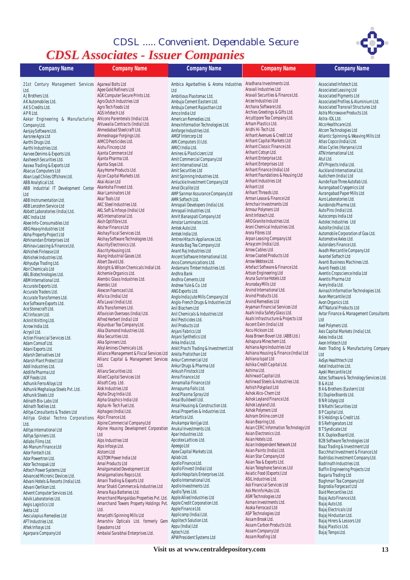# *CDSL Associates - Issuer Companies CDSL ..... Convenient. Dependable. Secure*



| <b>Company Name</b>                                          | <b>Company Name</b>                                             | <b>Company Name</b>                                             | <b>Company Name</b>                                            | <b>Company Name</b>                                     |
|--------------------------------------------------------------|-----------------------------------------------------------------|-----------------------------------------------------------------|----------------------------------------------------------------|---------------------------------------------------------|
| 21st Century Management Services Agarwal Bolts Ltd           |                                                                 | Ambica Agarbathies & Aroma Industries Aradhana Investments Ltd. |                                                                | Associated Infotech Ltd.                                |
| Ltd.                                                         | Agee Gold Refiners Ltd                                          | Ltd                                                             | Aravali Industries Ltd                                         | Associated Leasing Ltd                                  |
| AJ Brothers Ltd.                                             | AGK Computer Secure Prints Ltd.                                 | Ambitious Plastomac Ltd.                                        | Aravali Securities & Finance Ltd.                              | Associated Pigments Ltd                                 |
| AK Automobiles Ltd.                                          | Agro Dutch Industries Ltd                                       | Ambuja Cement Eastern Ltd.                                      | Arcee Industries Ltd                                           | Associated Profiles & Aluminium Ltd.                    |
| AKS Credits Ltd.                                             | Agro Tech Foods Ltd                                             | Ambuja Cement Rajasthan Ltd                                     | Archana Software Ltd.                                          | Associated Transrail Structures Ltd                     |
| APRLtd.                                                      | AGS Infotech Ltd<br>Ahlcons Parenterals (India) Ltd.            | Amco India Ltd                                                  | Archies Greetings & Gifts Ltd.<br>Arcuttipore Tea Company Ltd. | Astra Microwave Products Ltd.<br>Astra-IDL Ltd.         |
| Aakar Engineering & Manufacturing                            | Ahluwalia Contracts (India) Ltd.                                | American Remedies Ltd.<br>Amex Information Technologies Ltd.    | Arham Plastics Ltd.                                            | Atco Healthcare Ltd.                                    |
| Company Ltd.<br>Aanjay Software Ltd.                         | Ahmedabad Steelcraft Ltd.                                       | Amforge Industries Ltd.                                         | Aridhi Hi-Tech Ltd.                                            | Atcom Technologies Ltd                                  |
| Aarsree Agra Ltd                                             | Ahmednagar Forgings Ltd.                                        | AMGF Intercorp Ltd                                              | Arihant Avenues & Credit Ltd                                   | Atlantic Spinning & Weaving Mills Ltd                   |
| Aarthi Drugs Ltd.                                            | AIMCO Pesticides Ltd.                                           | AMI Computers (I) Ltd.                                          | Arihant Capital Markets Ltd                                    | Atlas Copco (India) Ltd.                                |
| Aarthi Industries Ltd.                                       | Aishu Fincorp Ltd                                               | AMICI India Ltd.                                                | Arihant Classic Finance Ltd.                                   | Atlas Cycles (Haryana) Ltd                              |
| Aarvee Denims & Exports Ltd.                                 | Ajanta Commerce Ltd                                             | Amines & Plasticizers Ltd                                       | Arihant Cotsyn Ltd.                                            | ATN International Ltd.                                  |
| Aasheesh Securities Ltd                                      | Ajanta Pharma Ltd.<br>Ajanta Soya Ltd.                          | Amit Commercial Company Ltd                                     | Arihant Enterprise Ltd.<br>Arihant Enterprises Ltd             | Atul Ltd.                                               |
| Aaswa Trading & Exports Ltd                                  | Ajay Home Products Ltd.                                         | Amit International Ltd.<br>Amit Securities Ltd                  | Arihant Finance (India) Ltd                                    | ATV Projects India Ltd.<br>Auckland International Ltd.  |
| Abacus Computers Ltd<br>Aban Loyd Chiles Offshore Ltd.       | Ajcon Capital Markets Ltd.                                      | Amit Spinning Industries Ltd.                                   | Arihant Foundations & Housing Ltd                              | Audichem (India) Ltd                                    |
| ABB Analytical Ltd.                                          | Akai Asian Ltd                                                  | Amluckie Investment Company Ltd                                 | Arihant Industries Ltd                                         | Aunde Faze Three Autofab Ltd.                           |
| ABB Industrial IT Development Center                         | Akanksha Finvest Ltd.                                           | Amol Dicalite Ltd                                               | Arihant Ltd                                                    | Aurangabad Cryogenics Ltd                               |
| Ltd                                                          | Akar Laminators Ltd                                             | AMP Sanmar Assurance Company Ltd                                | Arihant Threads Ltd.                                           | Aurangabad Paper Mills Ltd                              |
| ABB Instrumentation Ltd.                                     | Akar Tools Ltd                                                  | AMR Softech Ltd.                                                | Arman Lease & Finance Ltd                                      | Auro Laboratories Ltd.                                  |
| ABB Lenzohm Service Ltd                                      | AKC Steel Industries Ltd.                                       | Amrapali Developers (India) Ltd.                                | Armchair Investments Ltd<br>Armour Polymers Ltd                | Aurobindo Pharma Ltd.                                   |
| Abbott Laboratories (India) Ltd.                             | AKL Soft & Infosys (India) Ltd<br>AKS International Ltd.        | Amrapali Industries Ltd.<br>Amrit Banaspati Company Ltd         | Arnit Infotech Ltd.                                            | Auto Pins (India) Ltd.<br>Autocomps India Ltd           |
| ABC India Ltd                                                | Aksh Optifibre Ltd.                                             | Amstar Laminates Ltd.                                           | ARO Granite Industries Ltd.                                    | Autolec Industries Ltd                                  |
| Abee Info-Consumables Ltd<br>ABG Heavy Industries Ltd        | Akshar Finance Ltd                                              | Amtek Auto Ltd.                                                 | Aroni Chemical Industries Ltd.                                 | Autolite (India) Ltd.                                   |
| Abha Property Project Ltd                                    | Akshay Fiscal Services Ltd.                                     | Amtek India Ltd.                                                | Arora Fibres Ltd                                               | Automobile Corporation of Goa Ltd.                      |
| Abhinandan Enterprises Ltd                                   | Akshay Software Technologies Ltd.                               | Amtrex Hitachi Appliances Ltd.                                  | Arpan Leasing Company Ltd                                      | Automotive Axles Ltd.                                   |
| Abhinav Leasing & Finance Ltd.                               | Alacrity Electronics Ltd.                                       | Ananda Bag Tea Company Ltd                                      | Arraycom (India) Ltd.                                          | Autoriders Finance Ltd.                                 |
| Abhishek Finlease Ltd                                        | Alacrity Housing Ltd.                                           | Anant Raj Industries Ltd                                        | Arrow Cables Ltd.                                              | Avadh Mercantile Company Ltd                            |
| Abhishek Industries Ltd.                                     | Alang Industrial Gases Ltd.<br>Albert David Ltd.                | Ancent Software International Ltd.                              | Arrow Coated Products Ltd<br>Arrow Webtex Ltd.                 | Avantel Softech Ltd<br>Avanti Business Machines Ltd.    |
| Abhyudya Trading Ltd.                                        | Albright & Wilson Chemicals Indial Ltd.                         | Anco Communications Ltd.<br>Andamans Timber Industries Ltd.     | Artefact Software & Finance Ltd.                               | Avanti Feeds Ltd.                                       |
| Abir Chemicals Ltd<br>ABL Biotechnologies Ltd.               | Alchemie Organics Ltd.                                          | Andhra Bank                                                     | Artson Engineering Ltd                                         | Aventis Cropscience India Ltd                           |
| ABM International Ltd.                                       | Alembic Glass Industries Ltd.                                   | Andhra Cements Ltd                                              | Aruna Sunrise Hotels Ltd                                       | Aventis Pharma Ltd                                      |
| Accurate Exports Ltd.                                        | Alembic Ltd                                                     | Andrew Yule & Co. Ltd                                           | Arunoday Mills Ltd                                             | Avery India Ltd.                                        |
| Accurate Traders Ltd.                                        | Alexcon Foamcast Ltd.                                           | ANG Exports Ltd.                                                | Arvind International Ltd.                                      | Avinash Information Technologies Ltd.                   |
| Accurate Transformers Ltd.                                   | Alfa Ica (India) Ltd                                            | Anglo India Jute Mills Company Ltd                              | Arvind Products Ltd.<br>Arvind Remedies Ltd                    | Avon Mercantile Ltd                                     |
| Ace Software Exports Ltd.                                    | Alfa Laval (India) Ltd.<br>Alfa Transformers Ltd.               | Anglo-French Drugs & Industries Ltd<br>Anil Biochem Ltd         | Aryaman Financial Services Ltd                                 | Avon Organics Ltd.<br>AVT Natural Products Ltd          |
| Ace Stonecraft Ltd.<br>ACI Infocom Ltd.                      | Alfavision Overseas (India) Ltd.                                | Anil Chemicals & Industries Ltd                                 | Asahi India Safety Glass Ltd.                                  | Avtar Finance & Management Consultants                  |
| Acknit Knitting Ltd.                                         | Alfred Herbert (India) Ltd                                      | Anil Pesticides Ltd.                                            | Asahi Infrastructure & Projects Ltd                            | Ltd                                                     |
| Acrow India Ltd.                                             | Alipurduar Tea Company Ltd.                                     | Anil Products Ltd                                               | Ascent Exim (India) Ltd                                        | Axel Polymers Ltd.                                      |
| Acrysil Ltd.                                                 | Alka Diamond Industries Ltd.                                    | Anjani Fabrics Ltd                                              | Ascu Hickson Ltd.                                              | Axis Capital Markets (India) Ltd.                       |
| Action Financial Services Ltd.                               | Alka Securities Ltd.                                            | Anjani Synthetics Ltd                                           | Asea Brown Boveri Ltd. (ABB Ltd.)                              | Axles India Ltd.                                        |
| Adam Comsof Ltd.                                             | Alka Spinners Ltd.<br>Alkyl Amines Chemicals Ltd.               | Anka India Ltd.                                                 | Ashapura Minechem Ltd.<br>Ashiana Agro Industries Ltd          | Axon Infotech Ltd                                       |
| Adani Exports Ltd.<br>Adarsh Derivatives Ltd                 | Alliance Management & Fiscal Services Ltd Ankita Pratisthan Ltd | Ankit Prachi Trading & Investment Ltd                           | Ashiana Housing & Finance (India) Ltd                          | Axon Trading & Manufacturing Company<br>Ltd             |
| Adarsh Plant Protect Ltd                                     | Allianz Capital & Management Services                           | Ankur Commercial Ltd                                            | Ashiana Ispat Ltd                                              | AxSys Healthtech Ltd                                    |
| Addi Industries Ltd.                                         | Ltd.                                                            | Ankur Drugs & Pharma Ltd                                        | Ashika Credit Capital Ltd.                                     | Axtel Industries Ltd.                                   |
| Addlife Pharma Ltd                                           | Allianz Securities Ltd.                                         | Ankush Finstock Ltd                                             | Ashima Ltd.                                                    | Ayoki Mercantile Ltd                                    |
| ADF Foods Ltd.                                               | Allied Capital Services Ltd                                     | Anna Finance Ltd                                                | Ashirwad Capital Ltd.                                          | Aztec Software & Technology Services Ltd.               |
| Adhunik Ferro Alloys Ltd                                     | Allsoft Corp. Ltd.                                              | Annamallai Finance Ltd                                          | Ashirwad Steels & Industries Ltd.<br>Ashish Polyplast Ltd      | <b>B&amp;ALtd</b>                                       |
| Adhunik Meghalaya Steels Pvt. Ltd.                           | Alok Industries Ltd<br>Alpha Drug India Ltd.                    | Annapurna Foils Ltd.<br>Anod Plasma Spray Ltd                   | Ashok Alco-Chem Ltd                                            | BA& Brothers (Eastern) Ltd                              |
| Adhunik Steels Ltd<br>Adinath Bio-Labs Ltd                   | Alpha Graphics India Ltd                                        | Ansal Buildwell Ltd.                                            | Ashok Leyland Finance Ltd.                                     | B J Duplex Boards Ltd.<br>B N R Udyog Ltd               |
| Adinath Textiles Ltd.                                        | Alpha Hi-Tech Fuel Ltd.                                         | Ansal Housing & Construction Ltd.                               | Ashok Leyland Ltd.                                             | <b>BN Rathi Securities Ltd</b>                          |
| Aditya Consultants & Traders Ltd                             | Alphageo (India) Ltd.                                           | Ansal Properties & Industries Ltd.                              | Ashok Polymers Ltd                                             | <b>BP</b> Capital Ltd.                                  |
| Aditya Global Techno Corporations                            | Alpic Finance Ltd.                                              | Antartica Ltd.                                                  | Ashram Online.com Ltd                                          | B S Holdings & Credit Ltd.                              |
| Ltd.                                                         | Alpine Commercial Company Ltd                                   | Anukampa Vanijya Ltd.                                           | Asian Bearing Ltd.<br>Asian CERC Information Technology Ltd    | <b>B S Refrigerators Ltd</b>                            |
| Aditya International Ltd                                     | Alpine Housing Development Corporation                          | Anukul Investments Ltd.                                         | Asian Electronics Ltd.                                         | <b>BT</b> Syndicate Ltd                                 |
| Aditya Spinners Ltd.                                         | Ltd<br>Alps Industries Ltd                                      | Apar Industries Ltd.<br>Apcotex Lattices Ltd.                   | Asian Hotels Ltd.                                              | B.K. Duplex Board Ltd.<br>B2B Software Technologies Ltd |
| Adlabs Films Ltd.<br>Ad-Manum Finance Ltd                    | Alps Infosys Ltd.                                               | Apeego Ltd                                                      | Asian Independent Network Ltd                                  | Baaz Trading & Investment Ltd                           |
| Ador Fontech Ltd.                                            | Alstom Ltd                                                      | Apex Capital Markets Ltd.                                       | Asian Paints (India) Ltd.                                      | Bacchhat Investment & Finance Ltd                       |
| Ador Powertron Ltd.                                          | ALSTOM Power India Ltd                                          | Aplab Ltd.                                                      | Asian Star Company Ltd                                         | Badridas Investment Company Ltd.                        |
| Ador Technopak Ltd                                           | Amal Products Ltd                                               | Apollo Finance Ltd.                                             | Asian Tea & Exports Ltd.                                       | Badrinath Industries Ltd.                               |
| Adtech Power Systems Ltd                                     | Amalgamated Development Ltd                                     | Apollo Finvest (India) Ltd                                      | Asian Telephone Services Ltd<br>Asiatic Food (Exports) Ltd     | Baffin Engineering Projects Ltd                         |
| Advanced Micronic Devices Ltd.                               | Amalgamations Repco Ltd.<br>Amani Trading & Exports Ltd         | Apollo Hospitals Enterprises Ltd.<br>Apollo International Ltd.  | ASIL Industries Ltd.                                           | Bagaria Trading Ltd                                     |
| Advani Hotels & Resorts (India) Ltd.<br>Advani Oerlikon Ltd. | Amar Shakti Commerce & Industries Ltd                           | Apollo Investments Ltd.                                         | Ask Financial Services Ltd                                     | Baghmari Tea Company Ltd<br>Bagrodia Forgecast Ltd      |
| Advent Computer Services Ltd.                                | Amara Raja Batteries Ltd.                                       | Apollo Tyres Ltd.                                               | Ask Me Info Hubs Ltd.                                          | Baid Mercantiles Ltd.                                   |
| Advik Laboratories Ltd.                                      | Amarchand Mangaldas Properties Pvt. Ltd.                        | Apple Allied Industries Ltd                                     | ASM Technologies Ltd                                           | Bajaj Auto Finance Ltd.                                 |
| Aegis Logistics Ltd                                          | Amarchand Towers Property Holdings Pvt.                         | Apple Credit Corporation Ltd.                                   | Asman Investments Ltd.                                         | Bajaj Auto Ltd.                                         |
| Aekta Ltd                                                    | Ltd.                                                            | Apple Finance Ltd.                                              | Asoka Ferrocast Ltd<br>ASP Technologies Ltd                    | Bajaj Electricals Ltd                                   |
| Aesculapius Remedies Ltd                                     | Amarjothi Spinning Mills Ltd                                    | Applicomp (India) Ltd.<br>Applitech Solution Ltd.               | Assam Brook Ltd.                                               | Bajaj Hindustan Ltd.                                    |
| AFT Industries Ltd.                                          | Amarshiv Opticals Ltd. formerly Gem                             | Appu (India) Ltd                                                | Assam Carbon Products Ltd.                                     | Bajaj Hirers & Lessors Ltd<br>Bajaj Plastics Ltd.       |
| Aftek Infosys Ltd.<br>Agarpara Company Ltd                   | Eyeadorns Ltd<br>Ambalal Sarabhai Enterprises Ltd.              | Aptech Ltd.                                                     | Assam Company Ltd                                              | Bajaj Tempo Ltd.                                        |
|                                                              |                                                                 | APW President Systems Ltd                                       | Assam Roofing Ltd                                              |                                                         |
|                                                              |                                                                 |                                                                 |                                                                |                                                         |

**Visit us at www.centraldepository.com 13**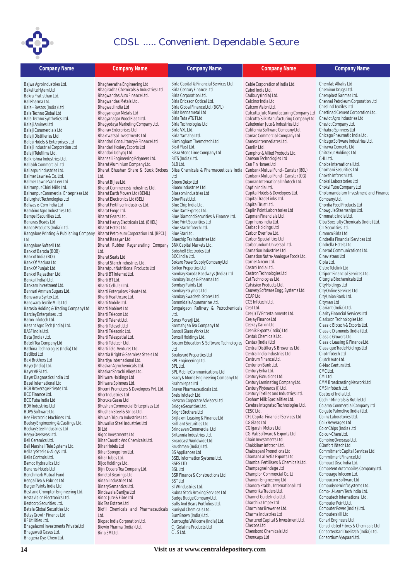

| <b>Company Name</b>                                                     | <b>Company Name</b>                                                   | <b>Company Name</b>                                                         | <b>Company Name</b>                                              | <b>Company Name</b>                                            |
|-------------------------------------------------------------------------|-----------------------------------------------------------------------|-----------------------------------------------------------------------------|------------------------------------------------------------------|----------------------------------------------------------------|
| Bajwa Agro Industries Ltd.                                              | Bhagheeratha Engineering Ltd                                          | Birla Capital & Financial Services Ltd.                                     | Cable Corporation of India Ltd.                                  | Chemfab Alkalis Ltd                                            |
| Bakelite Hylam Ltd                                                      | Bhagiradha Chemicals & Industries Ltd                                 | Birla Century Finance Ltd                                                   | Cabot India Ltd.                                                 | Cheminor Drugs Ltd.                                            |
| Bakra Pratisthan Ltd.                                                   | Bhagwandas Auto Finance Ltd.                                          | Birla Corporation Ltd.                                                      | Cadbury (India) Ltd.                                             | Chemplast Sanmar Ltd.                                          |
| Bal Pharma Ltd.<br>Bala - Bestos (India) Ltd                            | Bhagwandas Metals Ltd.<br>Bhaqwati India Ltd                          | Birla Ericsson Optical Ltd.<br>Birla Global Finance Ltd. (BGFL)             | Calcinor India Ltd<br>Calcom Vision Ltd.                         | Chennai Petroleum Corporation Ltd<br>Cheslind Textiles Ltd     |
| Bala Techno Global Ltd                                                  | Bhagyanagar Metals Ltd                                                | Birla Kennametal Ltd                                                        | Calcutta Jute Manufacturing Company Ltd                          | Chettinad Cement Corporation Ltd.                              |
| Bala Techno Synthetics Ltd.                                             | Bhagyanagar Wood Plast Ltd.                                           | Birla Tata AT&T Ltd                                                         | Calcutta Silk Manufacturing Company Ltd                          | Cheviot Agro Industries Ltd                                    |
| Balaji Amines Ltd                                                       | Bhagyodaya Marketing Company Ltd.                                     | Birla Technologies Ltd                                                      | Caledonian Jute & Industries Ltd                                 | Cheviot Company Ltd.                                           |
| Balaji Commercials Ltd                                                  | <b>Bhairav Enterprises Ltd</b><br><b>Bhaktwatsal Investments Ltd</b>  | Birla VXL Ltd.<br>Birla Yamaha Ltd.                                         | California Software Company Ltd.<br>Camac Commercial Company Ltd | Chhabra Spinners Ltd<br>Chicago Pneumatic India Ltd.           |
| Balaji Distilleries Ltd.<br>Balaji Hotels & Enterprises Ltd             | Bhandari Consultancy & Finance Ltd                                    | Birmingham Thermotech Ltd.                                                  | Camex Intermediates Ltd.                                         | Chicago Software Industries Ltd.                               |
| Balaji Industrial Corporation Ltd                                       | Bhandari Hosiery Exports Ltd                                          | Bisil Plast Ltd.                                                            | Camlin Ltd.                                                      | Chirawa Cements Ltd                                            |
| Balaji Telefilms Ltd.                                                   | Bhandari Udhyog Ltd.                                                  | Bisra Stone Lime Company Ltd                                                | Camphor & Allied Products Ltd.                                   | Chitrakut Holdings Ltd                                         |
| Balkrishna Industries Ltd.                                              | Bhansali Engineering Polymers Ltd.                                    | BITS (India) Ltd.<br>BLB Ltd.                                               | Camson Technologies Ltd                                          | CHL Ltd.                                                       |
| Ballabh Commercial Ltd<br>Ballarpur Industries Ltd.                     | Bharat Aluminium Company Ltd.<br>Bharat Bhushan Share & Stock Brokers | Bliss Chemicals & Pharmaceuticals India Canbank Mutual Fund - Canstar (80L) | Can Fin Homes Ltd                                                | Choice International Ltd.<br>Chokhani Securities Ltd           |
| Balmer Lawrie & Co. Ltd.                                                | Ltd.                                                                  | Ltd                                                                         | Canbank Mutual Fund - Canstar (CG)                               | Choksh Infotech Ltd.                                           |
| Balmer Lawrie Van Leer Ltd                                              | Bharat Bijlee Ltd.                                                    | <b>Bloom Dekor Ltd</b>                                                      | Cannan International Infotech Ltd.                               | Choksi Laboratories Ltd                                        |
| Balrampur Chini Mills Ltd.                                              | Bharat Commerce & Industries Ltd.                                     | Bloom Industries Ltd.                                                       | Capfin India Ltd.                                                | Choksi Tube Company Ltd                                        |
| Balrampur Commercial Enterprises Ltd                                    | Bharat Earth Movers Ltd (BEML)                                        | <b>Blossom Industries Ltd</b>                                               | Capital Hotels & Developers Ltd.<br>Capital Trade Links Ltd.     | Cholamandalam Investment and Finance                           |
| <b>Balurghat Technologies Ltd</b><br>Balwas e-Com India Ltd             | Bharat Electronics Ltd (BEL)<br>Bharat Fertiliser Industries Ltd.     | Blow Plast Ltd.<br>Blue Chip India Ltd.                                     | Capital Trust Ltd.                                               | Company Ltd.<br>Chordia Food Products Ltd                      |
| Bambino Agro Industries Ltd.                                            | Bharat Forge Ltd.                                                     | Blue Dart Express Ltd.                                                      | Caplin Point Laboratories Ltd                                    | Chowqule Steamships Ltd.                                       |
| BampsI Securities Ltd.                                                  | Bharat Gears Ltd.                                                     | Blue Diamond Securities & Finance Ltd.                                      | Capman Financials Ltd.                                           | Chromatic India Ltd.                                           |
| Banaras Beads Ltd                                                       | Bharat Heavy Electricals Ltd. (BHEL)                                  | <b>Blue Print Securities Ltd</b>                                            | Caprihans India Ltd.                                             | Ciba Specialty Chemicals (India) Ltd.                          |
| Banco Products (India) Ltd.                                             | Bharat Hotels Ltd.                                                    | Blue Star Infotech Ltd.                                                     | Carbac Holdings Ltd                                              | CIL Securities Ltd.                                            |
| Bangalore Printing & Publishing Company                                 | Bharat Petroleum Corporation Ltd. (BPCL)<br>Bharat Rasayan Ltd        | Blue Star Ltd.<br>Bluechip Tex Industries Ltd                               | Carbon Everflow Ltd.<br>Carbon Specialities Ltd                  | Cimmco Birla Ltd<br>Cindrella Financial Services Ltd           |
| Ltd<br>Bangalore Softsell Ltd.                                          | Bharat Rubber Regenerating Company                                    | <b>BNK Capital Markets Ltd.</b>                                             | Carborundum Universal Ltd.                                       | Cindrella Hotels Ltd                                           |
| Bank of Baroda (BOB)                                                    | Ltd.                                                                  | <b>Bobshell Electrodes Ltd</b>                                              | Carnation Industries Ltd.                                        | Cinerad Communications Ltd.                                    |
| Bank of India (BOI)                                                     | <b>Bharat Seats Ltd</b>                                               | BOC India Ltd.                                                              | Carnation Nutra-Analogue Foods Ltd.                              | Cinevistaas Ltd                                                |
| Bank Of Madura Ltd                                                      | Bharat Starch Industries Ltd.                                         | Bokaro Power Supply Company Ltd                                             | Carrier Aircon Ltd.                                              | Cipla Ltd.                                                     |
| Bank Of Punjab Ltd.                                                     | <b>Bharatpur Nutritional Products Ltd</b>                             | <b>Bolton Properties Ltd</b>                                                | Castrol India Ltd.                                               | Cistro Telelink Ltd                                            |
| Bank of Rajasthan Ltd.<br>Banka (India) Ltd.                            | Bharti BT Internet Ltd.<br>Bharti BT Ltd.                             | Bombay Baroda Roadways (India) Ltd<br>Bombay Drugs & Pharma Ltd.            | Castron Technologies Ltd<br>Cat Technologies Ltd.                | Citiport Financial Services Ltd.<br>Citurgia Biochemicals Ltd  |
| Bankam Investment Ltd.                                                  | Bharti Cellular Ltd.                                                  | Bombay Paints Ltd                                                           | Catvision Products Ltd.                                          | City Holdings Ltd                                              |
| Bannari Amman Sugars Ltd.                                               | Bharti Enterprises Private Ltd.                                       | Bombay Polymers Ltd                                                         | Cauvery Software Engg. Systems Ltd.                              | City Online Services Ltd.                                      |
| Banswara Syntex Ltd.                                                    | Bharti Healthcare Ltd.                                                | Bombay Swadeshi Stores Ltd.                                                 | <b>CCAP Ltd</b>                                                  | City Union Bank Ltd.                                           |
| Banswara Textile Mills Ltd                                              | Bharti Mobile Ltd.                                                    | Bommidala Aquamarine Ltd.                                                   | CCS Infotech Ltd.                                                | Cityman Ltd                                                    |
| Barasia Holding & Trading Company Ltd<br><b>Barcley Enterprises Ltd</b> | <b>Bharti Mobinet Ltd</b><br>Bharti Telecom Ltd                       | Bongaigaon Refinery & Petrochemicals Ceat Ltd.<br>Ltd.                      | Cee (I) TV Entertainments Ltd.                                   | Clariant (India) Ltd.<br>Clarity Financial Services Ltd        |
| Baron Infotech Ltd.                                                     | Bharti Telenet Ltd.                                                   | Borax Morarji Ltd.                                                          | Ceejay Finance Ltd                                               | Clarixxon Technologies Ltd.                                    |
| Basant Agro Tech (India) Ltd.                                           | Bharti Telesoft Ltd                                                   | Bormah Jan Tea Company Ltd                                                  | Ceekay Daikin Ltd                                                | Classic Biotech & Exports Ltd.                                 |
| BASF India Ltd.                                                         | Bharti Telesonic Ltd.                                                 | Borosil Glass Works Ltd                                                     | Ceenik Exports (India) Ltd                                       | Classic Diamonds (India) Ltd.                                  |
| Bata (India) Ltd.                                                       | Bharti Telespatial Ltd.                                               | Borosil Holdings Ltd.                                                       | Centak Chemicals Ltd.<br>Centax (India) Ltd                      | Classic Growers Ltd.                                           |
| Bateli Tea Company Ltd<br>Bathina Technologies (India) Ltd              | Bharti Teletech Ltd.<br>Bharti Tele-Ventures Ltd.                     | Boston Education & Software Technologies<br>Ltd                             | Central Distillery & Breweries Ltd.                              | Classic Leasing & Finance Ltd.<br>Classique Trade Holdings Ltd |
| Batliboi Ltd                                                            | Bhartia Bright & Seamless Steels Ltd                                  | <b>Boulevard Properties Ltd</b>                                             | Central India Industries Ltd                                     | Clio Infotech Ltd                                              |
| Baxi Brothers Ltd                                                       | Bhartiya International Ltd.                                           | BPL Engineering Ltd.                                                        | Centrum Finance Ltd.                                             | Clutch Auto Ltd.                                               |
| Bayer (India) Ltd.                                                      | Bhaskar Agrochemicals Ltd.                                            | BPL Ltd.                                                                    | Centurion Bank Ltd.                                              | C-Mac Centum Ltd.                                              |
| Bayer ABS Ltd.                                                          | Bhaskar Shrachi Alloys Ltd.                                           | BPL Mobile Communications Ltd                                               | Century Enka Ltd.<br>Century Extrusions Ltd.                     | CMC Ltd.                                                       |
| Bayer Diagnostics India Ltd<br>Bazel International Ltd                  | Bhilwara Holdings Ltd<br>Bhilwara Spinners Ltd.                       | Brady & Morris Engineering Company Ltd<br>Brahm Ispat Ltd                   | Century Laminating Company Ltd.                                  | CMI Ltd.<br><b>CMM Broadcasting Network Ltd</b>                |
| BCB Brokerage Private Ltd.                                              | Bhoomi Promoters & Developers Pvt. Ltd.                               | Brawn Pharmaceuticals Ltd.                                                  | Century Plyboards (I) Ltd.                                       | CMS Infotech Ltd.                                              |
| <b>BCC Finance Ltd.</b>                                                 | <b>Bhor Industries Ltd</b>                                            | Brels Infotech Ltd.                                                         | Century Textiles and Industries Ltd.                             | Coates of India Ltd.                                           |
| <b>BCC Fuba India Ltd</b>                                               | Bhoruka Gases Ltd                                                     | Brescon Corporate Advisors Ltd                                              | Cepham Milk Specialities Ltd.                                    | Cochin Minerals & Rutile Ltd                                   |
| <b>BDH Industries Ltd</b>                                               | Bhushan Commercial Enterprises Ltd                                    | Bridge Securities Ltd.                                                      | Cerebra Integrated Technologies Ltd.<br>CESC Ltd.                | Colama Commercial Company Ltd                                  |
| BDPS Software Ltd.<br>Bee Electronic Machines Ltd.                      | Bhushan Steel & Strips Ltd.<br>Bhuvan Tripura Industries Ltd.         | <b>Bright Brothers Ltd</b><br>Brijlaxmi Leasing & Finance Ltd               | CFL Capital Financial Services Ltd                               | Colgate Palmolive (India) Ltd.<br>Colinz Laboratories Ltd.     |
| Beekay Engineering & Castings Ltd.                                      | Bhuwalka Steel Industries Ltd                                         | <b>Brilliant Securities Ltd</b>                                             | CG Glass Ltd                                                     | Colix Beverages Ltd                                            |
| Beekay Steel Industries Ltd                                             | <b>BiLtd</b>                                                          | Brindavan Commercial Ltd                                                    | CG Igarshi Motors Ltd.                                           | Color Chips (India) Ltd                                        |
| Beeyu Overseas Ltd.                                                     | Bigoo Investments Ltd                                                 | Britannia Industries Ltd.                                                   | CG-Vak Software & Exports Ltd.                                   | Colour-Chem Ltd.                                               |
| Bell Ceramics Ltd.                                                      | Bihar Caustic And Chemicals Ltd.                                      | Broadcast Worldwide Ltd.                                                    | Chain Investments Ltd<br>Chakkilam Infotech Ltd.                 | Combine Overseas Ltd.<br>COmfort INtech Ltd                    |
| Bell Marshall Tele Systems Ltd.<br>Bellary Steels & Alloys Ltd.         | <b>Bihar Hotels Ltd</b><br>Bihar Sponge Iron Ltd.                     | Brushman (India) Ltd.<br><b>BS Appliances Ltd</b>                           | Chakrapani Promotions Ltd                                        | Commitment Capital Services Ltd.                               |
| Bells Controls Ltd.                                                     | Bihar Tubes Ltd.                                                      | <b>BSEL Information Systems Ltd.</b>                                        | Chaman Lal Setia Exports Ltd                                     | Commitment Finance Ltd                                         |
| Bemco Hydraulics Ltd                                                    | Bijco Holdings Ltd.                                                   | <b>BSESLTD</b>                                                              | Chambal Fertilisers & Chemicals Ltd.                             | Compact Disc India Ltd.                                        |
| Benares Hotels Ltd                                                      | Bijni Dooars Tea Company Ltd.                                         | <b>BSL Ltd</b>                                                              | Champagne Indage Ltd                                             | Competent Automobiles Company Ltd.                             |
| Benchmark Mutual Fund                                                   | <b>Bimetal Bearings Ltd</b>                                           | BSR Finance & Constructions Ltd.                                            | Champion Commercial Co. Lt                                       | Compuage Infocom Ltd.                                          |
| Bengal Tea & Fabrics Ltd<br>Berger Paints India Ltd                     | Binani Industries Ltd.<br>Binary Semantics Ltd.                       | <b>BST Ltd</b>                                                              | Chandni Engineering Ltd<br>Chandra Prabhu International Ltd      | Compucom Software Ltd<br>Compudyne Winfosystems Ltd.           |
| Best and Crompton Engineering Ltd.                                      | Bindawala Banijya Ltd                                                 | BTW Industries Ltd.<br>Bubna Stock Broking Services Ltd                     | Chandrika Traders Ltd.                                           | Comp-U-Learn Tech India Ltd.                                   |
| Bestavision Electronics Ltd.                                            | Binod Jute & Fibre Ltd                                                | Budge Budge Company Ltd.                                                    | Channel Guide India Ltd.                                         | Computech International Ltd.                                   |
| Bestcorp Securities Ltd.                                                | Bio Tea Estates Ltd                                                   | Bulls And Bears Portfolios Ltd.                                             | Charchika Impex Ltd                                              | Computer Point Ltd.                                            |
| Betala Global Securities Ltd                                            | Biofil Chemicals and Pharmaceuticals                                  | Buniyad Chemicals Ltd.                                                      | Charminar Breweries Ltd.                                         | Computer Power (India) Ltd.                                    |
| Betsy Growth Finance Ltd<br>BF Utilities Ltd.                           | Ltd.                                                                  | Burr Brown (India) Ltd.                                                     | Charms Industries Ltd<br>Chartered Capital & Investment Ltd.     | Computerskill Ltd<br>Conart Engineers Ltd.                     |
| Bhagalaxmi Investments Private Ltd                                      | Biopac India Corporation Ltd.<br>Biowin Pharma (India) Ltd.           | Burroughs Wellcome (India) Ltd.<br>C J Gelatine Products Ltd                | Checons Ltd                                                      | Consolidated Fibres & Chemicals Ltd                            |
| Bhagawati Gases Ltd.                                                    | Birla 3M Ltd.                                                         | CLSLtd.                                                                     | Chembond Chemicals Ltd                                           | Consortex Karl Doelitzch (India) Ltd.                          |
| Bhageria Dye-Chem Ltd.                                                  |                                                                       |                                                                             | Chemcaps Ltd                                                     | Consortium Vyapaar Ltd.                                        |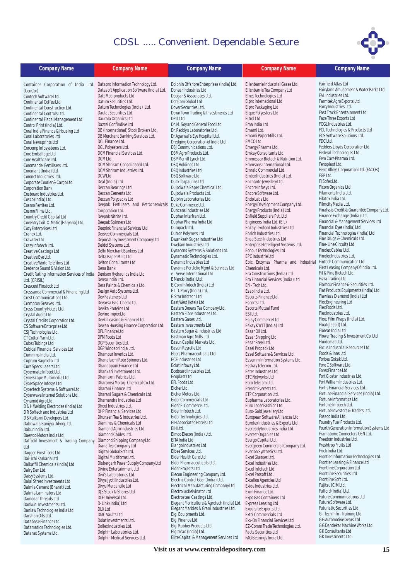

| <b>Company Name</b>                                                      | <b>Company Name</b>                                      | <b>Company Name</b>                                                   | <b>Company Name</b>                                              | <b>Company Name</b>                                                     |
|--------------------------------------------------------------------------|----------------------------------------------------------|-----------------------------------------------------------------------|------------------------------------------------------------------|-------------------------------------------------------------------------|
| Container Corporation of India Ltd. DataproInformation Technology Ltd.   |                                                          | Dolphin Offshore Enterprises (India) Ltd.                             | Ellenbarrie Industrial Gases Ltd.                                | Fairfield Atlas Ltd                                                     |
| (ConCor)                                                                 | Datasoft Application Software (India) Ltd.               | Donear Industries Ltd                                                 | Ellenbarrie Tea Company Ltd                                      | Fairyland Amusement & Water Parks Ltd.                                  |
| Contech Software Ltd.                                                    | Datt Mediproducts Ltd                                    | Doogar & Associates Ltd.                                              | Elnet Technologies Ltd                                           | FAL Industries Ltd.<br>Farmtek Agro Exports Ltd                         |
| Continental Coffee Ltd                                                   | Datum Securities Ltd.<br>Datum Technologies (India) Ltd. | Dot Com Global Ltd<br>Dover Securities Ltd.                           | Elpro International Ltd<br>Elpro Packaging Ltd                   | Farry Industries Ltd.                                                   |
| Continental Construction Ltd.<br>Continental Controls Ltd.               | Daulat Securities Ltd.                                   | Down Town Trading & Investments Ltd                                   | Elque Polyesters Ltd                                             | Fast Track Entertainment Ltd                                            |
| Continental Fiscal Management Ltd                                        | Daurala Organics Ltd                                     | <b>DPIL Ltd</b>                                                       | Eltrol Ltd.                                                      | Faze Three Exports Ltd                                                  |
| Control Print (India) Ltd.                                               | Dazzel Confindive Ltd                                    | Dr. M. Soy and General Food Ltd                                       | Ema India Ltd                                                    | FCGL Industries Ltd.                                                    |
| Coral India Finance & Housing Ltd                                        | DB (International) Stock Brokers Ltd.                    | Dr. Reddy's Laboratories Ltd.                                         | Emami Ltd.                                                       | FCL Technologies & Products Ltd                                         |
| Coral Laboratories Ltd                                                   | DB Merchant Banking Services Ltd.                        | Dr.Agarwal's Eye Hospital Ltd.                                        | Emami Paper Mills Ltd.                                           | FCS Software Solutions Ltd.                                             |
| Coral Newsprints Ltd                                                     | DCL Finance Ltd.                                         | Dredging Corporation of India Ltd.                                    | <b>EMCOLtd</b>                                                   | FDC Ltd.                                                                |
| Corcomp Infosystems Ltd.                                                 | DCL Polyesters Ltd.<br>DCM Financial Services Ltd.       | DSJ Communications Ltd.<br>DSM Agro Products Ltd.                     | Emergy Pharma Ltd.<br>Emkay Consultants Ltd.                     | Fedders Lloyds Corporation Ltd.<br>Federal Technologies Ltd.            |
| Core Emballage Ltd<br>Core Healthcare Ltd.                               | DCM Ltd.                                                 | DSP Merrill Lynch Ltd.                                                | Emmessar Biotech & Nutrition Ltd.                                | Fem Care Pharma Ltd.                                                    |
| Coromandel Fertilisers Ltd.                                              | DCM Shriram Consolidated Ltd.                            | DSQ Holdings Ltd                                                      | Emmsons International Ltd.                                       | Fenoplast Ltd.                                                          |
| Coromant (India) Ltd                                                     | DCM Shriram Industries Ltd.                              | DSQ Industries Ltd.                                                   | Emrald Commercial Ltd.                                           | Ferro Alloys Corporation Ltd. (FACOR)                                   |
| Coronet Industries Ltd.                                                  | DCW Ltd.                                                 | DSQ Software Ltd.                                                     | Emtex Industries (India) Ltd.                                    | FGP Ltd.                                                                |
| Corporate Courier & Cargo Ltd                                            | Deal (India) Ltd                                         | Duck Tarpaulins Ltd                                                   | Enchante Jewellery Ltd.                                          | FI Sofex Ltd.                                                           |
| <b>Corporation Bank</b>                                                  | Deccan Bearings Ltd                                      | Dujodwala Paper Chemical Ltd.                                         | Encore Infosys Ltd.                                              | Ficom Organics Ltd<br>Filaments India Ltd.                              |
| Cosboard Industries Ltd.                                                 | Deccan Cements Ltd<br>Deccan Polypacks Ltd               | Dujodwala Products Ltd.<br>Dujohn Laboratories Ltd.                   | Encore Software Ltd.<br>Endo Labs Ltd                            | Filatex India Ltd.                                                      |
| Cosco (India) Ltd.<br>Cosmo Ferrites Ltd.                                | Deepak Fertilisers and Petrochemicals Duke Commerce Ltd. |                                                                       | Energy Development Company Ltd.                                  | Filmcity Media Ltd.                                                     |
| Cosmo Films Ltd.                                                         | Corporation Ltd.                                         | Duncans Industries Ltd                                                | Energy Products (India) Ltd.                                     | Finalysis Credit & Guarantee Company Ltd.                               |
| Country Credit Capital Ltd                                               | Deepak Nitrite Ltd.                                      | Duphar Interfran Ltd.                                                 | Enfield Suppliers Pvt. Ltd                                       | Finance Exchange (India) Ltd.                                           |
| Coventry Coil-O-Matic (Haryana) Ltd.                                     | Deepak Spinners Ltd                                      | Duphar Pharma India Ltd                                               | Engineers India Ltd. (EIL)                                       | Financial & Management Services Ltd                                     |
| Cozy Enterprises Ltd                                                     | Deeplok Financial Services Ltd                           | Duropack Ltd.                                                         | Enkay Texofood Industries Ltd                                    | Financial Eyes (India) Ltd.                                             |
| Cranex Ltd.                                                              | Deevee Commercials Ltd.                                  | Dutron Polymers Ltd                                                   | Enrich Industries Ltd.                                           | Financial Technologies (India) Ltd                                      |
| Cravatex Ltd                                                             | Dejoo Valley Investment Company Ltd                      | Dwarikesh Sugar Industries Ltd<br>Dwekam Industries Ltd               | Ensa Steel Industries Ltd<br>Enterprise Intelligent Systems Ltd. | Fine Drugs & Chemicals Ltd<br>Fine-Line Circuits Ltd                    |
| Crazy Infotech Ltd.<br>Creative Castings Ltd                             | Deldot Systems Ltd.<br>Delhi Merchant Bankers Ltd        | Dynacons Systems & Solutions Ltd.                                     | Eonour Technologies Ltd                                          | Finolex Cables Ltd.                                                     |
| Creative Eye Ltd.                                                        | Delta Paper Mills Ltd.                                   | Dynamatic Technologies Ltd.                                           | EPC Industrie Ltd                                                | Finolex Industries Ltd.                                                 |
| Creative World Telefilms Ltd                                             | Delton Consultants Ltd                                   | Dynamic Industries Ltd                                                | Epic Enzymes Pharma and Industrial                               | Fintech Communication Ltd.                                              |
| Credence Sound & Vision Ltd.                                             | Dena Bank                                                | Dynamic Portfolio Mgmt & Services Ltd                                 | Chemicals Ltd.                                                   | First Leasing Company Of India Ltd.                                     |
| Credit Rating Information Services of India Denison Hydraulics India Ltd |                                                          | e - Serve International Ltd                                           | Era Constructions (India) Ltd                                    | Fit & Fine Biotech Ltd.                                                 |
| Ltd. (CRISIL)                                                            | Denso India Ltd.                                         | E Merck (India) Ltd.                                                  | Era Financial Services (India) Ltd                               | Fizza Trading Ltd.<br>Flamour Finance & Securities Ltd.                 |
| Crescent Finstock Ltd                                                    | Dera Paints & Chemicals Ltd.<br>Design Auto Systems Ltd. | E.Com Infotech (India) Ltd<br>E.I.D. Parry (India) Ltd.               | Eri - Tech Ltd.<br>Esab India Ltd.                               | Flat Products Equipments (India) Ltd                                    |
| Cressanda Commercial & Financing Ltd<br>Crest Communications Ltd.        | Dev Fasteners Ltd                                        | E.Star Infotech Ltd.                                                  | Escorts Finance Ltd.                                             | Flawless Diamond (India) Ltd                                            |
| Crompton Greaves Ltd.                                                    | Devarsa Gas-Chem Ltd.                                    | East West Hotels Ltd                                                  | Escorts Ltd.                                                     | Flex Engineering Ltd                                                    |
| Cross Country Hotels Ltd.                                                | Devika Proteins Ltd                                      | Eastern Dooars Tea Company Ltd.                                       | <b>Escorts Mutual Fund</b>                                       | Flex Foods Ltd.                                                         |
| Crystal Audio Ltd.                                                       | Devine Impex Ltd                                         | Eastern Fibre Industries Ltd.                                         | ESI Ltd.                                                         | Flex Industries Ltd.                                                    |
| Crystal Credits Corporation Ltd.                                         | Devki Leasing & Finance Ltd.                             | Eastern Gases Ltd.                                                    | Esjay Commerce Ltd.                                              | Flexo Film Wraps (India) Ltd.                                           |
| CS Software Enterprise Ltd.                                              | Dewan Housing Finance Corporation Ltd.                   | Eastern Investments Ltd                                               | Eskay K'n'IT (India) Ltd                                         | Floatglass(I) Ltd.                                                      |
| CSJ Technologies Ltd.                                                    | DFL Finance Ltd                                          | Eastern Sugar & Industries Ltd<br>Eastman Agro Mills Ltd              | Essar Oil Ltd.<br>Essar Shipping Ltd                             | Floreat India Ltd<br>Flower Trading & Investment Co. Ltd                |
| CT Cotton Yarn Ltd.<br>Cubex Tubings Ltd                                 | DFM Foods Ltd<br>DGP Securities Ltd.                     | Easun Capital Markets Ltd.                                            | Essar Steel Ltd.                                                 | Fluidomat Ltd.                                                          |
| <b>Cubical Financial Services Ltd</b>                                    | DGP Windsor India Ltd.                                   | Easun Reyrolle Ltd                                                    | Essel Propack Ltd                                                | <b>Focus Industrial Resources Ltd</b>                                   |
| Cummins India Ltd.                                                       | Dhampur Invertos Ltd.                                    | Ebers Pharmaceuticals Ltd                                             | Essel Software & Services Ltd.                                   | Foods & Inns Ltd                                                        |
| Cuprum Bagrodia Ltd                                                      | Dhanalaxmi Roto Spinners Ltd.                            | <b>ECE Industries Ltd</b>                                             | Essemm Information Systems Ltd.                                  | Forbes Gokak Ltd.                                                       |
| Cure Specs Lasers Ltd.                                                   | Dhandapani Finance Ltd                                   | Eclat Infoway Ltd.                                                    | Esskay Telecom Ltd.                                              | Fore C Software Ltd.                                                    |
| Cybermate Infotek Ltd.                                                   | Dhankari Investments Ltd.                                | Ecoboard Industries Ltd.                                              | Ester Industries Ltd                                             | Forex Finance Ltd                                                       |
| Cyberscape Multimedia Ltd.                                               | Dhanlaxmi Fabrics Ltd.                                   | Ecoplast Ltd<br>EFL Foods Ltd                                         | <b>ETC Networks Ltd</b>                                          | Fort Gloster Industries Ltd.<br>Fort William Industries Ltd.            |
| CyberSpace Infosys Ltd                                                   | Dharamsi Morarji Chemical Co.Ltd.<br>Dharani Finance Ltd | Eicher Ltd.                                                           | Etco Telecom Ltd.<br>Eternit Everest Ltd.                        | Fortis Financial Services Ltd.                                          |
| Cybertech Systems & Software Ltd.<br>Cyberwave Internet Solutions Ltd.   | Dharani Sugars & Chemicals Ltd.                          | Eicher Motors Ltd.                                                    | ETP Corporation Ltd.                                             | Fortune Financial Services (India) Ltd.                                 |
| Cynamid Agro Ltd.                                                        | Dharnendra Industries Ltd                                | Eider Commercials Ltd                                                 | Eupharma Laboratories Ltd.                                       | Fortune Informatics Ltd.                                                |
| D & H Welding Electrodes (India) Ltd                                     | Dhoot Industries Ltd.                                    | Eider E-Commerce Ltd.                                                 | Euro Leder Fashion Ltd                                           | Fortune Infotech Ltd.                                                   |
| DR Softech and Industries Ltd                                            | <b>DHP Financial Services Ltd</b>                        | Eider Infotech Ltd.                                                   | Euro-Gold Jewellery Ltd                                          | Fortune Investors & Traders Ltd.                                        |
| D S Kulkarni Developers Ltd.                                             | Dhunseri Tea & Industries Ltd.                           | Eider Technologies Ltd.                                               | European Software Alliances Ltd                                  | Foseco India Ltd.                                                       |
| Dabriwala Banijya Udyog Ltd.                                             | Diamines & Chemicals Ltd                                 | EIH Associated Hotels Ltd<br>EIH Ltd.                                 | Eurotex Industries & Exports Ltd                                 | Foundry Fuel Products Ltd.<br>Fourth Generation Information Systems Ltd |
| Dabur India Ltd.<br>Daewoo Motors India Ltd.                             | Diamond Agro Industries Ltd<br>Diamond Cables Ltd.       | Eimco Elecon (India) Ltd.                                             | Eveready Industries India Ltd.<br>Everest Organics Ltd.          | Framatome Connectors OEN Ltd.                                           |
| Daffodil Investment & Trading Company                                    | Diamond Shipping Company Ltd.                            | EITA India Ltd                                                        | Evergo Capital Ltd.                                              | Freedom Industries Ltd.                                                 |
| Ltd                                                                      | Diana Tea Company Ltd                                    | Elango Industries Ltd                                                 | Evergreen Commercial Company Ltd.                                | Freshtrop Fruits Ltd                                                    |
| Dagger-Forst Tools Ltd                                                   | Digital GlobalSoft Ltd.                                  | Elbee Services Ltd.                                                   | Everlon Synthetics Ltd.                                          | Frick India Ltd.                                                        |
| Dai-Ichi Karkaria Ltd                                                    | Digital Multiforms Ltd.                                  | Elder Health Care Ltd                                                 | Excel Glasses Ltd.                                               | Frontier Information Technologies Ltd.                                  |
| Daikaffil Chemicals (India) Ltd                                          | Dishergarh Power Supply Company Ltd                      | Elder Pharmaceuticals Ltd.                                            | Excel Industries Ltd.                                            | Frontier Leasing & Finance Ltd                                          |
| Dairy Den Ltd.                                                           | Divine Entertainment Ltd                                 | Elder Projects Ltd                                                    | Excel Infotech Ltd.                                              | Frontline Corporation Ltd<br>Frontline Securities Ltd                   |
| Daisy Systems Ltd.                                                       | Divi's Laboratories Ltd.<br>Divya Jyoti Industries Ltd.  | Elecon Engineering Company Ltd.<br>Electric Control Gear (India) Ltd. | Excel Prosoft Ltd.<br>Excellon Agencies Ltd                      | Frontline Soft Ltd.                                                     |
| Dalal Street Investments Ltd                                             | Divya Mercantile Ltd                                     | Electrical Manufacturing Company Ltd                                  | Exide Industries Ltd.                                            | Fujitsu ICIM Ltd.                                                       |
| Dalmia Cement (Bharat) Ltd.<br>Dalmia Laminators Ltd                     | DJS Stock & Shares Ltd                                   | Electrolux Kelvinator Ltd                                             | Exim Finance Ltd.                                                | Fulford (India) Ltd.                                                    |
| Damodar Threads Ltd                                                      | DLF Universal Ltd.                                       | Electrosteel Castings Ltd.                                            | Expo Gas Containers Ltd                                          | <b>Future Communications Ltd</b>                                        |
| Dankuni Investments Ltd.                                                 | D-Link (India) Ltd.                                      | Elegant Floriculture & Agrotech (India) Ltd.                          | Express Leasing Ltd                                              | Future Software Ltd.                                                    |
| Danlaw Technologies India Ltd.                                           | <b>DLX Ltd</b>                                           | Elegant Marbles & Grani Industries Ltd.                               | Exquisite Exports Ltd.                                           | <b>Futuristic Securities Ltd</b>                                        |
| Darshan Oils Ltd                                                         | DMC Vaults Ltd                                           | Elgi Equipments Ltd.                                                  | <b>Extol Commercials Ltd</b>                                     | G - Tech Info - Training Ltd<br>G G Automotive Gears Ltd                |
| Database Finance Ltd.                                                    | Dolat Investments Ltd.                                   | Elgi Finance Ltd<br>Elgi Rubber Products Ltd                          | Exx-On Financial Services Ltd<br>EZ-Comm Trade Technologies Ltd. | G G Dandekar Machine Works Ltd                                          |
| Datamatics Technologies Ltd.                                             | Dollex Industries Ltd.<br>Dolphin Laboratories Ltd.      | Elgitread (India) Ltd.                                                | Facts Securities Ltd                                             | GK Consultants Ltd                                                      |
| Datanet Systems Ltd.                                                     | Dolphin Medical Services Ltd.                            | Elite Capital & Management Services Ltd                               | FAG Bearings India Ltd.                                          | GK Investments Ltd.                                                     |

**Visit us at www.centraldepository.com 15**

FAG Bearings India Ltd.

Dolphin Medical Services Ltd.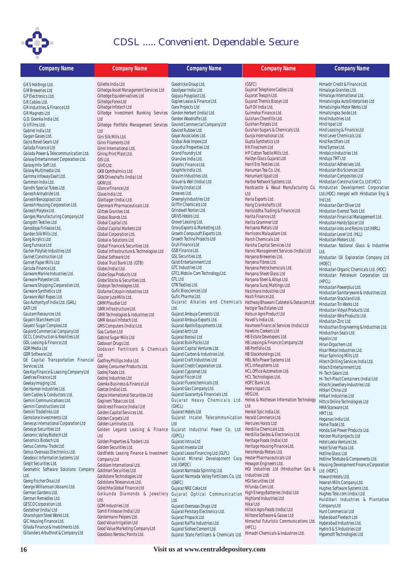

| <b>Company Name</b>                                                            | <b>Company Name</b>                                          | <b>Company Name</b>                                                          | <b>Company Name</b>                                                   | <b>Company Name</b>                                                       |
|--------------------------------------------------------------------------------|--------------------------------------------------------------|------------------------------------------------------------------------------|-----------------------------------------------------------------------|---------------------------------------------------------------------------|
|                                                                                |                                                              |                                                                              |                                                                       | Himadri Credit & Finance Ltd.                                             |
| GKS Holdings Ltd.                                                              | Gillette India Ltd<br>Giltedge Asset Management Services Ltd | Goodricke Group Ltd.<br>Goodyear India Ltd.                                  | (GSFC)<br>Gujarat Telephone Cables Ltd                                | Himalaya Granites Ltd.                                                    |
| <b>GM</b> Breweries Ltd<br>GP Electronics Ltd.                                 | Giltedge Equiderivatives Ltd                                 | Gopala Polyplast Ltd.                                                        | Gujarat Texspin Ltd.                                                  | Himalaya International Ltd.                                               |
| GR Cables Ltd.                                                                 | Giltedge Forex Ltd                                           | Goplee Lease & Finance Ltd.                                                  | Gujarat Themis Biosyn Ltd                                             | Himatsingka Auto Enterprises Ltd                                          |
| GR Industries & Finance Ltd                                                    | Giltedge Infotech Ltd                                        | Gora Projects Ltd                                                            | Gulf Oil India Ltd.                                                   | Himatsingka Motor Works Ltd                                               |
| GR Magnets Ltd                                                                 | Giltedge Investment Banking Services                         | Gordon Herbert (India) Ltd.                                                  | Gulmohar Finance Ltd.                                                 | Himatsingka Seide Ltd.                                                    |
| G.D. Goenka India Ltd.                                                         | Ltd                                                          | Gordon Woodroffe Ltd.                                                        | Gulshan Chemfills Ltd.                                                | Hind Industries Ltd                                                       |
| G.V.Films Ltd.                                                                 | Giltedge Portfolio Management Services                       | Govind Commercial Company Ltd                                                | Gulshan Polyols Ltd.                                                  | Hind Ispat Ltd                                                            |
| Gabriel India Ltd                                                              | Ltd                                                          | Govind Rubber Ltd.                                                           | Gulshan Sugars & Chemicals Ltd.                                       | Hind Leasing & Finance Ltd                                                |
| Gagan Gases Ltd.                                                               | Gini Silk Mills Ltd.                                         | Goyal Associates Ltd.                                                        | Gunja International Ltd.                                              | Hind Lever Chemicals Ltd.                                                 |
| Gajra Bevel Gears Ltd                                                          | Ginni Filaments Ltd                                          | Grabal Alok Impex Ltd                                                        | Gupta Synthetics Ltd                                                  | Hind Rectifiers Ltd                                                       |
| Galada Finance Ltd                                                             | Ginni International Ltd.                                     | Graceful Properties Ltd                                                      | <b>HK Finechem Ltd</b><br>HP Cotton Textile Mills Ltd.                | Hind Syntex Ltd.<br>Hindalco Industries Ltd.                              |
| Galada Power & Telecommunication Ltd.<br>Galaxy Entertainment Corporation Ltd. | Giriraj Print Plast Ltd.                                     | Grand Foundry Ltd<br>Granules India Ltd.                                     | Haldyn Glass Gujarat Ltd                                              | Hinduja TMT Ltd                                                           |
| Galaxy Info-Soft Ltd.                                                          | GIS Ltd.<br>GIVO Ltd.                                        | Graphic Finance Ltd.                                                         | Hanil Era Textiles Ltd.                                               | Hindustan Adhesives Ltd.                                                  |
| Galaxy Multimedia Ltd.                                                         | <b>GKB Ophthalmics Ltd</b>                                   | Graphite India Ltd.                                                          | Hanuman Tea Co. Ltd.                                                  | Hindustan Bio Sciences Ltd                                                |
| Gamma Infoway Exalt Ltd.                                                       | GKN Driveshafts (India) Ltd                                  | Grasim Industries Ltd.                                                       | Hanumant Ispat Ltd                                                    | Hindustan Composites Ltd                                                  |
| Gammon India Ltd.                                                              | GKW Ltd.                                                     | Grauer & Weil (India) Ltd                                                    | Harbor Network Systems Ltd.                                           | Hindustan Construction Co. Ltd (HCC)                                      |
| Gandhi Special Tubes Ltd.                                                      | Glance Finance Ltd                                           | Gravity (India) Ltd                                                          | Hardcastle & Waud Manufacturing Co.                                   | Hindustan Development Corporation                                         |
| Ganesh Anhydride Ltd.                                                          | Glaxo India Ltd.                                             | Greaves Ltd.                                                                 | Ltd                                                                   | Ltd.(HDC) merged with Hindustan Eng &                                     |
| Ganesh Benzoplast Ltd.                                                         | Gleitlager (India) Ltd.                                      | Greenply Industries Ltd<br>Griffin Chemicals Ltd                             | Haria Exports Ltd.                                                    | Ind Ltd.                                                                  |
| Ganesh Housing Corporation Ltd.<br>Ganesh Polytex Ltd.                         | Glenmark Pharmaceuticals Ltd.                                | Grindwell Norton Ltd.                                                        | Harig Crankshafts Ltd<br>Harisiddha Trading & Finance Ltd.            | Hindustan Dorr Oliver Ltd                                                 |
| Ganges Manufacturing Company Ltd                                               | Glittek Granites Ltd.<br>Global Boards Ltd.                  | GRIVS Hotels Ltd.                                                            | Harita Finance Ltd.                                                   | Hindustan Everest Tools Ltd<br>Hindustan Financial Management Ltd.        |
| Gangotri Textiles Ltd                                                          | Global Capital Ltd.                                          | Grover Leasing Ltd.                                                          | Harita Grammer Ltd                                                    | Hindustan Hardy Spicer Ltd                                                |
| Ganodaya Finlease Ltd.                                                         | Global Capital Markets Ltd                                   | Grovy Exports & Marketing Ltd.                                               | Hariyana Metals Ltd                                                   | Hindustan Inks and Resins Ltd (HIRL)                                      |
| Garden Silk Mills Ltd.                                                         | Global Corporation Ltd.                                      | Growth Compusoft Exports Ltd.                                                | Harrisons Malayalam Ltd.                                              | Hindustan Lever Ltd. (HLL)                                                |
| Garg Acrylics Ltd                                                              | Global e-Solutions Ltd                                       | Growth Techno Projects Ltd                                                   | Harsh Chemicals Ltd                                                   | Hindustan Motors Ltd.                                                     |
| Garg Furnace Ltd                                                               | Global Finance & Securities Ltd.                             | Gruh Finance Ltd                                                             | Harsha Capital Services Ltd                                           | Hindustan National Glass & Industries                                     |
| Garlon Polyfab Industries Ltd                                                  | Global Infrastructure & Technologies Ltd                     | GSB Finance Ltd.                                                             | Harvic Management Services (India) Ltd                                | Ltd.                                                                      |
| Garnet Construction Ltd                                                        | Global Software Ltd                                          | <b>GSL Securities Ltd.</b>                                                   | Haryana Breweries Ltd.                                                | Hindustan Oil Exploration Company Ltd                                     |
| Garnet Paper Mills Ltd<br>Garuda Finance Ltd.                                  | Global Trust Bank Ltd. (GTB)                                 | <b>Gslot Entertainment Ltd</b><br>GTC Industries Ltd                         | Haryana Fibres Ltd.                                                   | (HOEC)                                                                    |
| Garware Marine Industries Ltd.                                                 | Globe (India) Ltd.                                           | GTCL Mobile-Com Technology Ltd.                                              | Haryana Petrochemicals Ltd.<br>Haryana Sheet Glass Ltd                | Hindustan Organic Chemicals Ltd. (HOC)                                    |
| Garware Polyester Ltd.                                                         | Globe Soya Products Ltd<br>Globe Stocks & Securities Ltd.    | <b>GTL Ltd</b>                                                               | Haryana Steel & Alloys Ltd.                                           | Hindustan Petroleum Corporation Ltd.                                      |
| Garware Shipping Corporation Ltd.                                              | Globsyn Technologies Ltd.                                    | GTN Textiles Ltd.                                                            | Haryana Suraj Maltings Ltd                                            | (HPCL)<br>Hindustan Powerplus Ltd.                                        |
| Garware Synthetics Ltd                                                         | Glofame Cotspin Industries Ltd                               | Gufic Biosciences Ltd                                                        | Hasimara Industries Ltd                                               | Hindustan Sanitaryware & Industries Ltd.                                  |
| Garware Wall Ropes Ltd.                                                        | Gloster Jute Mills Ltd.                                      | Gufic Pharma Ltd.                                                            | Hasti Finance Ltd.                                                    | Hindustan Stockland Ltd.                                                  |
| Gas Authority of India Ltd. (GAIL)                                             | <b>GMM Pfaudler Ltd</b>                                      |                                                                              | Gujarat Alkalies and Chemicals Hathway Bhawani Cabletel & Datacom Ltd | Hindustan Tin Works Ltd                                                   |
| <b>GATILtd</b>                                                                 | GMR Infrastructure Ltd.                                      | Ltd.                                                                         | Hatigor Tea Estates Ltd                                               | Hindustan Vidyut Products Ltd.                                            |
| Gautam Resources Ltd.<br>Gayatri Starchkem Ltd                                 | GMR Technologies & Industries Ltd                            | Gujarat Ambuja Cements Ltd.<br>Gujarat Ambuja Exports Ltd.                   | Hatsun Agro Product Ltd<br>Havell's India Ltd.                        | Hindustan Wire Products Ltd.                                              |
| Gayatri Sugar Complex Ltd                                                      | GMR Vasavi Infotech Ltd.<br>GMS Computers (India) Ltd.       | Gujarat Apollo Equipments Ltd.                                               | Havmore Financial Services (India) Ltd                                | Hindustan Zinc Ltd.                                                       |
| Gaylord Commercial Company Ltd                                                 | Goa Carbon Ltd                                               | Gujarat Arth Ltd                                                             | Hawkins Cookers Ltd                                                   | Hindusthan Engineering & Industries Ltd.<br>Hindusthan Seals Ltd.         |
| <b>GCCL Construction &amp; Realities Ltd</b>                                   | Gobind Sugar Mills Ltd                                       | Gujarat Borosil Ltd                                                          | HB Estate Developers Ltd.                                             | Hipolin Ltd                                                               |
| GDL Leasing & Finance Ltd                                                      | Godavari Drugs Ltd.                                          | Gujarat Bulk Packs Ltd                                                       | HB Leasing & Finance Company Ltd                                      | Hiran Orgochem Ltd                                                        |
| <b>GDR</b> Media Ltd                                                           | Godavari Fertilisers & Chemicals                             | Gujarat Capital Ventures Ltd.                                                | HB Portfolio Ltd.                                                     | Hisar Metal Industries Ltd.                                               |
| GDR Software Ltd.                                                              | Ltd                                                          | Gujarat Carbon & Industries Ltd.                                             | HB Stockholdings Ltd.                                                 | Hisar Spinning Mills Ltd                                                  |
| GE Capital Transportation Financial                                            | Godfrey Phillips India Ltd.                                  | Gujarat Craft Industries Ltd                                                 | HBL Nife Power Systems Ltd                                            | Hitech Drilling Services India Ltd.                                       |
| Services Ltd.                                                                  | Godrej Consumer Products Ltd.                                | Gujarat Credit Corporation Ltd.<br>Gujarat Cypromet Ltd                      | HCL Infosystems Ltd.<br>HCL Office Automation Ltd.                    | Hitech Entertainment Ltd.                                                 |
| Gee Kay Finance & Leasing Company Ltd<br>Geefcee Finance Ltd                   | Godrej Foods Ltd.<br>Godrej Industries Ltd                   | Gujarat Fiscon Ltd                                                           | HCL Technologies Ltd.                                                 | Hi-Tech Gears Ltd.                                                        |
| Geekay Imaging Ltd.                                                            | Goenka Business & Finance Ltd                                | Gujarat Fluorochemicals Ltd.                                                 | HDFC Bank Ltd.                                                        | Hi-Tech Plast Containers (India) Ltd<br>Hitechi Jewellery Industries Ltd. |
| Gei Hamon Industries Ltd.                                                      | Goetze (India) Ltd.                                          | Gujarat Gas Company Ltd.                                                     | Heera Ispat Ltd.                                                      | Hitkari China Ltd                                                         |
| Gem Cables & Conductors Ltd.                                                   | Gogia International Securities Ltd                           | Gujarat Guaranty & Financials Ltd.                                           | HEG Ltd.                                                              | Hitkari Industries Ltd                                                    |
| Gemini Communications Ltd.                                                     | Gogineni Tobaccos Ltd.                                       |                                                                              | Gujarat Heavy Chemicals Ltd. Helios & Matheson Information Technology | Hittco Online Technologies Ltd                                            |
| Gemini Constructions Ltd                                                       | Goldcrest Finance (India) Ltd                                | (GHCL)                                                                       | Ltd                                                                   | <b>HMA Starware Ltd</b>                                                   |
| Gemini Tradelinks Ltd<br>Gemstone Investments Ltd                              | Golden Capital Services Ltd.                                 | Gujarat Hotels Ltd<br>Gujarat Incatel Telecommunication Herald Commerce Ltd. | Henkel Spic India Ltd.                                                | HMT Ltd.                                                                  |
| Genesys International Corporation Ltd                                          | Golden Carpets Ltd<br>Golden Laminates Ltd.                  | Ltd                                                                          | Hercules Hoists Ltd                                                   | Hoganas India Ltd.                                                        |
| Genesys Securities Ltd                                                         | Golden Legand Leasing & Finance                              | Gujarat Industrial Power Co. Ltd. Herdillia Chemicals Ltd.                   |                                                                       | Home Trade Ltd.                                                           |
| Genomic Valley Biotech Ltd                                                     | Ltd                                                          | (GIPCL)                                                                      | Herdillia Oxides & Electronics Ltd.                                   | Honda Siel Power Products Ltd.<br>Horizon Multiprojects Ltd               |
| Genomics Biotech Ltd                                                           | Golden Properties & Traders Ltd.                             | Gujarat Intrux Ltd                                                           | Heritage Foods (India) Ltd                                            | Hotel Leela Venture Ltd.                                                  |
| Genus Commu-Trade Ltd                                                          | Golden Securities Ltd.                                       | Gujarat Investa Ltd                                                          | Heritage Housing Finance Ltd.                                         | Hotel Silver Plaza Ltd.                                                   |
| Genus Overseas Electronics Ltd.                                                | Goldfields Leasing Finance & Investment                      | Gujarat Lease Financing Ltd. (GLFL)                                          | Hero Honda Motors Ltd.                                                | Hotline Glass Ltd                                                         |
| Geodesic Information Systems Ltd                                               | Company Ltd                                                  | Gujarat Mineral Development Corp                                             | Hester Pharmaceuticals Ltd                                            | Hotline Teletube & Components Ltd.                                        |
| Geojit Securities Ltd.                                                         | Goldiam International Ltd.                                   | Ltd.(GMDC)                                                                   | Hexagon Engineers Ltd.                                                | Housing Development Finance Corporation                                   |
| Geometric Software Solutions Company<br>Ltd.                                   | Goldman Securities Ltd                                       | Gujarat Narmada Spinning Ltd.                                                | HGI Industries Ltd (Hindusthan Gas &<br>Industries Ltd)               | Ltd. (HDFC)                                                               |
| Georg Fischer Disa Ltd                                                         | Goldstone Technologies Ltd                                   | Gujarat Narmada Valley Fertilizers Co. Ltd.                                  | <b>HGI Securities Ltd</b>                                             | Howard Hotels Ltd.                                                        |
| George Williamson (Assam) Ltd.                                                 | Goldstone Teleservices Ltd.<br>Golechha Global Finance Ltd   | (GNFC)<br>Gujarat NRE Coke Ltd                                               | Hifunda.Com Ltd.                                                      | Howrah Mills Company Ltd.<br>Hughes Software Systems Ltd.                 |
| German Gardens Ltd.                                                            | Golkunda Diamonds & Jewellery                                | Gujarat Optical Communication                                                | High Energy Batteries (India) Ltd                                     | Hughes Tele.com (India) Ltd.                                              |
| German Remedies Ltd.                                                           | Ltd.                                                         | Ltd.                                                                         | Highland Industries Ltd                                               | Huldibari Industries & Plantation                                         |
| GESCO Corporation Ltd.                                                         | GOM Industries Ltd                                           | Gujarat Overseas Drugs Ltd                                                   | Hikal Ltd                                                             | Company Ltd                                                               |
| Gestetner (India) Ltd                                                          | Gomti Finlease (India) Ltd                                   | Gujarat Perstorp Electronics Ltd.                                            | Hillock Agro Foods (India) Ltd                                        | Hunt Commercial Ltd                                                       |
| Ghanshyam Steel Works Ltd.                                                     | Gontermann Peipers Ltd.                                      | Gujarat Propack Ltd                                                          | Hilltone Software & Gases Ltd                                         | Hyderabad Flextech Ltd                                                    |
| GIC Housing Finance Ltd.<br>Gilada Finance & Investments Ltd.                  | Good Value Irrigation Ltd                                    | Gujarat Raffia Industries Ltd                                                | Himachal Futuristic Communications Ltd<br>(HFCL)                      | Hyderabad Industries Ltd.                                                 |
| Gillanders Arbuthnot & Company Ltd                                             | Good Value Marketing Company Ltd                             | Gujarat Sidhee Cement Ltd.                                                   | Himadri Chemicals & Industries Ltd.                                   | Hydro S & S Industries Ltd                                                |
|                                                                                | Goodlass Nerolac Paints Ltd.                                 | Gujarat State Fertilizers & Chemicals Ltd.                                   |                                                                       | Hypersoft Technologies Ltd                                                |

**16 Visit us at www.centraldepository.com**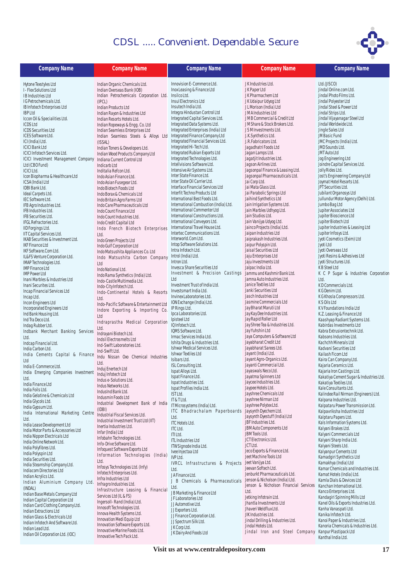

| Indian Organic Chemicals Ltd.<br>Innovision E-Commerce Ltd.<br>JK Industries Ltd.<br>Ltd.(JISCO)<br>Hytone Texstyles Ltd<br>Indian Overseas Bank (IOB)<br>Inox Leasing & Finance Ltd<br>Jindal Online.com Ltd.<br>I - Flex Solutions Ltd<br>JK Paper Ltd<br>Insilco Ltd.<br>IB Industries Ltd<br>Indian Petrochemicals Corporation Ltd.<br>JK Pharmachem Ltd<br>Jindal Photo Films Ltd.<br>Insul Electronics Ltd<br>JK Udaipur Udyog Ltd<br>Jindal Polyester Ltd<br>I G Petrochemicals Ltd.<br>(IPCL)<br>Insutech India Ltd.<br>JL Morison (India) Ltd<br>Jindal Steel & Power Ltd<br>IB Infotech Enterprises Ltd<br>Indian Products Ltd<br>Integra Hindustan Control Ltd<br>JM A Industries Ltd<br>Jindal Strips Ltd.<br><b>IBP Ltd</b><br>Indian Rayon & Industries Ltd<br>Integrated Capital Services Ltd.<br>Iccon Oil & Specialities Ltd.<br>JMB Commercial & Credit Ltd<br>Jindal Vijayanagar Steel Ltd<br>Indian Resorts Hotels Ltd.<br>Integrated Data Systems Ltd.<br>Jindal Worldwide Ltd.<br><b>ICDS Ltd</b><br>JM Share & Stock Brokers Ltd.<br>Indian Ropeways & Engg. Co. Ltd<br>Integrated Enterprises (India) Ltd<br>Jingle Sales Ltd<br><b>ICDS Securities Ltd</b><br>JSM Investments Ltd.<br>Indian Seamless Enterprises Ltd<br>Integrated Finance Company Ltd<br>J.K.Synthetics Ltd.<br>JM Basic Fund<br>ICES Software Ltd.<br>Indian Seamless Steels & Alloys Ltd<br>Integrated Financial Services Ltd.<br>J.R.Fabricators Ltd.<br>JMC Projects (India) Ltd.<br>ICI (India) Ltd.<br>(ISSAL)<br>Integrated Hi-Tech Ltd.<br><b>ICICI Bank Ltd</b><br>Jagadhatri Foods Ltd<br>JMD Sounds Ltd.<br>Indian Toners & Developers Ltd.<br>Integrated Rubian Exports Ltd<br>Jagan Lamps Ltd.<br>JMT Auto Ltd<br><b>ICICI Infotech Services Ltd.</b><br>Indian Wood Products Company Ltd<br>Integrated Technologies Ltd.<br>Jagatjit Industries Ltd.<br>Jog Engineering Ltd<br>ICICI Investment Management Company Indiana Current Control Ltd<br>Intellvisions Software Ltd.<br>Jagson Airlines Ltd.<br>Joindre Capital Services Ltd.<br>Ltd (CBO Fund)<br>Indicarb Ltd<br>Intensive Air Systems Ltd.<br>Jagsonpal Finance & Leasing Ltd.<br>Jolly Rides Ltd.<br><b>ICICILtd.</b><br>Inditalia Refcon Ltd.<br>Inter State Finance Ltd.<br>Jagsonpal Pharmaceuticals Ltd.<br>Jost's Engineering Company Ltd<br>Icon Biopharma & Healthcare Ltd<br>Indo Asian Finance Ltd.<br>Inter State Oil Carrier Ltd.<br>Jai Corp Ltd.<br>Joymat Hotel Resorts Ltd.<br>ICSA (India) Ltd<br>Indo Asian Fusegear Ltd.<br>Interface Financial Services Ltd<br>Jai Mata Glass Ltd.<br>JPT Securities Ltd.<br>IDBI Bank Ltd.<br>Indo Biotech Foods Ltd<br>Interfit Techno Products Ltd<br>Jai Parabolic Springs Ltd<br>Jubilant Organosys Ltd<br>Ideal Carpets Ltd.<br>Indo Borax & Chemicals Ltd<br>Jullundur Motor Agency (Delhi) Ltd.<br>International Best Foods Ltd.<br>Jaihind Synthetics Ltd<br>IEC Software Ltd.<br>Indo Britain Agro Farms Ltd<br>International Combustion (India) Ltd.<br>Jain Irrigation Systems Ltd.<br>Jumbo Bag Ltd<br>IFB Agro Industries Ltd.<br>Indo Care Pharmaceuticals Ltd<br>International Commenter Ltd<br>Jain Marbles Udhyog Ltd.<br>Jupiter Associates Ltd<br>IFB Industries Ltd.<br>Indo Count Finance Ltd<br>International Constructions Ltd.<br>Jain Studios Ltd.<br>Jupiter Bioscience Ltd<br><b>IFB Securities Ltd.</b><br>Indo Count Industries Ltd.<br>International Conveyors Ltd.<br>Jain Vanijya Udyog Ltd.<br>Jupiter Biotech Ltd<br>IFGL Refractories Ltd.<br>Indo Credit Capital Ltd<br>International Travel House Ltd.<br>Jainco Projects (India) Ltd.<br>Jupiter Industries & Leasing Ltd<br>IID Forgings Ltd.<br>Indo French Biotech Enterprises<br>Intertec Communications Ltd.<br>Jaipan Industries Ltd<br>Jupiter Infosys Ltd.<br>IIT Capital Services Ltd.<br>Ltd.<br>Interworld.Com Ltd.<br>Jaiprakash Industries Ltd.<br>Jyoti Cosmetics (Exim) Ltd<br>IKAB Securities & Investment Ltd.<br>Indo Green Projects Ltd<br>Intop Software Solutions Ltd.<br>Jaipur Polyspin Ltd.<br>Jvoti Ltd<br><b>IKF Finance Ltd</b><br>Indo Gulf Corporation Ltd<br>Intra Infotech Ltd.<br>Jaisal Securities Ltd<br>Jyoti Overseas Ltd<br>IKF Software.Com Ltd.<br>Indo Matsushita Appliances Co. Ltd<br>Introl (India) Ltd.<br>Jaju Enterprises Ltd<br>Jyoti Resins & Adhesives Ltd<br>IL&FS Venture Corporation Ltd.<br>Indo Matsushita Carbon Company<br>Intron Ltd.<br>Jaju Investments Ltd<br>Jyoti Structures Ltd.<br>IMAP Technologies Ltd.<br>Ltd<br>Invesca Share Securities Ltd<br>Jalpac India Ltd.<br>K B Steel Ltd<br><b>IMP Finance Ltd</b><br>Indo National Ltd.<br>Investment & Precision Castings Jammu and Kashmir Bank Ltd.<br>K C P Sugar & Industries Corporation<br><b>IMP Power Ltd</b><br>Indo Rama Synthetics (India) Ltd.<br>Ltd<br>Jamna Auto Industries Ltd.<br>Ltd.<br>Inani Marbles & Industries Ltd<br>Indo-Castle Multimedia Ltd.<br>Janice Textiles Ltd<br>KD Commercials Ltd.<br>Investment Trust of India Ltd.<br>Inani Securites Ltd.<br>Indo-City Infotech Ltd.<br>Janki Securities Ltd<br>Investsmart India Ltd.<br>K G Denim Ltd.<br>Incap Financial Services Ltd<br>Indo-Continental Hotels & Resorts<br>Jasch Industries Ltd<br>Invinex Laboratories Ltd.<br>Incap Ltd.<br>K G Khosla Compressors Ltd.<br>Ltd.<br>ION Exchange (India) Ltd.<br>Jasmine Commercials Ltd<br>K S Oils Ltd<br>Incon Engineers Ltd<br>Indo-Pacific Software & Entertainment Ltd<br>Jay Bharat Maruti Ltd<br>IP Rings Ltd.<br>KV Foundations India Ltd<br>Incorporated Engineers Ltd<br>Indore Exporting & Importing Co.<br>Jay Kay Dee Industries Ltd.<br>Ipca Laboratories Ltd.<br>K.Z. Leasing & Finance Ltd<br>Ind Bank Housing Ltd.<br>Ltd<br>Jay Rapid Roller Ltd<br>Ipisteel Ltd<br>Kaashyap Radiant Systems Ltd.<br>Ind Tra Deco Ltd.<br>Indraprastha Medical Corporation<br>Jay Shree Tea & Industries Ltd.<br>IQ Infotech Ltd.<br>Kabirdas Investments Ltd<br>Indag Rubber Ltd.<br>Ltd.<br>Jay Yuhshin Ltd<br>IQMS Software Ltd.<br>Kabra Extrusiontechnik Ltd.<br>Indbank Merchant Banking Services<br>Indrayani Biotech Ltd.<br>Jaya Computers & Software Ltd<br>Irmac Services India Ltd.<br>Kabsons Industries Ltd.<br>Ltd.<br>Indsil Electrosmelts Ltd<br>Jayabharat Credit Ltd<br>Ishita Drugs & Industries Ltd.<br>Kachchh Minerals Ltd<br>Indcap Financial Ltd.<br>Ind-Swift Laboratories Ltd.<br>Ishwar Medical Services Ltd.<br>Jayabharat Sarees Ltd.<br>Kadvani Securities Ltd<br>India Carbon Ltd.<br>Ind-Swift I td.<br>Ishwar Textiles Ltd<br>Jayant (India) Ltd.<br>Kailash Ficom Ltd<br>India Cements Capital & Finance<br>Indu Nissan Oxo Chemical Industries<br>Jayant Agro-Organics Ltd.<br>Isibars Ltd.<br>Kaira Can Company Ltd.<br>Ltd<br>Ltd.<br>Jayanti Commercial Ltd.<br>ISL Consulting Ltd.<br>Kajaria Ceramics Ltd.<br>India E-Commerce Ltd.<br>Induj Enertech Ltd<br>Ispat Alloys Ltd.<br>Jayaswals Neco Ltd.<br>Kajaria Iron Castings Ltd.<br>India Emerging Companies Investment<br>Induj Infotech Ltd<br>Jayatma Spinners Ltd<br>Ispat Finance Ltd.<br>Kakatiya Cement Sugar & Industries Ltd.<br>Ltd.<br>Indus e-Solutions Ltd.<br>Jaycee Industries Ltd.<br>Ispat Industries Ltd.<br>Kakatiya Textiles Ltd.<br>India Finance Ltd<br>Indus Networks Ltd.<br>Jaypee Hotels Ltd.<br>Ispat Profiles India Ltd.<br>Kale Consultants Ltd.<br>India Foils Ltd.<br>IndusInd Bank Ltd.<br>Jayshree Chemicals Ltd<br>IST Ltd.<br>Kalindee Rail Nirman (Engineers) Ltd.<br>India Gelatine & Chemicals Ltd<br>Indusmin Foods Ltd<br>Jayshree Nirman Ltd<br>IT & T Ltd.<br>Kalpana Industries Ltd.<br>India Glycols Ltd.<br>Industrial Development Bank of India<br>IT Microsystems (India) Ltd.<br>Jayshree Polytex Ltd.<br>Kalpataru Power Transmission Ltd.<br>India Gypsum Ltd.<br>(IDBI)<br>Jaysynth Dyechem Ltd.<br>ITC Bhadrachalam Paperboards<br>Kalpavriksha Industries Ltd<br>India International Marketing Centre<br>Industrial Fiscal Services Ltd.<br>Jaysynth Dyestuff (India) Ltd<br>Kalptaru Papers Ltd.<br>Ltd.<br>Ltd.<br>Industrial Investment Trust Ltd (IIT)<br>JBF Industries Ltd.<br>Kals Information Systems Ltd.<br><b>ITC Hotels Ltd.</b><br>India Lease Development Ltd<br>Inertia Industries Ltd.<br>JBM Auto Components Ltd<br>Kalyani Brakes Ltd.<br><b>ITC Ltd.</b><br>India Motor Parts & Accessories Ltd<br>Infar (India) Ltd<br>JBM Tools Ltd.<br>Kalyani Commercials Ltd<br>ITI Ltd.<br>India Nippon Electricals Ltd<br>Infobahn Technologies Ltd.<br>JCT Electronics Ltd.<br>Kalyani Sharp India Ltd.<br><b>ITL Industries Ltd</b><br>India Online Network Ltd.<br>Info-Drive Software Ltd.<br>JCT Ltd.<br>Kalyani Steels Ltd.<br>ITW Signode India Ltd.<br>India Polyfibres Ltd.<br>Infoquest Software Exports Ltd<br>Jeco Exports & Finance Ltd.<br>Kalyanpur Cements Ltd<br>Ivee Injectaa Ltd<br>India Polyspin Ltd<br>Information Technologies (India)<br>Jeet Machine Tools Ltd<br>IVP Ltd.<br>Kamadgiri Synthetics Ltd<br>India Securities Ltd.<br>Ltd.<br>IVRCL Infrastructures & Projects JeetVanijyaLtd.<br>Kamakhya (India) Ltd<br>India Steamship Company Ltd.<br>Infosys Technologies Ltd. (Infy)<br>Jeevan Softech Ltd.<br>Kamar Chemicals and Industries Ltd.<br>Ltd.<br>Indiacom Directories Ltd<br>Infotech Enterprises Ltd.<br>Jenburkt Pharmaceuticals Ltd.<br>Kamat Hotels (India) Ltd.<br>JAFinance Ltd.<br>Indian Acrylics Ltd.<br>Infra Industries Ltd<br>Jenson & Nicholson (India) Ltd.<br>Kamla Dials & Devices Ltd<br>J B Chemicals & Pharmaceuticals<br>Indian Aluminium Company Ltd.<br>Infragro Industries Ltd.<br>Jenson & Nicholson Financial Services<br>Kanchan International Ltd.<br>Ltd.<br>(INDAL)<br>Infrastructure Leasing & Financial<br>Ltd.<br>Kanco Enterprises Ltd.<br>JB Marketing & Finance Ltd<br>Indian Base Metals Company Ltd<br>Services Ltd (IL & FS)<br>Jetking Infotrain Ltd.<br>Kandagiri Spinning Mills Ltd<br>JF Laboratories Ltd<br>Indian Capital Corporation Ltd<br>Ingersoll-Rand (India) Ltd.<br>Kanel Oils & Exports Industries Ltd.<br>Jhantla Investments Ltd<br>JJ Automotive Ltd.<br>Indian Card Clothing Company Ltd.<br>Innosoft Technologies Ltd.<br>Kanha Vanaspati Ltd.<br>Jhaveri Weldflux Ltd.<br>JJ Exporters Ltd.<br>Indian Extractions Ltd<br>Innova Health Systems Ltd.<br>Kanika Infotech Ltd.<br>JIK Industries Ltd.<br>JJ Finance Corporation Ltd.<br>Indian Glass & Electricals Ltd<br>Innovation Medi Equip Ltd<br>Jindal Drilling & Industries Ltd.<br>Kanoi Paper & Industries Ltd.<br>JJ Spectrum Silk Ltd.<br>Indian Infotech And Software Ltd.<br>Innovation Software Exports Ltd.<br>Jindal Hotels Ltd.<br>Kanoria Chemicals & Industries Ltd.<br>JK Corp Ltd.<br>Indian Lead Ltd.<br>Innovative Marine Foods Ltd. | <b>Company Name</b> | <b>Company Name</b> | <b>Company Name</b>     | <b>Company Name</b>           | <b>Company Name</b>   |
|-------------------------------------------------------------------------------------------------------------------------------------------------------------------------------------------------------------------------------------------------------------------------------------------------------------------------------------------------------------------------------------------------------------------------------------------------------------------------------------------------------------------------------------------------------------------------------------------------------------------------------------------------------------------------------------------------------------------------------------------------------------------------------------------------------------------------------------------------------------------------------------------------------------------------------------------------------------------------------------------------------------------------------------------------------------------------------------------------------------------------------------------------------------------------------------------------------------------------------------------------------------------------------------------------------------------------------------------------------------------------------------------------------------------------------------------------------------------------------------------------------------------------------------------------------------------------------------------------------------------------------------------------------------------------------------------------------------------------------------------------------------------------------------------------------------------------------------------------------------------------------------------------------------------------------------------------------------------------------------------------------------------------------------------------------------------------------------------------------------------------------------------------------------------------------------------------------------------------------------------------------------------------------------------------------------------------------------------------------------------------------------------------------------------------------------------------------------------------------------------------------------------------------------------------------------------------------------------------------------------------------------------------------------------------------------------------------------------------------------------------------------------------------------------------------------------------------------------------------------------------------------------------------------------------------------------------------------------------------------------------------------------------------------------------------------------------------------------------------------------------------------------------------------------------------------------------------------------------------------------------------------------------------------------------------------------------------------------------------------------------------------------------------------------------------------------------------------------------------------------------------------------------------------------------------------------------------------------------------------------------------------------------------------------------------------------------------------------------------------------------------------------------------------------------------------------------------------------------------------------------------------------------------------------------------------------------------------------------------------------------------------------------------------------------------------------------------------------------------------------------------------------------------------------------------------------------------------------------------------------------------------------------------------------------------------------------------------------------------------------------------------------------------------------------------------------------------------------------------------------------------------------------------------------------------------------------------------------------------------------------------------------------------------------------------------------------------------------------------------------------------------------------------------------------------------------------------------------------------------------------------------------------------------------------------------------------------------------------------------------------------------------------------------------------------------------------------------------------------------------------------------------------------------------------------------------------------------------------------------------------------------------------------------------------------------------------------------------------------------------------------------------------------------------------------------------------------------------------------------------------------------------------------------------------------------------------------------------------------------------------------------------------------------------------------------------------------------------------------------------------------------------------------------------------------------------------------------------------------------------------------------------------------------------------------------------------------------------------------------------------------------------------------------------------------------------------------------------------------------------------------------------------------------------------------------------------------------------------------------------------------------------------------------------------------------------------------------------------------------------------------------------------------------------------------------------------------------------------------------------------------------------------------------------------------------------------------------------------------------------------------------------------------------------------------------------------------------------------------------------------------------------------------------------------------------------------------------------------------------------------------------------------------------------------------------------------------------------------------------------------------------------------------------------------------------------------------------------------------------------------------------------------------------------------------------------------------------------------------------------------------------------------------------------------------------------------------------------------------------------------------------------------------------------------------------------------------------------------------------------------------------------------------------------------------------------------------------------------------------------------------------------------------------------------------------------------------------------------------------------------------------------------------------------------------------------------------------------------------------------------------------------------------------------------------------------------------------------------------------------------------------------------------------------------------------------------------------------------------------------------------------------------------------------------------------------------------------------------------------------------------------------------------------------------------------------------------------------------------------------------------------------------------------------------------------------------------------------------------------------------------------------------------------------------------------------------------------------------------------------------------------------------------------------------------------------------------------------------------------------------------------------------------------------------------------------------------------------------------------------------------------------------------------------------------------------------------------------------------------------------------------------------------------------------------------------------------------------------------------------------------------------------------------------------------------------------------------------------------------------------------------------------------------------------------------------------------------------------------------------------------------------------------------------------------------------------------------------------------------------------------------------------------------------------------------------------------------------------------------------------------------------------------------------------------------------------------------------------------------------------------------------------------------------------------------------------------------------------------------------------------------------------------------------------------------------------------------------------------------------------------------------------------------------------------------------------------------------------------------------------------------------------------------------------------------------------------------------------------------------------------------------------------------------------------------------------------------------------------------------------------------------------------------------------------------------------------------------------------------------------------------------------------------------------------------------------------------------------------------------------------------------------------------------------------------------------------------------------------------------|---------------------|---------------------|-------------------------|-------------------------------|-----------------------|
|                                                                                                                                                                                                                                                                                                                                                                                                                                                                                                                                                                                                                                                                                                                                                                                                                                                                                                                                                                                                                                                                                                                                                                                                                                                                                                                                                                                                                                                                                                                                                                                                                                                                                                                                                                                                                                                                                                                                                                                                                                                                                                                                                                                                                                                                                                                                                                                                                                                                                                                                                                                                                                                                                                                                                                                                                                                                                                                                                                                                                                                                                                                                                                                                                                                                                                                                                                                                                                                                                                                                                                                                                                                                                                                                                                                                                                                                                                                                                                                                                                                                                                                                                                                                                                                                                                                                                                                                                                                                                                                                                                                                                                                                                                                                                                                                                                                                                                                                                                                                                                                                                                                                                                                                                                                                                                                                                                                                                                                                                                                                                                                                                                                                                                                                                                                                                                                                                                                                                                                                                                                                                                                                                                                                                                                                                                                                                                                                                                                                                                                                                                                                                                                                                                                                                                                                                                                                                                                                                                                                                                                                                                                                                                                                                                                                                                                                                                                                                                                                                                                                                                                                                                                                                                                                                                                                                                                                                                                                                                                                                                                                                                                                                                                                                                                                                                                                                                                                                                                                                                                                                                                                                                                                                                                                                                                                                                                                                                                                                                                                                                                                                                                                                                                                                                                                                                                                                                                                                                                                                                                                                                                                                                                                                                                                                                                                                                                                                                                                                                                                                                                                                                                                                                                                                                                                                                                                                                                                                                                                                                                                                                                                                                                                                                                                           |                     |                     |                         |                               |                       |
|                                                                                                                                                                                                                                                                                                                                                                                                                                                                                                                                                                                                                                                                                                                                                                                                                                                                                                                                                                                                                                                                                                                                                                                                                                                                                                                                                                                                                                                                                                                                                                                                                                                                                                                                                                                                                                                                                                                                                                                                                                                                                                                                                                                                                                                                                                                                                                                                                                                                                                                                                                                                                                                                                                                                                                                                                                                                                                                                                                                                                                                                                                                                                                                                                                                                                                                                                                                                                                                                                                                                                                                                                                                                                                                                                                                                                                                                                                                                                                                                                                                                                                                                                                                                                                                                                                                                                                                                                                                                                                                                                                                                                                                                                                                                                                                                                                                                                                                                                                                                                                                                                                                                                                                                                                                                                                                                                                                                                                                                                                                                                                                                                                                                                                                                                                                                                                                                                                                                                                                                                                                                                                                                                                                                                                                                                                                                                                                                                                                                                                                                                                                                                                                                                                                                                                                                                                                                                                                                                                                                                                                                                                                                                                                                                                                                                                                                                                                                                                                                                                                                                                                                                                                                                                                                                                                                                                                                                                                                                                                                                                                                                                                                                                                                                                                                                                                                                                                                                                                                                                                                                                                                                                                                                                                                                                                                                                                                                                                                                                                                                                                                                                                                                                                                                                                                                                                                                                                                                                                                                                                                                                                                                                                                                                                                                                                                                                                                                                                                                                                                                                                                                                                                                                                                                                                                                                                                                                                                                                                                                                                                                                                                                                                                                                                                           |                     |                     |                         |                               |                       |
|                                                                                                                                                                                                                                                                                                                                                                                                                                                                                                                                                                                                                                                                                                                                                                                                                                                                                                                                                                                                                                                                                                                                                                                                                                                                                                                                                                                                                                                                                                                                                                                                                                                                                                                                                                                                                                                                                                                                                                                                                                                                                                                                                                                                                                                                                                                                                                                                                                                                                                                                                                                                                                                                                                                                                                                                                                                                                                                                                                                                                                                                                                                                                                                                                                                                                                                                                                                                                                                                                                                                                                                                                                                                                                                                                                                                                                                                                                                                                                                                                                                                                                                                                                                                                                                                                                                                                                                                                                                                                                                                                                                                                                                                                                                                                                                                                                                                                                                                                                                                                                                                                                                                                                                                                                                                                                                                                                                                                                                                                                                                                                                                                                                                                                                                                                                                                                                                                                                                                                                                                                                                                                                                                                                                                                                                                                                                                                                                                                                                                                                                                                                                                                                                                                                                                                                                                                                                                                                                                                                                                                                                                                                                                                                                                                                                                                                                                                                                                                                                                                                                                                                                                                                                                                                                                                                                                                                                                                                                                                                                                                                                                                                                                                                                                                                                                                                                                                                                                                                                                                                                                                                                                                                                                                                                                                                                                                                                                                                                                                                                                                                                                                                                                                                                                                                                                                                                                                                                                                                                                                                                                                                                                                                                                                                                                                                                                                                                                                                                                                                                                                                                                                                                                                                                                                                                                                                                                                                                                                                                                                                                                                                                                                                                                                                                           |                     |                     |                         |                               |                       |
|                                                                                                                                                                                                                                                                                                                                                                                                                                                                                                                                                                                                                                                                                                                                                                                                                                                                                                                                                                                                                                                                                                                                                                                                                                                                                                                                                                                                                                                                                                                                                                                                                                                                                                                                                                                                                                                                                                                                                                                                                                                                                                                                                                                                                                                                                                                                                                                                                                                                                                                                                                                                                                                                                                                                                                                                                                                                                                                                                                                                                                                                                                                                                                                                                                                                                                                                                                                                                                                                                                                                                                                                                                                                                                                                                                                                                                                                                                                                                                                                                                                                                                                                                                                                                                                                                                                                                                                                                                                                                                                                                                                                                                                                                                                                                                                                                                                                                                                                                                                                                                                                                                                                                                                                                                                                                                                                                                                                                                                                                                                                                                                                                                                                                                                                                                                                                                                                                                                                                                                                                                                                                                                                                                                                                                                                                                                                                                                                                                                                                                                                                                                                                                                                                                                                                                                                                                                                                                                                                                                                                                                                                                                                                                                                                                                                                                                                                                                                                                                                                                                                                                                                                                                                                                                                                                                                                                                                                                                                                                                                                                                                                                                                                                                                                                                                                                                                                                                                                                                                                                                                                                                                                                                                                                                                                                                                                                                                                                                                                                                                                                                                                                                                                                                                                                                                                                                                                                                                                                                                                                                                                                                                                                                                                                                                                                                                                                                                                                                                                                                                                                                                                                                                                                                                                                                                                                                                                                                                                                                                                                                                                                                                                                                                                                                                           |                     |                     |                         |                               |                       |
|                                                                                                                                                                                                                                                                                                                                                                                                                                                                                                                                                                                                                                                                                                                                                                                                                                                                                                                                                                                                                                                                                                                                                                                                                                                                                                                                                                                                                                                                                                                                                                                                                                                                                                                                                                                                                                                                                                                                                                                                                                                                                                                                                                                                                                                                                                                                                                                                                                                                                                                                                                                                                                                                                                                                                                                                                                                                                                                                                                                                                                                                                                                                                                                                                                                                                                                                                                                                                                                                                                                                                                                                                                                                                                                                                                                                                                                                                                                                                                                                                                                                                                                                                                                                                                                                                                                                                                                                                                                                                                                                                                                                                                                                                                                                                                                                                                                                                                                                                                                                                                                                                                                                                                                                                                                                                                                                                                                                                                                                                                                                                                                                                                                                                                                                                                                                                                                                                                                                                                                                                                                                                                                                                                                                                                                                                                                                                                                                                                                                                                                                                                                                                                                                                                                                                                                                                                                                                                                                                                                                                                                                                                                                                                                                                                                                                                                                                                                                                                                                                                                                                                                                                                                                                                                                                                                                                                                                                                                                                                                                                                                                                                                                                                                                                                                                                                                                                                                                                                                                                                                                                                                                                                                                                                                                                                                                                                                                                                                                                                                                                                                                                                                                                                                                                                                                                                                                                                                                                                                                                                                                                                                                                                                                                                                                                                                                                                                                                                                                                                                                                                                                                                                                                                                                                                                                                                                                                                                                                                                                                                                                                                                                                                                                                                                                           |                     |                     |                         |                               |                       |
|                                                                                                                                                                                                                                                                                                                                                                                                                                                                                                                                                                                                                                                                                                                                                                                                                                                                                                                                                                                                                                                                                                                                                                                                                                                                                                                                                                                                                                                                                                                                                                                                                                                                                                                                                                                                                                                                                                                                                                                                                                                                                                                                                                                                                                                                                                                                                                                                                                                                                                                                                                                                                                                                                                                                                                                                                                                                                                                                                                                                                                                                                                                                                                                                                                                                                                                                                                                                                                                                                                                                                                                                                                                                                                                                                                                                                                                                                                                                                                                                                                                                                                                                                                                                                                                                                                                                                                                                                                                                                                                                                                                                                                                                                                                                                                                                                                                                                                                                                                                                                                                                                                                                                                                                                                                                                                                                                                                                                                                                                                                                                                                                                                                                                                                                                                                                                                                                                                                                                                                                                                                                                                                                                                                                                                                                                                                                                                                                                                                                                                                                                                                                                                                                                                                                                                                                                                                                                                                                                                                                                                                                                                                                                                                                                                                                                                                                                                                                                                                                                                                                                                                                                                                                                                                                                                                                                                                                                                                                                                                                                                                                                                                                                                                                                                                                                                                                                                                                                                                                                                                                                                                                                                                                                                                                                                                                                                                                                                                                                                                                                                                                                                                                                                                                                                                                                                                                                                                                                                                                                                                                                                                                                                                                                                                                                                                                                                                                                                                                                                                                                                                                                                                                                                                                                                                                                                                                                                                                                                                                                                                                                                                                                                                                                                                                           |                     |                     |                         |                               |                       |
|                                                                                                                                                                                                                                                                                                                                                                                                                                                                                                                                                                                                                                                                                                                                                                                                                                                                                                                                                                                                                                                                                                                                                                                                                                                                                                                                                                                                                                                                                                                                                                                                                                                                                                                                                                                                                                                                                                                                                                                                                                                                                                                                                                                                                                                                                                                                                                                                                                                                                                                                                                                                                                                                                                                                                                                                                                                                                                                                                                                                                                                                                                                                                                                                                                                                                                                                                                                                                                                                                                                                                                                                                                                                                                                                                                                                                                                                                                                                                                                                                                                                                                                                                                                                                                                                                                                                                                                                                                                                                                                                                                                                                                                                                                                                                                                                                                                                                                                                                                                                                                                                                                                                                                                                                                                                                                                                                                                                                                                                                                                                                                                                                                                                                                                                                                                                                                                                                                                                                                                                                                                                                                                                                                                                                                                                                                                                                                                                                                                                                                                                                                                                                                                                                                                                                                                                                                                                                                                                                                                                                                                                                                                                                                                                                                                                                                                                                                                                                                                                                                                                                                                                                                                                                                                                                                                                                                                                                                                                                                                                                                                                                                                                                                                                                                                                                                                                                                                                                                                                                                                                                                                                                                                                                                                                                                                                                                                                                                                                                                                                                                                                                                                                                                                                                                                                                                                                                                                                                                                                                                                                                                                                                                                                                                                                                                                                                                                                                                                                                                                                                                                                                                                                                                                                                                                                                                                                                                                                                                                                                                                                                                                                                                                                                                                                           |                     |                     |                         |                               |                       |
|                                                                                                                                                                                                                                                                                                                                                                                                                                                                                                                                                                                                                                                                                                                                                                                                                                                                                                                                                                                                                                                                                                                                                                                                                                                                                                                                                                                                                                                                                                                                                                                                                                                                                                                                                                                                                                                                                                                                                                                                                                                                                                                                                                                                                                                                                                                                                                                                                                                                                                                                                                                                                                                                                                                                                                                                                                                                                                                                                                                                                                                                                                                                                                                                                                                                                                                                                                                                                                                                                                                                                                                                                                                                                                                                                                                                                                                                                                                                                                                                                                                                                                                                                                                                                                                                                                                                                                                                                                                                                                                                                                                                                                                                                                                                                                                                                                                                                                                                                                                                                                                                                                                                                                                                                                                                                                                                                                                                                                                                                                                                                                                                                                                                                                                                                                                                                                                                                                                                                                                                                                                                                                                                                                                                                                                                                                                                                                                                                                                                                                                                                                                                                                                                                                                                                                                                                                                                                                                                                                                                                                                                                                                                                                                                                                                                                                                                                                                                                                                                                                                                                                                                                                                                                                                                                                                                                                                                                                                                                                                                                                                                                                                                                                                                                                                                                                                                                                                                                                                                                                                                                                                                                                                                                                                                                                                                                                                                                                                                                                                                                                                                                                                                                                                                                                                                                                                                                                                                                                                                                                                                                                                                                                                                                                                                                                                                                                                                                                                                                                                                                                                                                                                                                                                                                                                                                                                                                                                                                                                                                                                                                                                                                                                                                                                                           |                     |                     |                         |                               |                       |
|                                                                                                                                                                                                                                                                                                                                                                                                                                                                                                                                                                                                                                                                                                                                                                                                                                                                                                                                                                                                                                                                                                                                                                                                                                                                                                                                                                                                                                                                                                                                                                                                                                                                                                                                                                                                                                                                                                                                                                                                                                                                                                                                                                                                                                                                                                                                                                                                                                                                                                                                                                                                                                                                                                                                                                                                                                                                                                                                                                                                                                                                                                                                                                                                                                                                                                                                                                                                                                                                                                                                                                                                                                                                                                                                                                                                                                                                                                                                                                                                                                                                                                                                                                                                                                                                                                                                                                                                                                                                                                                                                                                                                                                                                                                                                                                                                                                                                                                                                                                                                                                                                                                                                                                                                                                                                                                                                                                                                                                                                                                                                                                                                                                                                                                                                                                                                                                                                                                                                                                                                                                                                                                                                                                                                                                                                                                                                                                                                                                                                                                                                                                                                                                                                                                                                                                                                                                                                                                                                                                                                                                                                                                                                                                                                                                                                                                                                                                                                                                                                                                                                                                                                                                                                                                                                                                                                                                                                                                                                                                                                                                                                                                                                                                                                                                                                                                                                                                                                                                                                                                                                                                                                                                                                                                                                                                                                                                                                                                                                                                                                                                                                                                                                                                                                                                                                                                                                                                                                                                                                                                                                                                                                                                                                                                                                                                                                                                                                                                                                                                                                                                                                                                                                                                                                                                                                                                                                                                                                                                                                                                                                                                                                                                                                                                                           |                     |                     |                         |                               |                       |
|                                                                                                                                                                                                                                                                                                                                                                                                                                                                                                                                                                                                                                                                                                                                                                                                                                                                                                                                                                                                                                                                                                                                                                                                                                                                                                                                                                                                                                                                                                                                                                                                                                                                                                                                                                                                                                                                                                                                                                                                                                                                                                                                                                                                                                                                                                                                                                                                                                                                                                                                                                                                                                                                                                                                                                                                                                                                                                                                                                                                                                                                                                                                                                                                                                                                                                                                                                                                                                                                                                                                                                                                                                                                                                                                                                                                                                                                                                                                                                                                                                                                                                                                                                                                                                                                                                                                                                                                                                                                                                                                                                                                                                                                                                                                                                                                                                                                                                                                                                                                                                                                                                                                                                                                                                                                                                                                                                                                                                                                                                                                                                                                                                                                                                                                                                                                                                                                                                                                                                                                                                                                                                                                                                                                                                                                                                                                                                                                                                                                                                                                                                                                                                                                                                                                                                                                                                                                                                                                                                                                                                                                                                                                                                                                                                                                                                                                                                                                                                                                                                                                                                                                                                                                                                                                                                                                                                                                                                                                                                                                                                                                                                                                                                                                                                                                                                                                                                                                                                                                                                                                                                                                                                                                                                                                                                                                                                                                                                                                                                                                                                                                                                                                                                                                                                                                                                                                                                                                                                                                                                                                                                                                                                                                                                                                                                                                                                                                                                                                                                                                                                                                                                                                                                                                                                                                                                                                                                                                                                                                                                                                                                                                                                                                                                                                           |                     |                     |                         |                               |                       |
|                                                                                                                                                                                                                                                                                                                                                                                                                                                                                                                                                                                                                                                                                                                                                                                                                                                                                                                                                                                                                                                                                                                                                                                                                                                                                                                                                                                                                                                                                                                                                                                                                                                                                                                                                                                                                                                                                                                                                                                                                                                                                                                                                                                                                                                                                                                                                                                                                                                                                                                                                                                                                                                                                                                                                                                                                                                                                                                                                                                                                                                                                                                                                                                                                                                                                                                                                                                                                                                                                                                                                                                                                                                                                                                                                                                                                                                                                                                                                                                                                                                                                                                                                                                                                                                                                                                                                                                                                                                                                                                                                                                                                                                                                                                                                                                                                                                                                                                                                                                                                                                                                                                                                                                                                                                                                                                                                                                                                                                                                                                                                                                                                                                                                                                                                                                                                                                                                                                                                                                                                                                                                                                                                                                                                                                                                                                                                                                                                                                                                                                                                                                                                                                                                                                                                                                                                                                                                                                                                                                                                                                                                                                                                                                                                                                                                                                                                                                                                                                                                                                                                                                                                                                                                                                                                                                                                                                                                                                                                                                                                                                                                                                                                                                                                                                                                                                                                                                                                                                                                                                                                                                                                                                                                                                                                                                                                                                                                                                                                                                                                                                                                                                                                                                                                                                                                                                                                                                                                                                                                                                                                                                                                                                                                                                                                                                                                                                                                                                                                                                                                                                                                                                                                                                                                                                                                                                                                                                                                                                                                                                                                                                                                                                                                                                                           |                     |                     |                         |                               |                       |
|                                                                                                                                                                                                                                                                                                                                                                                                                                                                                                                                                                                                                                                                                                                                                                                                                                                                                                                                                                                                                                                                                                                                                                                                                                                                                                                                                                                                                                                                                                                                                                                                                                                                                                                                                                                                                                                                                                                                                                                                                                                                                                                                                                                                                                                                                                                                                                                                                                                                                                                                                                                                                                                                                                                                                                                                                                                                                                                                                                                                                                                                                                                                                                                                                                                                                                                                                                                                                                                                                                                                                                                                                                                                                                                                                                                                                                                                                                                                                                                                                                                                                                                                                                                                                                                                                                                                                                                                                                                                                                                                                                                                                                                                                                                                                                                                                                                                                                                                                                                                                                                                                                                                                                                                                                                                                                                                                                                                                                                                                                                                                                                                                                                                                                                                                                                                                                                                                                                                                                                                                                                                                                                                                                                                                                                                                                                                                                                                                                                                                                                                                                                                                                                                                                                                                                                                                                                                                                                                                                                                                                                                                                                                                                                                                                                                                                                                                                                                                                                                                                                                                                                                                                                                                                                                                                                                                                                                                                                                                                                                                                                                                                                                                                                                                                                                                                                                                                                                                                                                                                                                                                                                                                                                                                                                                                                                                                                                                                                                                                                                                                                                                                                                                                                                                                                                                                                                                                                                                                                                                                                                                                                                                                                                                                                                                                                                                                                                                                                                                                                                                                                                                                                                                                                                                                                                                                                                                                                                                                                                                                                                                                                                                                                                                                                                           |                     |                     |                         |                               |                       |
|                                                                                                                                                                                                                                                                                                                                                                                                                                                                                                                                                                                                                                                                                                                                                                                                                                                                                                                                                                                                                                                                                                                                                                                                                                                                                                                                                                                                                                                                                                                                                                                                                                                                                                                                                                                                                                                                                                                                                                                                                                                                                                                                                                                                                                                                                                                                                                                                                                                                                                                                                                                                                                                                                                                                                                                                                                                                                                                                                                                                                                                                                                                                                                                                                                                                                                                                                                                                                                                                                                                                                                                                                                                                                                                                                                                                                                                                                                                                                                                                                                                                                                                                                                                                                                                                                                                                                                                                                                                                                                                                                                                                                                                                                                                                                                                                                                                                                                                                                                                                                                                                                                                                                                                                                                                                                                                                                                                                                                                                                                                                                                                                                                                                                                                                                                                                                                                                                                                                                                                                                                                                                                                                                                                                                                                                                                                                                                                                                                                                                                                                                                                                                                                                                                                                                                                                                                                                                                                                                                                                                                                                                                                                                                                                                                                                                                                                                                                                                                                                                                                                                                                                                                                                                                                                                                                                                                                                                                                                                                                                                                                                                                                                                                                                                                                                                                                                                                                                                                                                                                                                                                                                                                                                                                                                                                                                                                                                                                                                                                                                                                                                                                                                                                                                                                                                                                                                                                                                                                                                                                                                                                                                                                                                                                                                                                                                                                                                                                                                                                                                                                                                                                                                                                                                                                                                                                                                                                                                                                                                                                                                                                                                                                                                                                                                           |                     |                     |                         |                               |                       |
|                                                                                                                                                                                                                                                                                                                                                                                                                                                                                                                                                                                                                                                                                                                                                                                                                                                                                                                                                                                                                                                                                                                                                                                                                                                                                                                                                                                                                                                                                                                                                                                                                                                                                                                                                                                                                                                                                                                                                                                                                                                                                                                                                                                                                                                                                                                                                                                                                                                                                                                                                                                                                                                                                                                                                                                                                                                                                                                                                                                                                                                                                                                                                                                                                                                                                                                                                                                                                                                                                                                                                                                                                                                                                                                                                                                                                                                                                                                                                                                                                                                                                                                                                                                                                                                                                                                                                                                                                                                                                                                                                                                                                                                                                                                                                                                                                                                                                                                                                                                                                                                                                                                                                                                                                                                                                                                                                                                                                                                                                                                                                                                                                                                                                                                                                                                                                                                                                                                                                                                                                                                                                                                                                                                                                                                                                                                                                                                                                                                                                                                                                                                                                                                                                                                                                                                                                                                                                                                                                                                                                                                                                                                                                                                                                                                                                                                                                                                                                                                                                                                                                                                                                                                                                                                                                                                                                                                                                                                                                                                                                                                                                                                                                                                                                                                                                                                                                                                                                                                                                                                                                                                                                                                                                                                                                                                                                                                                                                                                                                                                                                                                                                                                                                                                                                                                                                                                                                                                                                                                                                                                                                                                                                                                                                                                                                                                                                                                                                                                                                                                                                                                                                                                                                                                                                                                                                                                                                                                                                                                                                                                                                                                                                                                                                                                           |                     |                     |                         |                               |                       |
|                                                                                                                                                                                                                                                                                                                                                                                                                                                                                                                                                                                                                                                                                                                                                                                                                                                                                                                                                                                                                                                                                                                                                                                                                                                                                                                                                                                                                                                                                                                                                                                                                                                                                                                                                                                                                                                                                                                                                                                                                                                                                                                                                                                                                                                                                                                                                                                                                                                                                                                                                                                                                                                                                                                                                                                                                                                                                                                                                                                                                                                                                                                                                                                                                                                                                                                                                                                                                                                                                                                                                                                                                                                                                                                                                                                                                                                                                                                                                                                                                                                                                                                                                                                                                                                                                                                                                                                                                                                                                                                                                                                                                                                                                                                                                                                                                                                                                                                                                                                                                                                                                                                                                                                                                                                                                                                                                                                                                                                                                                                                                                                                                                                                                                                                                                                                                                                                                                                                                                                                                                                                                                                                                                                                                                                                                                                                                                                                                                                                                                                                                                                                                                                                                                                                                                                                                                                                                                                                                                                                                                                                                                                                                                                                                                                                                                                                                                                                                                                                                                                                                                                                                                                                                                                                                                                                                                                                                                                                                                                                                                                                                                                                                                                                                                                                                                                                                                                                                                                                                                                                                                                                                                                                                                                                                                                                                                                                                                                                                                                                                                                                                                                                                                                                                                                                                                                                                                                                                                                                                                                                                                                                                                                                                                                                                                                                                                                                                                                                                                                                                                                                                                                                                                                                                                                                                                                                                                                                                                                                                                                                                                                                                                                                                                                                           |                     |                     |                         |                               |                       |
|                                                                                                                                                                                                                                                                                                                                                                                                                                                                                                                                                                                                                                                                                                                                                                                                                                                                                                                                                                                                                                                                                                                                                                                                                                                                                                                                                                                                                                                                                                                                                                                                                                                                                                                                                                                                                                                                                                                                                                                                                                                                                                                                                                                                                                                                                                                                                                                                                                                                                                                                                                                                                                                                                                                                                                                                                                                                                                                                                                                                                                                                                                                                                                                                                                                                                                                                                                                                                                                                                                                                                                                                                                                                                                                                                                                                                                                                                                                                                                                                                                                                                                                                                                                                                                                                                                                                                                                                                                                                                                                                                                                                                                                                                                                                                                                                                                                                                                                                                                                                                                                                                                                                                                                                                                                                                                                                                                                                                                                                                                                                                                                                                                                                                                                                                                                                                                                                                                                                                                                                                                                                                                                                                                                                                                                                                                                                                                                                                                                                                                                                                                                                                                                                                                                                                                                                                                                                                                                                                                                                                                                                                                                                                                                                                                                                                                                                                                                                                                                                                                                                                                                                                                                                                                                                                                                                                                                                                                                                                                                                                                                                                                                                                                                                                                                                                                                                                                                                                                                                                                                                                                                                                                                                                                                                                                                                                                                                                                                                                                                                                                                                                                                                                                                                                                                                                                                                                                                                                                                                                                                                                                                                                                                                                                                                                                                                                                                                                                                                                                                                                                                                                                                                                                                                                                                                                                                                                                                                                                                                                                                                                                                                                                                                                                                                           |                     |                     |                         |                               |                       |
|                                                                                                                                                                                                                                                                                                                                                                                                                                                                                                                                                                                                                                                                                                                                                                                                                                                                                                                                                                                                                                                                                                                                                                                                                                                                                                                                                                                                                                                                                                                                                                                                                                                                                                                                                                                                                                                                                                                                                                                                                                                                                                                                                                                                                                                                                                                                                                                                                                                                                                                                                                                                                                                                                                                                                                                                                                                                                                                                                                                                                                                                                                                                                                                                                                                                                                                                                                                                                                                                                                                                                                                                                                                                                                                                                                                                                                                                                                                                                                                                                                                                                                                                                                                                                                                                                                                                                                                                                                                                                                                                                                                                                                                                                                                                                                                                                                                                                                                                                                                                                                                                                                                                                                                                                                                                                                                                                                                                                                                                                                                                                                                                                                                                                                                                                                                                                                                                                                                                                                                                                                                                                                                                                                                                                                                                                                                                                                                                                                                                                                                                                                                                                                                                                                                                                                                                                                                                                                                                                                                                                                                                                                                                                                                                                                                                                                                                                                                                                                                                                                                                                                                                                                                                                                                                                                                                                                                                                                                                                                                                                                                                                                                                                                                                                                                                                                                                                                                                                                                                                                                                                                                                                                                                                                                                                                                                                                                                                                                                                                                                                                                                                                                                                                                                                                                                                                                                                                                                                                                                                                                                                                                                                                                                                                                                                                                                                                                                                                                                                                                                                                                                                                                                                                                                                                                                                                                                                                                                                                                                                                                                                                                                                                                                                                                                           |                     |                     |                         |                               |                       |
|                                                                                                                                                                                                                                                                                                                                                                                                                                                                                                                                                                                                                                                                                                                                                                                                                                                                                                                                                                                                                                                                                                                                                                                                                                                                                                                                                                                                                                                                                                                                                                                                                                                                                                                                                                                                                                                                                                                                                                                                                                                                                                                                                                                                                                                                                                                                                                                                                                                                                                                                                                                                                                                                                                                                                                                                                                                                                                                                                                                                                                                                                                                                                                                                                                                                                                                                                                                                                                                                                                                                                                                                                                                                                                                                                                                                                                                                                                                                                                                                                                                                                                                                                                                                                                                                                                                                                                                                                                                                                                                                                                                                                                                                                                                                                                                                                                                                                                                                                                                                                                                                                                                                                                                                                                                                                                                                                                                                                                                                                                                                                                                                                                                                                                                                                                                                                                                                                                                                                                                                                                                                                                                                                                                                                                                                                                                                                                                                                                                                                                                                                                                                                                                                                                                                                                                                                                                                                                                                                                                                                                                                                                                                                                                                                                                                                                                                                                                                                                                                                                                                                                                                                                                                                                                                                                                                                                                                                                                                                                                                                                                                                                                                                                                                                                                                                                                                                                                                                                                                                                                                                                                                                                                                                                                                                                                                                                                                                                                                                                                                                                                                                                                                                                                                                                                                                                                                                                                                                                                                                                                                                                                                                                                                                                                                                                                                                                                                                                                                                                                                                                                                                                                                                                                                                                                                                                                                                                                                                                                                                                                                                                                                                                                                                                                                           |                     |                     |                         |                               |                       |
|                                                                                                                                                                                                                                                                                                                                                                                                                                                                                                                                                                                                                                                                                                                                                                                                                                                                                                                                                                                                                                                                                                                                                                                                                                                                                                                                                                                                                                                                                                                                                                                                                                                                                                                                                                                                                                                                                                                                                                                                                                                                                                                                                                                                                                                                                                                                                                                                                                                                                                                                                                                                                                                                                                                                                                                                                                                                                                                                                                                                                                                                                                                                                                                                                                                                                                                                                                                                                                                                                                                                                                                                                                                                                                                                                                                                                                                                                                                                                                                                                                                                                                                                                                                                                                                                                                                                                                                                                                                                                                                                                                                                                                                                                                                                                                                                                                                                                                                                                                                                                                                                                                                                                                                                                                                                                                                                                                                                                                                                                                                                                                                                                                                                                                                                                                                                                                                                                                                                                                                                                                                                                                                                                                                                                                                                                                                                                                                                                                                                                                                                                                                                                                                                                                                                                                                                                                                                                                                                                                                                                                                                                                                                                                                                                                                                                                                                                                                                                                                                                                                                                                                                                                                                                                                                                                                                                                                                                                                                                                                                                                                                                                                                                                                                                                                                                                                                                                                                                                                                                                                                                                                                                                                                                                                                                                                                                                                                                                                                                                                                                                                                                                                                                                                                                                                                                                                                                                                                                                                                                                                                                                                                                                                                                                                                                                                                                                                                                                                                                                                                                                                                                                                                                                                                                                                                                                                                                                                                                                                                                                                                                                                                                                                                                                                                           |                     |                     |                         |                               |                       |
|                                                                                                                                                                                                                                                                                                                                                                                                                                                                                                                                                                                                                                                                                                                                                                                                                                                                                                                                                                                                                                                                                                                                                                                                                                                                                                                                                                                                                                                                                                                                                                                                                                                                                                                                                                                                                                                                                                                                                                                                                                                                                                                                                                                                                                                                                                                                                                                                                                                                                                                                                                                                                                                                                                                                                                                                                                                                                                                                                                                                                                                                                                                                                                                                                                                                                                                                                                                                                                                                                                                                                                                                                                                                                                                                                                                                                                                                                                                                                                                                                                                                                                                                                                                                                                                                                                                                                                                                                                                                                                                                                                                                                                                                                                                                                                                                                                                                                                                                                                                                                                                                                                                                                                                                                                                                                                                                                                                                                                                                                                                                                                                                                                                                                                                                                                                                                                                                                                                                                                                                                                                                                                                                                                                                                                                                                                                                                                                                                                                                                                                                                                                                                                                                                                                                                                                                                                                                                                                                                                                                                                                                                                                                                                                                                                                                                                                                                                                                                                                                                                                                                                                                                                                                                                                                                                                                                                                                                                                                                                                                                                                                                                                                                                                                                                                                                                                                                                                                                                                                                                                                                                                                                                                                                                                                                                                                                                                                                                                                                                                                                                                                                                                                                                                                                                                                                                                                                                                                                                                                                                                                                                                                                                                                                                                                                                                                                                                                                                                                                                                                                                                                                                                                                                                                                                                                                                                                                                                                                                                                                                                                                                                                                                                                                                                                           |                     |                     |                         |                               |                       |
|                                                                                                                                                                                                                                                                                                                                                                                                                                                                                                                                                                                                                                                                                                                                                                                                                                                                                                                                                                                                                                                                                                                                                                                                                                                                                                                                                                                                                                                                                                                                                                                                                                                                                                                                                                                                                                                                                                                                                                                                                                                                                                                                                                                                                                                                                                                                                                                                                                                                                                                                                                                                                                                                                                                                                                                                                                                                                                                                                                                                                                                                                                                                                                                                                                                                                                                                                                                                                                                                                                                                                                                                                                                                                                                                                                                                                                                                                                                                                                                                                                                                                                                                                                                                                                                                                                                                                                                                                                                                                                                                                                                                                                                                                                                                                                                                                                                                                                                                                                                                                                                                                                                                                                                                                                                                                                                                                                                                                                                                                                                                                                                                                                                                                                                                                                                                                                                                                                                                                                                                                                                                                                                                                                                                                                                                                                                                                                                                                                                                                                                                                                                                                                                                                                                                                                                                                                                                                                                                                                                                                                                                                                                                                                                                                                                                                                                                                                                                                                                                                                                                                                                                                                                                                                                                                                                                                                                                                                                                                                                                                                                                                                                                                                                                                                                                                                                                                                                                                                                                                                                                                                                                                                                                                                                                                                                                                                                                                                                                                                                                                                                                                                                                                                                                                                                                                                                                                                                                                                                                                                                                                                                                                                                                                                                                                                                                                                                                                                                                                                                                                                                                                                                                                                                                                                                                                                                                                                                                                                                                                                                                                                                                                                                                                                                                           |                     |                     |                         |                               |                       |
|                                                                                                                                                                                                                                                                                                                                                                                                                                                                                                                                                                                                                                                                                                                                                                                                                                                                                                                                                                                                                                                                                                                                                                                                                                                                                                                                                                                                                                                                                                                                                                                                                                                                                                                                                                                                                                                                                                                                                                                                                                                                                                                                                                                                                                                                                                                                                                                                                                                                                                                                                                                                                                                                                                                                                                                                                                                                                                                                                                                                                                                                                                                                                                                                                                                                                                                                                                                                                                                                                                                                                                                                                                                                                                                                                                                                                                                                                                                                                                                                                                                                                                                                                                                                                                                                                                                                                                                                                                                                                                                                                                                                                                                                                                                                                                                                                                                                                                                                                                                                                                                                                                                                                                                                                                                                                                                                                                                                                                                                                                                                                                                                                                                                                                                                                                                                                                                                                                                                                                                                                                                                                                                                                                                                                                                                                                                                                                                                                                                                                                                                                                                                                                                                                                                                                                                                                                                                                                                                                                                                                                                                                                                                                                                                                                                                                                                                                                                                                                                                                                                                                                                                                                                                                                                                                                                                                                                                                                                                                                                                                                                                                                                                                                                                                                                                                                                                                                                                                                                                                                                                                                                                                                                                                                                                                                                                                                                                                                                                                                                                                                                                                                                                                                                                                                                                                                                                                                                                                                                                                                                                                                                                                                                                                                                                                                                                                                                                                                                                                                                                                                                                                                                                                                                                                                                                                                                                                                                                                                                                                                                                                                                                                                                                                                                                           |                     |                     |                         |                               |                       |
|                                                                                                                                                                                                                                                                                                                                                                                                                                                                                                                                                                                                                                                                                                                                                                                                                                                                                                                                                                                                                                                                                                                                                                                                                                                                                                                                                                                                                                                                                                                                                                                                                                                                                                                                                                                                                                                                                                                                                                                                                                                                                                                                                                                                                                                                                                                                                                                                                                                                                                                                                                                                                                                                                                                                                                                                                                                                                                                                                                                                                                                                                                                                                                                                                                                                                                                                                                                                                                                                                                                                                                                                                                                                                                                                                                                                                                                                                                                                                                                                                                                                                                                                                                                                                                                                                                                                                                                                                                                                                                                                                                                                                                                                                                                                                                                                                                                                                                                                                                                                                                                                                                                                                                                                                                                                                                                                                                                                                                                                                                                                                                                                                                                                                                                                                                                                                                                                                                                                                                                                                                                                                                                                                                                                                                                                                                                                                                                                                                                                                                                                                                                                                                                                                                                                                                                                                                                                                                                                                                                                                                                                                                                                                                                                                                                                                                                                                                                                                                                                                                                                                                                                                                                                                                                                                                                                                                                                                                                                                                                                                                                                                                                                                                                                                                                                                                                                                                                                                                                                                                                                                                                                                                                                                                                                                                                                                                                                                                                                                                                                                                                                                                                                                                                                                                                                                                                                                                                                                                                                                                                                                                                                                                                                                                                                                                                                                                                                                                                                                                                                                                                                                                                                                                                                                                                                                                                                                                                                                                                                                                                                                                                                                                                                                                                                           |                     |                     |                         |                               |                       |
|                                                                                                                                                                                                                                                                                                                                                                                                                                                                                                                                                                                                                                                                                                                                                                                                                                                                                                                                                                                                                                                                                                                                                                                                                                                                                                                                                                                                                                                                                                                                                                                                                                                                                                                                                                                                                                                                                                                                                                                                                                                                                                                                                                                                                                                                                                                                                                                                                                                                                                                                                                                                                                                                                                                                                                                                                                                                                                                                                                                                                                                                                                                                                                                                                                                                                                                                                                                                                                                                                                                                                                                                                                                                                                                                                                                                                                                                                                                                                                                                                                                                                                                                                                                                                                                                                                                                                                                                                                                                                                                                                                                                                                                                                                                                                                                                                                                                                                                                                                                                                                                                                                                                                                                                                                                                                                                                                                                                                                                                                                                                                                                                                                                                                                                                                                                                                                                                                                                                                                                                                                                                                                                                                                                                                                                                                                                                                                                                                                                                                                                                                                                                                                                                                                                                                                                                                                                                                                                                                                                                                                                                                                                                                                                                                                                                                                                                                                                                                                                                                                                                                                                                                                                                                                                                                                                                                                                                                                                                                                                                                                                                                                                                                                                                                                                                                                                                                                                                                                                                                                                                                                                                                                                                                                                                                                                                                                                                                                                                                                                                                                                                                                                                                                                                                                                                                                                                                                                                                                                                                                                                                                                                                                                                                                                                                                                                                                                                                                                                                                                                                                                                                                                                                                                                                                                                                                                                                                                                                                                                                                                                                                                                                                                                                                                                           |                     |                     |                         |                               |                       |
|                                                                                                                                                                                                                                                                                                                                                                                                                                                                                                                                                                                                                                                                                                                                                                                                                                                                                                                                                                                                                                                                                                                                                                                                                                                                                                                                                                                                                                                                                                                                                                                                                                                                                                                                                                                                                                                                                                                                                                                                                                                                                                                                                                                                                                                                                                                                                                                                                                                                                                                                                                                                                                                                                                                                                                                                                                                                                                                                                                                                                                                                                                                                                                                                                                                                                                                                                                                                                                                                                                                                                                                                                                                                                                                                                                                                                                                                                                                                                                                                                                                                                                                                                                                                                                                                                                                                                                                                                                                                                                                                                                                                                                                                                                                                                                                                                                                                                                                                                                                                                                                                                                                                                                                                                                                                                                                                                                                                                                                                                                                                                                                                                                                                                                                                                                                                                                                                                                                                                                                                                                                                                                                                                                                                                                                                                                                                                                                                                                                                                                                                                                                                                                                                                                                                                                                                                                                                                                                                                                                                                                                                                                                                                                                                                                                                                                                                                                                                                                                                                                                                                                                                                                                                                                                                                                                                                                                                                                                                                                                                                                                                                                                                                                                                                                                                                                                                                                                                                                                                                                                                                                                                                                                                                                                                                                                                                                                                                                                                                                                                                                                                                                                                                                                                                                                                                                                                                                                                                                                                                                                                                                                                                                                                                                                                                                                                                                                                                                                                                                                                                                                                                                                                                                                                                                                                                                                                                                                                                                                                                                                                                                                                                                                                                                                                           |                     |                     |                         |                               |                       |
|                                                                                                                                                                                                                                                                                                                                                                                                                                                                                                                                                                                                                                                                                                                                                                                                                                                                                                                                                                                                                                                                                                                                                                                                                                                                                                                                                                                                                                                                                                                                                                                                                                                                                                                                                                                                                                                                                                                                                                                                                                                                                                                                                                                                                                                                                                                                                                                                                                                                                                                                                                                                                                                                                                                                                                                                                                                                                                                                                                                                                                                                                                                                                                                                                                                                                                                                                                                                                                                                                                                                                                                                                                                                                                                                                                                                                                                                                                                                                                                                                                                                                                                                                                                                                                                                                                                                                                                                                                                                                                                                                                                                                                                                                                                                                                                                                                                                                                                                                                                                                                                                                                                                                                                                                                                                                                                                                                                                                                                                                                                                                                                                                                                                                                                                                                                                                                                                                                                                                                                                                                                                                                                                                                                                                                                                                                                                                                                                                                                                                                                                                                                                                                                                                                                                                                                                                                                                                                                                                                                                                                                                                                                                                                                                                                                                                                                                                                                                                                                                                                                                                                                                                                                                                                                                                                                                                                                                                                                                                                                                                                                                                                                                                                                                                                                                                                                                                                                                                                                                                                                                                                                                                                                                                                                                                                                                                                                                                                                                                                                                                                                                                                                                                                                                                                                                                                                                                                                                                                                                                                                                                                                                                                                                                                                                                                                                                                                                                                                                                                                                                                                                                                                                                                                                                                                                                                                                                                                                                                                                                                                                                                                                                                                                                                                                           |                     |                     |                         |                               |                       |
|                                                                                                                                                                                                                                                                                                                                                                                                                                                                                                                                                                                                                                                                                                                                                                                                                                                                                                                                                                                                                                                                                                                                                                                                                                                                                                                                                                                                                                                                                                                                                                                                                                                                                                                                                                                                                                                                                                                                                                                                                                                                                                                                                                                                                                                                                                                                                                                                                                                                                                                                                                                                                                                                                                                                                                                                                                                                                                                                                                                                                                                                                                                                                                                                                                                                                                                                                                                                                                                                                                                                                                                                                                                                                                                                                                                                                                                                                                                                                                                                                                                                                                                                                                                                                                                                                                                                                                                                                                                                                                                                                                                                                                                                                                                                                                                                                                                                                                                                                                                                                                                                                                                                                                                                                                                                                                                                                                                                                                                                                                                                                                                                                                                                                                                                                                                                                                                                                                                                                                                                                                                                                                                                                                                                                                                                                                                                                                                                                                                                                                                                                                                                                                                                                                                                                                                                                                                                                                                                                                                                                                                                                                                                                                                                                                                                                                                                                                                                                                                                                                                                                                                                                                                                                                                                                                                                                                                                                                                                                                                                                                                                                                                                                                                                                                                                                                                                                                                                                                                                                                                                                                                                                                                                                                                                                                                                                                                                                                                                                                                                                                                                                                                                                                                                                                                                                                                                                                                                                                                                                                                                                                                                                                                                                                                                                                                                                                                                                                                                                                                                                                                                                                                                                                                                                                                                                                                                                                                                                                                                                                                                                                                                                                                                                                                                           |                     |                     |                         |                               |                       |
|                                                                                                                                                                                                                                                                                                                                                                                                                                                                                                                                                                                                                                                                                                                                                                                                                                                                                                                                                                                                                                                                                                                                                                                                                                                                                                                                                                                                                                                                                                                                                                                                                                                                                                                                                                                                                                                                                                                                                                                                                                                                                                                                                                                                                                                                                                                                                                                                                                                                                                                                                                                                                                                                                                                                                                                                                                                                                                                                                                                                                                                                                                                                                                                                                                                                                                                                                                                                                                                                                                                                                                                                                                                                                                                                                                                                                                                                                                                                                                                                                                                                                                                                                                                                                                                                                                                                                                                                                                                                                                                                                                                                                                                                                                                                                                                                                                                                                                                                                                                                                                                                                                                                                                                                                                                                                                                                                                                                                                                                                                                                                                                                                                                                                                                                                                                                                                                                                                                                                                                                                                                                                                                                                                                                                                                                                                                                                                                                                                                                                                                                                                                                                                                                                                                                                                                                                                                                                                                                                                                                                                                                                                                                                                                                                                                                                                                                                                                                                                                                                                                                                                                                                                                                                                                                                                                                                                                                                                                                                                                                                                                                                                                                                                                                                                                                                                                                                                                                                                                                                                                                                                                                                                                                                                                                                                                                                                                                                                                                                                                                                                                                                                                                                                                                                                                                                                                                                                                                                                                                                                                                                                                                                                                                                                                                                                                                                                                                                                                                                                                                                                                                                                                                                                                                                                                                                                                                                                                                                                                                                                                                                                                                                                                                                                                                           |                     |                     |                         |                               |                       |
|                                                                                                                                                                                                                                                                                                                                                                                                                                                                                                                                                                                                                                                                                                                                                                                                                                                                                                                                                                                                                                                                                                                                                                                                                                                                                                                                                                                                                                                                                                                                                                                                                                                                                                                                                                                                                                                                                                                                                                                                                                                                                                                                                                                                                                                                                                                                                                                                                                                                                                                                                                                                                                                                                                                                                                                                                                                                                                                                                                                                                                                                                                                                                                                                                                                                                                                                                                                                                                                                                                                                                                                                                                                                                                                                                                                                                                                                                                                                                                                                                                                                                                                                                                                                                                                                                                                                                                                                                                                                                                                                                                                                                                                                                                                                                                                                                                                                                                                                                                                                                                                                                                                                                                                                                                                                                                                                                                                                                                                                                                                                                                                                                                                                                                                                                                                                                                                                                                                                                                                                                                                                                                                                                                                                                                                                                                                                                                                                                                                                                                                                                                                                                                                                                                                                                                                                                                                                                                                                                                                                                                                                                                                                                                                                                                                                                                                                                                                                                                                                                                                                                                                                                                                                                                                                                                                                                                                                                                                                                                                                                                                                                                                                                                                                                                                                                                                                                                                                                                                                                                                                                                                                                                                                                                                                                                                                                                                                                                                                                                                                                                                                                                                                                                                                                                                                                                                                                                                                                                                                                                                                                                                                                                                                                                                                                                                                                                                                                                                                                                                                                                                                                                                                                                                                                                                                                                                                                                                                                                                                                                                                                                                                                                                                                                                                           |                     |                     |                         |                               |                       |
|                                                                                                                                                                                                                                                                                                                                                                                                                                                                                                                                                                                                                                                                                                                                                                                                                                                                                                                                                                                                                                                                                                                                                                                                                                                                                                                                                                                                                                                                                                                                                                                                                                                                                                                                                                                                                                                                                                                                                                                                                                                                                                                                                                                                                                                                                                                                                                                                                                                                                                                                                                                                                                                                                                                                                                                                                                                                                                                                                                                                                                                                                                                                                                                                                                                                                                                                                                                                                                                                                                                                                                                                                                                                                                                                                                                                                                                                                                                                                                                                                                                                                                                                                                                                                                                                                                                                                                                                                                                                                                                                                                                                                                                                                                                                                                                                                                                                                                                                                                                                                                                                                                                                                                                                                                                                                                                                                                                                                                                                                                                                                                                                                                                                                                                                                                                                                                                                                                                                                                                                                                                                                                                                                                                                                                                                                                                                                                                                                                                                                                                                                                                                                                                                                                                                                                                                                                                                                                                                                                                                                                                                                                                                                                                                                                                                                                                                                                                                                                                                                                                                                                                                                                                                                                                                                                                                                                                                                                                                                                                                                                                                                                                                                                                                                                                                                                                                                                                                                                                                                                                                                                                                                                                                                                                                                                                                                                                                                                                                                                                                                                                                                                                                                                                                                                                                                                                                                                                                                                                                                                                                                                                                                                                                                                                                                                                                                                                                                                                                                                                                                                                                                                                                                                                                                                                                                                                                                                                                                                                                                                                                                                                                                                                                                                                                           |                     |                     |                         |                               |                       |
|                                                                                                                                                                                                                                                                                                                                                                                                                                                                                                                                                                                                                                                                                                                                                                                                                                                                                                                                                                                                                                                                                                                                                                                                                                                                                                                                                                                                                                                                                                                                                                                                                                                                                                                                                                                                                                                                                                                                                                                                                                                                                                                                                                                                                                                                                                                                                                                                                                                                                                                                                                                                                                                                                                                                                                                                                                                                                                                                                                                                                                                                                                                                                                                                                                                                                                                                                                                                                                                                                                                                                                                                                                                                                                                                                                                                                                                                                                                                                                                                                                                                                                                                                                                                                                                                                                                                                                                                                                                                                                                                                                                                                                                                                                                                                                                                                                                                                                                                                                                                                                                                                                                                                                                                                                                                                                                                                                                                                                                                                                                                                                                                                                                                                                                                                                                                                                                                                                                                                                                                                                                                                                                                                                                                                                                                                                                                                                                                                                                                                                                                                                                                                                                                                                                                                                                                                                                                                                                                                                                                                                                                                                                                                                                                                                                                                                                                                                                                                                                                                                                                                                                                                                                                                                                                                                                                                                                                                                                                                                                                                                                                                                                                                                                                                                                                                                                                                                                                                                                                                                                                                                                                                                                                                                                                                                                                                                                                                                                                                                                                                                                                                                                                                                                                                                                                                                                                                                                                                                                                                                                                                                                                                                                                                                                                                                                                                                                                                                                                                                                                                                                                                                                                                                                                                                                                                                                                                                                                                                                                                                                                                                                                                                                                                                                                           |                     |                     |                         |                               |                       |
|                                                                                                                                                                                                                                                                                                                                                                                                                                                                                                                                                                                                                                                                                                                                                                                                                                                                                                                                                                                                                                                                                                                                                                                                                                                                                                                                                                                                                                                                                                                                                                                                                                                                                                                                                                                                                                                                                                                                                                                                                                                                                                                                                                                                                                                                                                                                                                                                                                                                                                                                                                                                                                                                                                                                                                                                                                                                                                                                                                                                                                                                                                                                                                                                                                                                                                                                                                                                                                                                                                                                                                                                                                                                                                                                                                                                                                                                                                                                                                                                                                                                                                                                                                                                                                                                                                                                                                                                                                                                                                                                                                                                                                                                                                                                                                                                                                                                                                                                                                                                                                                                                                                                                                                                                                                                                                                                                                                                                                                                                                                                                                                                                                                                                                                                                                                                                                                                                                                                                                                                                                                                                                                                                                                                                                                                                                                                                                                                                                                                                                                                                                                                                                                                                                                                                                                                                                                                                                                                                                                                                                                                                                                                                                                                                                                                                                                                                                                                                                                                                                                                                                                                                                                                                                                                                                                                                                                                                                                                                                                                                                                                                                                                                                                                                                                                                                                                                                                                                                                                                                                                                                                                                                                                                                                                                                                                                                                                                                                                                                                                                                                                                                                                                                                                                                                                                                                                                                                                                                                                                                                                                                                                                                                                                                                                                                                                                                                                                                                                                                                                                                                                                                                                                                                                                                                                                                                                                                                                                                                                                                                                                                                                                                                                                                                                           |                     |                     |                         |                               |                       |
|                                                                                                                                                                                                                                                                                                                                                                                                                                                                                                                                                                                                                                                                                                                                                                                                                                                                                                                                                                                                                                                                                                                                                                                                                                                                                                                                                                                                                                                                                                                                                                                                                                                                                                                                                                                                                                                                                                                                                                                                                                                                                                                                                                                                                                                                                                                                                                                                                                                                                                                                                                                                                                                                                                                                                                                                                                                                                                                                                                                                                                                                                                                                                                                                                                                                                                                                                                                                                                                                                                                                                                                                                                                                                                                                                                                                                                                                                                                                                                                                                                                                                                                                                                                                                                                                                                                                                                                                                                                                                                                                                                                                                                                                                                                                                                                                                                                                                                                                                                                                                                                                                                                                                                                                                                                                                                                                                                                                                                                                                                                                                                                                                                                                                                                                                                                                                                                                                                                                                                                                                                                                                                                                                                                                                                                                                                                                                                                                                                                                                                                                                                                                                                                                                                                                                                                                                                                                                                                                                                                                                                                                                                                                                                                                                                                                                                                                                                                                                                                                                                                                                                                                                                                                                                                                                                                                                                                                                                                                                                                                                                                                                                                                                                                                                                                                                                                                                                                                                                                                                                                                                                                                                                                                                                                                                                                                                                                                                                                                                                                                                                                                                                                                                                                                                                                                                                                                                                                                                                                                                                                                                                                                                                                                                                                                                                                                                                                                                                                                                                                                                                                                                                                                                                                                                                                                                                                                                                                                                                                                                                                                                                                                                                                                                                                                           |                     |                     |                         |                               |                       |
|                                                                                                                                                                                                                                                                                                                                                                                                                                                                                                                                                                                                                                                                                                                                                                                                                                                                                                                                                                                                                                                                                                                                                                                                                                                                                                                                                                                                                                                                                                                                                                                                                                                                                                                                                                                                                                                                                                                                                                                                                                                                                                                                                                                                                                                                                                                                                                                                                                                                                                                                                                                                                                                                                                                                                                                                                                                                                                                                                                                                                                                                                                                                                                                                                                                                                                                                                                                                                                                                                                                                                                                                                                                                                                                                                                                                                                                                                                                                                                                                                                                                                                                                                                                                                                                                                                                                                                                                                                                                                                                                                                                                                                                                                                                                                                                                                                                                                                                                                                                                                                                                                                                                                                                                                                                                                                                                                                                                                                                                                                                                                                                                                                                                                                                                                                                                                                                                                                                                                                                                                                                                                                                                                                                                                                                                                                                                                                                                                                                                                                                                                                                                                                                                                                                                                                                                                                                                                                                                                                                                                                                                                                                                                                                                                                                                                                                                                                                                                                                                                                                                                                                                                                                                                                                                                                                                                                                                                                                                                                                                                                                                                                                                                                                                                                                                                                                                                                                                                                                                                                                                                                                                                                                                                                                                                                                                                                                                                                                                                                                                                                                                                                                                                                                                                                                                                                                                                                                                                                                                                                                                                                                                                                                                                                                                                                                                                                                                                                                                                                                                                                                                                                                                                                                                                                                                                                                                                                                                                                                                                                                                                                                                                                                                                                                                           |                     |                     |                         |                               |                       |
|                                                                                                                                                                                                                                                                                                                                                                                                                                                                                                                                                                                                                                                                                                                                                                                                                                                                                                                                                                                                                                                                                                                                                                                                                                                                                                                                                                                                                                                                                                                                                                                                                                                                                                                                                                                                                                                                                                                                                                                                                                                                                                                                                                                                                                                                                                                                                                                                                                                                                                                                                                                                                                                                                                                                                                                                                                                                                                                                                                                                                                                                                                                                                                                                                                                                                                                                                                                                                                                                                                                                                                                                                                                                                                                                                                                                                                                                                                                                                                                                                                                                                                                                                                                                                                                                                                                                                                                                                                                                                                                                                                                                                                                                                                                                                                                                                                                                                                                                                                                                                                                                                                                                                                                                                                                                                                                                                                                                                                                                                                                                                                                                                                                                                                                                                                                                                                                                                                                                                                                                                                                                                                                                                                                                                                                                                                                                                                                                                                                                                                                                                                                                                                                                                                                                                                                                                                                                                                                                                                                                                                                                                                                                                                                                                                                                                                                                                                                                                                                                                                                                                                                                                                                                                                                                                                                                                                                                                                                                                                                                                                                                                                                                                                                                                                                                                                                                                                                                                                                                                                                                                                                                                                                                                                                                                                                                                                                                                                                                                                                                                                                                                                                                                                                                                                                                                                                                                                                                                                                                                                                                                                                                                                                                                                                                                                                                                                                                                                                                                                                                                                                                                                                                                                                                                                                                                                                                                                                                                                                                                                                                                                                                                                                                                                                                           |                     |                     |                         |                               |                       |
|                                                                                                                                                                                                                                                                                                                                                                                                                                                                                                                                                                                                                                                                                                                                                                                                                                                                                                                                                                                                                                                                                                                                                                                                                                                                                                                                                                                                                                                                                                                                                                                                                                                                                                                                                                                                                                                                                                                                                                                                                                                                                                                                                                                                                                                                                                                                                                                                                                                                                                                                                                                                                                                                                                                                                                                                                                                                                                                                                                                                                                                                                                                                                                                                                                                                                                                                                                                                                                                                                                                                                                                                                                                                                                                                                                                                                                                                                                                                                                                                                                                                                                                                                                                                                                                                                                                                                                                                                                                                                                                                                                                                                                                                                                                                                                                                                                                                                                                                                                                                                                                                                                                                                                                                                                                                                                                                                                                                                                                                                                                                                                                                                                                                                                                                                                                                                                                                                                                                                                                                                                                                                                                                                                                                                                                                                                                                                                                                                                                                                                                                                                                                                                                                                                                                                                                                                                                                                                                                                                                                                                                                                                                                                                                                                                                                                                                                                                                                                                                                                                                                                                                                                                                                                                                                                                                                                                                                                                                                                                                                                                                                                                                                                                                                                                                                                                                                                                                                                                                                                                                                                                                                                                                                                                                                                                                                                                                                                                                                                                                                                                                                                                                                                                                                                                                                                                                                                                                                                                                                                                                                                                                                                                                                                                                                                                                                                                                                                                                                                                                                                                                                                                                                                                                                                                                                                                                                                                                                                                                                                                                                                                                                                                                                                                                                           |                     |                     |                         |                               |                       |
|                                                                                                                                                                                                                                                                                                                                                                                                                                                                                                                                                                                                                                                                                                                                                                                                                                                                                                                                                                                                                                                                                                                                                                                                                                                                                                                                                                                                                                                                                                                                                                                                                                                                                                                                                                                                                                                                                                                                                                                                                                                                                                                                                                                                                                                                                                                                                                                                                                                                                                                                                                                                                                                                                                                                                                                                                                                                                                                                                                                                                                                                                                                                                                                                                                                                                                                                                                                                                                                                                                                                                                                                                                                                                                                                                                                                                                                                                                                                                                                                                                                                                                                                                                                                                                                                                                                                                                                                                                                                                                                                                                                                                                                                                                                                                                                                                                                                                                                                                                                                                                                                                                                                                                                                                                                                                                                                                                                                                                                                                                                                                                                                                                                                                                                                                                                                                                                                                                                                                                                                                                                                                                                                                                                                                                                                                                                                                                                                                                                                                                                                                                                                                                                                                                                                                                                                                                                                                                                                                                                                                                                                                                                                                                                                                                                                                                                                                                                                                                                                                                                                                                                                                                                                                                                                                                                                                                                                                                                                                                                                                                                                                                                                                                                                                                                                                                                                                                                                                                                                                                                                                                                                                                                                                                                                                                                                                                                                                                                                                                                                                                                                                                                                                                                                                                                                                                                                                                                                                                                                                                                                                                                                                                                                                                                                                                                                                                                                                                                                                                                                                                                                                                                                                                                                                                                                                                                                                                                                                                                                                                                                                                                                                                                                                                                                           |                     |                     |                         |                               |                       |
|                                                                                                                                                                                                                                                                                                                                                                                                                                                                                                                                                                                                                                                                                                                                                                                                                                                                                                                                                                                                                                                                                                                                                                                                                                                                                                                                                                                                                                                                                                                                                                                                                                                                                                                                                                                                                                                                                                                                                                                                                                                                                                                                                                                                                                                                                                                                                                                                                                                                                                                                                                                                                                                                                                                                                                                                                                                                                                                                                                                                                                                                                                                                                                                                                                                                                                                                                                                                                                                                                                                                                                                                                                                                                                                                                                                                                                                                                                                                                                                                                                                                                                                                                                                                                                                                                                                                                                                                                                                                                                                                                                                                                                                                                                                                                                                                                                                                                                                                                                                                                                                                                                                                                                                                                                                                                                                                                                                                                                                                                                                                                                                                                                                                                                                                                                                                                                                                                                                                                                                                                                                                                                                                                                                                                                                                                                                                                                                                                                                                                                                                                                                                                                                                                                                                                                                                                                                                                                                                                                                                                                                                                                                                                                                                                                                                                                                                                                                                                                                                                                                                                                                                                                                                                                                                                                                                                                                                                                                                                                                                                                                                                                                                                                                                                                                                                                                                                                                                                                                                                                                                                                                                                                                                                                                                                                                                                                                                                                                                                                                                                                                                                                                                                                                                                                                                                                                                                                                                                                                                                                                                                                                                                                                                                                                                                                                                                                                                                                                                                                                                                                                                                                                                                                                                                                                                                                                                                                                                                                                                                                                                                                                                                                                                                                                                           |                     |                     |                         |                               |                       |
|                                                                                                                                                                                                                                                                                                                                                                                                                                                                                                                                                                                                                                                                                                                                                                                                                                                                                                                                                                                                                                                                                                                                                                                                                                                                                                                                                                                                                                                                                                                                                                                                                                                                                                                                                                                                                                                                                                                                                                                                                                                                                                                                                                                                                                                                                                                                                                                                                                                                                                                                                                                                                                                                                                                                                                                                                                                                                                                                                                                                                                                                                                                                                                                                                                                                                                                                                                                                                                                                                                                                                                                                                                                                                                                                                                                                                                                                                                                                                                                                                                                                                                                                                                                                                                                                                                                                                                                                                                                                                                                                                                                                                                                                                                                                                                                                                                                                                                                                                                                                                                                                                                                                                                                                                                                                                                                                                                                                                                                                                                                                                                                                                                                                                                                                                                                                                                                                                                                                                                                                                                                                                                                                                                                                                                                                                                                                                                                                                                                                                                                                                                                                                                                                                                                                                                                                                                                                                                                                                                                                                                                                                                                                                                                                                                                                                                                                                                                                                                                                                                                                                                                                                                                                                                                                                                                                                                                                                                                                                                                                                                                                                                                                                                                                                                                                                                                                                                                                                                                                                                                                                                                                                                                                                                                                                                                                                                                                                                                                                                                                                                                                                                                                                                                                                                                                                                                                                                                                                                                                                                                                                                                                                                                                                                                                                                                                                                                                                                                                                                                                                                                                                                                                                                                                                                                                                                                                                                                                                                                                                                                                                                                                                                                                                                                                           |                     |                     |                         |                               |                       |
|                                                                                                                                                                                                                                                                                                                                                                                                                                                                                                                                                                                                                                                                                                                                                                                                                                                                                                                                                                                                                                                                                                                                                                                                                                                                                                                                                                                                                                                                                                                                                                                                                                                                                                                                                                                                                                                                                                                                                                                                                                                                                                                                                                                                                                                                                                                                                                                                                                                                                                                                                                                                                                                                                                                                                                                                                                                                                                                                                                                                                                                                                                                                                                                                                                                                                                                                                                                                                                                                                                                                                                                                                                                                                                                                                                                                                                                                                                                                                                                                                                                                                                                                                                                                                                                                                                                                                                                                                                                                                                                                                                                                                                                                                                                                                                                                                                                                                                                                                                                                                                                                                                                                                                                                                                                                                                                                                                                                                                                                                                                                                                                                                                                                                                                                                                                                                                                                                                                                                                                                                                                                                                                                                                                                                                                                                                                                                                                                                                                                                                                                                                                                                                                                                                                                                                                                                                                                                                                                                                                                                                                                                                                                                                                                                                                                                                                                                                                                                                                                                                                                                                                                                                                                                                                                                                                                                                                                                                                                                                                                                                                                                                                                                                                                                                                                                                                                                                                                                                                                                                                                                                                                                                                                                                                                                                                                                                                                                                                                                                                                                                                                                                                                                                                                                                                                                                                                                                                                                                                                                                                                                                                                                                                                                                                                                                                                                                                                                                                                                                                                                                                                                                                                                                                                                                                                                                                                                                                                                                                                                                                                                                                                                                                                                                                                           |                     |                     |                         |                               |                       |
|                                                                                                                                                                                                                                                                                                                                                                                                                                                                                                                                                                                                                                                                                                                                                                                                                                                                                                                                                                                                                                                                                                                                                                                                                                                                                                                                                                                                                                                                                                                                                                                                                                                                                                                                                                                                                                                                                                                                                                                                                                                                                                                                                                                                                                                                                                                                                                                                                                                                                                                                                                                                                                                                                                                                                                                                                                                                                                                                                                                                                                                                                                                                                                                                                                                                                                                                                                                                                                                                                                                                                                                                                                                                                                                                                                                                                                                                                                                                                                                                                                                                                                                                                                                                                                                                                                                                                                                                                                                                                                                                                                                                                                                                                                                                                                                                                                                                                                                                                                                                                                                                                                                                                                                                                                                                                                                                                                                                                                                                                                                                                                                                                                                                                                                                                                                                                                                                                                                                                                                                                                                                                                                                                                                                                                                                                                                                                                                                                                                                                                                                                                                                                                                                                                                                                                                                                                                                                                                                                                                                                                                                                                                                                                                                                                                                                                                                                                                                                                                                                                                                                                                                                                                                                                                                                                                                                                                                                                                                                                                                                                                                                                                                                                                                                                                                                                                                                                                                                                                                                                                                                                                                                                                                                                                                                                                                                                                                                                                                                                                                                                                                                                                                                                                                                                                                                                                                                                                                                                                                                                                                                                                                                                                                                                                                                                                                                                                                                                                                                                                                                                                                                                                                                                                                                                                                                                                                                                                                                                                                                                                                                                                                                                                                                                                                           |                     |                     |                         |                               |                       |
|                                                                                                                                                                                                                                                                                                                                                                                                                                                                                                                                                                                                                                                                                                                                                                                                                                                                                                                                                                                                                                                                                                                                                                                                                                                                                                                                                                                                                                                                                                                                                                                                                                                                                                                                                                                                                                                                                                                                                                                                                                                                                                                                                                                                                                                                                                                                                                                                                                                                                                                                                                                                                                                                                                                                                                                                                                                                                                                                                                                                                                                                                                                                                                                                                                                                                                                                                                                                                                                                                                                                                                                                                                                                                                                                                                                                                                                                                                                                                                                                                                                                                                                                                                                                                                                                                                                                                                                                                                                                                                                                                                                                                                                                                                                                                                                                                                                                                                                                                                                                                                                                                                                                                                                                                                                                                                                                                                                                                                                                                                                                                                                                                                                                                                                                                                                                                                                                                                                                                                                                                                                                                                                                                                                                                                                                                                                                                                                                                                                                                                                                                                                                                                                                                                                                                                                                                                                                                                                                                                                                                                                                                                                                                                                                                                                                                                                                                                                                                                                                                                                                                                                                                                                                                                                                                                                                                                                                                                                                                                                                                                                                                                                                                                                                                                                                                                                                                                                                                                                                                                                                                                                                                                                                                                                                                                                                                                                                                                                                                                                                                                                                                                                                                                                                                                                                                                                                                                                                                                                                                                                                                                                                                                                                                                                                                                                                                                                                                                                                                                                                                                                                                                                                                                                                                                                                                                                                                                                                                                                                                                                                                                                                                                                                                                                                           |                     |                     |                         |                               |                       |
|                                                                                                                                                                                                                                                                                                                                                                                                                                                                                                                                                                                                                                                                                                                                                                                                                                                                                                                                                                                                                                                                                                                                                                                                                                                                                                                                                                                                                                                                                                                                                                                                                                                                                                                                                                                                                                                                                                                                                                                                                                                                                                                                                                                                                                                                                                                                                                                                                                                                                                                                                                                                                                                                                                                                                                                                                                                                                                                                                                                                                                                                                                                                                                                                                                                                                                                                                                                                                                                                                                                                                                                                                                                                                                                                                                                                                                                                                                                                                                                                                                                                                                                                                                                                                                                                                                                                                                                                                                                                                                                                                                                                                                                                                                                                                                                                                                                                                                                                                                                                                                                                                                                                                                                                                                                                                                                                                                                                                                                                                                                                                                                                                                                                                                                                                                                                                                                                                                                                                                                                                                                                                                                                                                                                                                                                                                                                                                                                                                                                                                                                                                                                                                                                                                                                                                                                                                                                                                                                                                                                                                                                                                                                                                                                                                                                                                                                                                                                                                                                                                                                                                                                                                                                                                                                                                                                                                                                                                                                                                                                                                                                                                                                                                                                                                                                                                                                                                                                                                                                                                                                                                                                                                                                                                                                                                                                                                                                                                                                                                                                                                                                                                                                                                                                                                                                                                                                                                                                                                                                                                                                                                                                                                                                                                                                                                                                                                                                                                                                                                                                                                                                                                                                                                                                                                                                                                                                                                                                                                                                                                                                                                                                                                                                                                                                           |                     |                     |                         |                               |                       |
|                                                                                                                                                                                                                                                                                                                                                                                                                                                                                                                                                                                                                                                                                                                                                                                                                                                                                                                                                                                                                                                                                                                                                                                                                                                                                                                                                                                                                                                                                                                                                                                                                                                                                                                                                                                                                                                                                                                                                                                                                                                                                                                                                                                                                                                                                                                                                                                                                                                                                                                                                                                                                                                                                                                                                                                                                                                                                                                                                                                                                                                                                                                                                                                                                                                                                                                                                                                                                                                                                                                                                                                                                                                                                                                                                                                                                                                                                                                                                                                                                                                                                                                                                                                                                                                                                                                                                                                                                                                                                                                                                                                                                                                                                                                                                                                                                                                                                                                                                                                                                                                                                                                                                                                                                                                                                                                                                                                                                                                                                                                                                                                                                                                                                                                                                                                                                                                                                                                                                                                                                                                                                                                                                                                                                                                                                                                                                                                                                                                                                                                                                                                                                                                                                                                                                                                                                                                                                                                                                                                                                                                                                                                                                                                                                                                                                                                                                                                                                                                                                                                                                                                                                                                                                                                                                                                                                                                                                                                                                                                                                                                                                                                                                                                                                                                                                                                                                                                                                                                                                                                                                                                                                                                                                                                                                                                                                                                                                                                                                                                                                                                                                                                                                                                                                                                                                                                                                                                                                                                                                                                                                                                                                                                                                                                                                                                                                                                                                                                                                                                                                                                                                                                                                                                                                                                                                                                                                                                                                                                                                                                                                                                                                                                                                                                                           |                     |                     |                         |                               |                       |
|                                                                                                                                                                                                                                                                                                                                                                                                                                                                                                                                                                                                                                                                                                                                                                                                                                                                                                                                                                                                                                                                                                                                                                                                                                                                                                                                                                                                                                                                                                                                                                                                                                                                                                                                                                                                                                                                                                                                                                                                                                                                                                                                                                                                                                                                                                                                                                                                                                                                                                                                                                                                                                                                                                                                                                                                                                                                                                                                                                                                                                                                                                                                                                                                                                                                                                                                                                                                                                                                                                                                                                                                                                                                                                                                                                                                                                                                                                                                                                                                                                                                                                                                                                                                                                                                                                                                                                                                                                                                                                                                                                                                                                                                                                                                                                                                                                                                                                                                                                                                                                                                                                                                                                                                                                                                                                                                                                                                                                                                                                                                                                                                                                                                                                                                                                                                                                                                                                                                                                                                                                                                                                                                                                                                                                                                                                                                                                                                                                                                                                                                                                                                                                                                                                                                                                                                                                                                                                                                                                                                                                                                                                                                                                                                                                                                                                                                                                                                                                                                                                                                                                                                                                                                                                                                                                                                                                                                                                                                                                                                                                                                                                                                                                                                                                                                                                                                                                                                                                                                                                                                                                                                                                                                                                                                                                                                                                                                                                                                                                                                                                                                                                                                                                                                                                                                                                                                                                                                                                                                                                                                                                                                                                                                                                                                                                                                                                                                                                                                                                                                                                                                                                                                                                                                                                                                                                                                                                                                                                                                                                                                                                                                                                                                                                                                           |                     |                     |                         |                               |                       |
|                                                                                                                                                                                                                                                                                                                                                                                                                                                                                                                                                                                                                                                                                                                                                                                                                                                                                                                                                                                                                                                                                                                                                                                                                                                                                                                                                                                                                                                                                                                                                                                                                                                                                                                                                                                                                                                                                                                                                                                                                                                                                                                                                                                                                                                                                                                                                                                                                                                                                                                                                                                                                                                                                                                                                                                                                                                                                                                                                                                                                                                                                                                                                                                                                                                                                                                                                                                                                                                                                                                                                                                                                                                                                                                                                                                                                                                                                                                                                                                                                                                                                                                                                                                                                                                                                                                                                                                                                                                                                                                                                                                                                                                                                                                                                                                                                                                                                                                                                                                                                                                                                                                                                                                                                                                                                                                                                                                                                                                                                                                                                                                                                                                                                                                                                                                                                                                                                                                                                                                                                                                                                                                                                                                                                                                                                                                                                                                                                                                                                                                                                                                                                                                                                                                                                                                                                                                                                                                                                                                                                                                                                                                                                                                                                                                                                                                                                                                                                                                                                                                                                                                                                                                                                                                                                                                                                                                                                                                                                                                                                                                                                                                                                                                                                                                                                                                                                                                                                                                                                                                                                                                                                                                                                                                                                                                                                                                                                                                                                                                                                                                                                                                                                                                                                                                                                                                                                                                                                                                                                                                                                                                                                                                                                                                                                                                                                                                                                                                                                                                                                                                                                                                                                                                                                                                                                                                                                                                                                                                                                                                                                                                                                                                                                                                                           |                     |                     |                         |                               |                       |
|                                                                                                                                                                                                                                                                                                                                                                                                                                                                                                                                                                                                                                                                                                                                                                                                                                                                                                                                                                                                                                                                                                                                                                                                                                                                                                                                                                                                                                                                                                                                                                                                                                                                                                                                                                                                                                                                                                                                                                                                                                                                                                                                                                                                                                                                                                                                                                                                                                                                                                                                                                                                                                                                                                                                                                                                                                                                                                                                                                                                                                                                                                                                                                                                                                                                                                                                                                                                                                                                                                                                                                                                                                                                                                                                                                                                                                                                                                                                                                                                                                                                                                                                                                                                                                                                                                                                                                                                                                                                                                                                                                                                                                                                                                                                                                                                                                                                                                                                                                                                                                                                                                                                                                                                                                                                                                                                                                                                                                                                                                                                                                                                                                                                                                                                                                                                                                                                                                                                                                                                                                                                                                                                                                                                                                                                                                                                                                                                                                                                                                                                                                                                                                                                                                                                                                                                                                                                                                                                                                                                                                                                                                                                                                                                                                                                                                                                                                                                                                                                                                                                                                                                                                                                                                                                                                                                                                                                                                                                                                                                                                                                                                                                                                                                                                                                                                                                                                                                                                                                                                                                                                                                                                                                                                                                                                                                                                                                                                                                                                                                                                                                                                                                                                                                                                                                                                                                                                                                                                                                                                                                                                                                                                                                                                                                                                                                                                                                                                                                                                                                                                                                                                                                                                                                                                                                                                                                                                                                                                                                                                                                                                                                                                                                                                                                           |                     |                     |                         |                               |                       |
|                                                                                                                                                                                                                                                                                                                                                                                                                                                                                                                                                                                                                                                                                                                                                                                                                                                                                                                                                                                                                                                                                                                                                                                                                                                                                                                                                                                                                                                                                                                                                                                                                                                                                                                                                                                                                                                                                                                                                                                                                                                                                                                                                                                                                                                                                                                                                                                                                                                                                                                                                                                                                                                                                                                                                                                                                                                                                                                                                                                                                                                                                                                                                                                                                                                                                                                                                                                                                                                                                                                                                                                                                                                                                                                                                                                                                                                                                                                                                                                                                                                                                                                                                                                                                                                                                                                                                                                                                                                                                                                                                                                                                                                                                                                                                                                                                                                                                                                                                                                                                                                                                                                                                                                                                                                                                                                                                                                                                                                                                                                                                                                                                                                                                                                                                                                                                                                                                                                                                                                                                                                                                                                                                                                                                                                                                                                                                                                                                                                                                                                                                                                                                                                                                                                                                                                                                                                                                                                                                                                                                                                                                                                                                                                                                                                                                                                                                                                                                                                                                                                                                                                                                                                                                                                                                                                                                                                                                                                                                                                                                                                                                                                                                                                                                                                                                                                                                                                                                                                                                                                                                                                                                                                                                                                                                                                                                                                                                                                                                                                                                                                                                                                                                                                                                                                                                                                                                                                                                                                                                                                                                                                                                                                                                                                                                                                                                                                                                                                                                                                                                                                                                                                                                                                                                                                                                                                                                                                                                                                                                                                                                                                                                                                                                                                                           |                     |                     |                         |                               |                       |
|                                                                                                                                                                                                                                                                                                                                                                                                                                                                                                                                                                                                                                                                                                                                                                                                                                                                                                                                                                                                                                                                                                                                                                                                                                                                                                                                                                                                                                                                                                                                                                                                                                                                                                                                                                                                                                                                                                                                                                                                                                                                                                                                                                                                                                                                                                                                                                                                                                                                                                                                                                                                                                                                                                                                                                                                                                                                                                                                                                                                                                                                                                                                                                                                                                                                                                                                                                                                                                                                                                                                                                                                                                                                                                                                                                                                                                                                                                                                                                                                                                                                                                                                                                                                                                                                                                                                                                                                                                                                                                                                                                                                                                                                                                                                                                                                                                                                                                                                                                                                                                                                                                                                                                                                                                                                                                                                                                                                                                                                                                                                                                                                                                                                                                                                                                                                                                                                                                                                                                                                                                                                                                                                                                                                                                                                                                                                                                                                                                                                                                                                                                                                                                                                                                                                                                                                                                                                                                                                                                                                                                                                                                                                                                                                                                                                                                                                                                                                                                                                                                                                                                                                                                                                                                                                                                                                                                                                                                                                                                                                                                                                                                                                                                                                                                                                                                                                                                                                                                                                                                                                                                                                                                                                                                                                                                                                                                                                                                                                                                                                                                                                                                                                                                                                                                                                                                                                                                                                                                                                                                                                                                                                                                                                                                                                                                                                                                                                                                                                                                                                                                                                                                                                                                                                                                                                                                                                                                                                                                                                                                                                                                                                                                                                                                                                           |                     |                     |                         |                               |                       |
|                                                                                                                                                                                                                                                                                                                                                                                                                                                                                                                                                                                                                                                                                                                                                                                                                                                                                                                                                                                                                                                                                                                                                                                                                                                                                                                                                                                                                                                                                                                                                                                                                                                                                                                                                                                                                                                                                                                                                                                                                                                                                                                                                                                                                                                                                                                                                                                                                                                                                                                                                                                                                                                                                                                                                                                                                                                                                                                                                                                                                                                                                                                                                                                                                                                                                                                                                                                                                                                                                                                                                                                                                                                                                                                                                                                                                                                                                                                                                                                                                                                                                                                                                                                                                                                                                                                                                                                                                                                                                                                                                                                                                                                                                                                                                                                                                                                                                                                                                                                                                                                                                                                                                                                                                                                                                                                                                                                                                                                                                                                                                                                                                                                                                                                                                                                                                                                                                                                                                                                                                                                                                                                                                                                                                                                                                                                                                                                                                                                                                                                                                                                                                                                                                                                                                                                                                                                                                                                                                                                                                                                                                                                                                                                                                                                                                                                                                                                                                                                                                                                                                                                                                                                                                                                                                                                                                                                                                                                                                                                                                                                                                                                                                                                                                                                                                                                                                                                                                                                                                                                                                                                                                                                                                                                                                                                                                                                                                                                                                                                                                                                                                                                                                                                                                                                                                                                                                                                                                                                                                                                                                                                                                                                                                                                                                                                                                                                                                                                                                                                                                                                                                                                                                                                                                                                                                                                                                                                                                                                                                                                                                                                                                                                                                                                                           |                     |                     |                         |                               |                       |
|                                                                                                                                                                                                                                                                                                                                                                                                                                                                                                                                                                                                                                                                                                                                                                                                                                                                                                                                                                                                                                                                                                                                                                                                                                                                                                                                                                                                                                                                                                                                                                                                                                                                                                                                                                                                                                                                                                                                                                                                                                                                                                                                                                                                                                                                                                                                                                                                                                                                                                                                                                                                                                                                                                                                                                                                                                                                                                                                                                                                                                                                                                                                                                                                                                                                                                                                                                                                                                                                                                                                                                                                                                                                                                                                                                                                                                                                                                                                                                                                                                                                                                                                                                                                                                                                                                                                                                                                                                                                                                                                                                                                                                                                                                                                                                                                                                                                                                                                                                                                                                                                                                                                                                                                                                                                                                                                                                                                                                                                                                                                                                                                                                                                                                                                                                                                                                                                                                                                                                                                                                                                                                                                                                                                                                                                                                                                                                                                                                                                                                                                                                                                                                                                                                                                                                                                                                                                                                                                                                                                                                                                                                                                                                                                                                                                                                                                                                                                                                                                                                                                                                                                                                                                                                                                                                                                                                                                                                                                                                                                                                                                                                                                                                                                                                                                                                                                                                                                                                                                                                                                                                                                                                                                                                                                                                                                                                                                                                                                                                                                                                                                                                                                                                                                                                                                                                                                                                                                                                                                                                                                                                                                                                                                                                                                                                                                                                                                                                                                                                                                                                                                                                                                                                                                                                                                                                                                                                                                                                                                                                                                                                                                                                                                                                                                           |                     |                     |                         |                               |                       |
|                                                                                                                                                                                                                                                                                                                                                                                                                                                                                                                                                                                                                                                                                                                                                                                                                                                                                                                                                                                                                                                                                                                                                                                                                                                                                                                                                                                                                                                                                                                                                                                                                                                                                                                                                                                                                                                                                                                                                                                                                                                                                                                                                                                                                                                                                                                                                                                                                                                                                                                                                                                                                                                                                                                                                                                                                                                                                                                                                                                                                                                                                                                                                                                                                                                                                                                                                                                                                                                                                                                                                                                                                                                                                                                                                                                                                                                                                                                                                                                                                                                                                                                                                                                                                                                                                                                                                                                                                                                                                                                                                                                                                                                                                                                                                                                                                                                                                                                                                                                                                                                                                                                                                                                                                                                                                                                                                                                                                                                                                                                                                                                                                                                                                                                                                                                                                                                                                                                                                                                                                                                                                                                                                                                                                                                                                                                                                                                                                                                                                                                                                                                                                                                                                                                                                                                                                                                                                                                                                                                                                                                                                                                                                                                                                                                                                                                                                                                                                                                                                                                                                                                                                                                                                                                                                                                                                                                                                                                                                                                                                                                                                                                                                                                                                                                                                                                                                                                                                                                                                                                                                                                                                                                                                                                                                                                                                                                                                                                                                                                                                                                                                                                                                                                                                                                                                                                                                                                                                                                                                                                                                                                                                                                                                                                                                                                                                                                                                                                                                                                                                                                                                                                                                                                                                                                                                                                                                                                                                                                                                                                                                                                                                                                                                                                                           |                     |                     |                         |                               |                       |
|                                                                                                                                                                                                                                                                                                                                                                                                                                                                                                                                                                                                                                                                                                                                                                                                                                                                                                                                                                                                                                                                                                                                                                                                                                                                                                                                                                                                                                                                                                                                                                                                                                                                                                                                                                                                                                                                                                                                                                                                                                                                                                                                                                                                                                                                                                                                                                                                                                                                                                                                                                                                                                                                                                                                                                                                                                                                                                                                                                                                                                                                                                                                                                                                                                                                                                                                                                                                                                                                                                                                                                                                                                                                                                                                                                                                                                                                                                                                                                                                                                                                                                                                                                                                                                                                                                                                                                                                                                                                                                                                                                                                                                                                                                                                                                                                                                                                                                                                                                                                                                                                                                                                                                                                                                                                                                                                                                                                                                                                                                                                                                                                                                                                                                                                                                                                                                                                                                                                                                                                                                                                                                                                                                                                                                                                                                                                                                                                                                                                                                                                                                                                                                                                                                                                                                                                                                                                                                                                                                                                                                                                                                                                                                                                                                                                                                                                                                                                                                                                                                                                                                                                                                                                                                                                                                                                                                                                                                                                                                                                                                                                                                                                                                                                                                                                                                                                                                                                                                                                                                                                                                                                                                                                                                                                                                                                                                                                                                                                                                                                                                                                                                                                                                                                                                                                                                                                                                                                                                                                                                                                                                                                                                                                                                                                                                                                                                                                                                                                                                                                                                                                                                                                                                                                                                                                                                                                                                                                                                                                                                                                                                                                                                                                                                                                           |                     |                     |                         |                               |                       |
|                                                                                                                                                                                                                                                                                                                                                                                                                                                                                                                                                                                                                                                                                                                                                                                                                                                                                                                                                                                                                                                                                                                                                                                                                                                                                                                                                                                                                                                                                                                                                                                                                                                                                                                                                                                                                                                                                                                                                                                                                                                                                                                                                                                                                                                                                                                                                                                                                                                                                                                                                                                                                                                                                                                                                                                                                                                                                                                                                                                                                                                                                                                                                                                                                                                                                                                                                                                                                                                                                                                                                                                                                                                                                                                                                                                                                                                                                                                                                                                                                                                                                                                                                                                                                                                                                                                                                                                                                                                                                                                                                                                                                                                                                                                                                                                                                                                                                                                                                                                                                                                                                                                                                                                                                                                                                                                                                                                                                                                                                                                                                                                                                                                                                                                                                                                                                                                                                                                                                                                                                                                                                                                                                                                                                                                                                                                                                                                                                                                                                                                                                                                                                                                                                                                                                                                                                                                                                                                                                                                                                                                                                                                                                                                                                                                                                                                                                                                                                                                                                                                                                                                                                                                                                                                                                                                                                                                                                                                                                                                                                                                                                                                                                                                                                                                                                                                                                                                                                                                                                                                                                                                                                                                                                                                                                                                                                                                                                                                                                                                                                                                                                                                                                                                                                                                                                                                                                                                                                                                                                                                                                                                                                                                                                                                                                                                                                                                                                                                                                                                                                                                                                                                                                                                                                                                                                                                                                                                                                                                                                                                                                                                                                                                                                                                                           |                     |                     |                         |                               |                       |
|                                                                                                                                                                                                                                                                                                                                                                                                                                                                                                                                                                                                                                                                                                                                                                                                                                                                                                                                                                                                                                                                                                                                                                                                                                                                                                                                                                                                                                                                                                                                                                                                                                                                                                                                                                                                                                                                                                                                                                                                                                                                                                                                                                                                                                                                                                                                                                                                                                                                                                                                                                                                                                                                                                                                                                                                                                                                                                                                                                                                                                                                                                                                                                                                                                                                                                                                                                                                                                                                                                                                                                                                                                                                                                                                                                                                                                                                                                                                                                                                                                                                                                                                                                                                                                                                                                                                                                                                                                                                                                                                                                                                                                                                                                                                                                                                                                                                                                                                                                                                                                                                                                                                                                                                                                                                                                                                                                                                                                                                                                                                                                                                                                                                                                                                                                                                                                                                                                                                                                                                                                                                                                                                                                                                                                                                                                                                                                                                                                                                                                                                                                                                                                                                                                                                                                                                                                                                                                                                                                                                                                                                                                                                                                                                                                                                                                                                                                                                                                                                                                                                                                                                                                                                                                                                                                                                                                                                                                                                                                                                                                                                                                                                                                                                                                                                                                                                                                                                                                                                                                                                                                                                                                                                                                                                                                                                                                                                                                                                                                                                                                                                                                                                                                                                                                                                                                                                                                                                                                                                                                                                                                                                                                                                                                                                                                                                                                                                                                                                                                                                                                                                                                                                                                                                                                                                                                                                                                                                                                                                                                                                                                                                                                                                                                                                           |                     |                     |                         |                               |                       |
|                                                                                                                                                                                                                                                                                                                                                                                                                                                                                                                                                                                                                                                                                                                                                                                                                                                                                                                                                                                                                                                                                                                                                                                                                                                                                                                                                                                                                                                                                                                                                                                                                                                                                                                                                                                                                                                                                                                                                                                                                                                                                                                                                                                                                                                                                                                                                                                                                                                                                                                                                                                                                                                                                                                                                                                                                                                                                                                                                                                                                                                                                                                                                                                                                                                                                                                                                                                                                                                                                                                                                                                                                                                                                                                                                                                                                                                                                                                                                                                                                                                                                                                                                                                                                                                                                                                                                                                                                                                                                                                                                                                                                                                                                                                                                                                                                                                                                                                                                                                                                                                                                                                                                                                                                                                                                                                                                                                                                                                                                                                                                                                                                                                                                                                                                                                                                                                                                                                                                                                                                                                                                                                                                                                                                                                                                                                                                                                                                                                                                                                                                                                                                                                                                                                                                                                                                                                                                                                                                                                                                                                                                                                                                                                                                                                                                                                                                                                                                                                                                                                                                                                                                                                                                                                                                                                                                                                                                                                                                                                                                                                                                                                                                                                                                                                                                                                                                                                                                                                                                                                                                                                                                                                                                                                                                                                                                                                                                                                                                                                                                                                                                                                                                                                                                                                                                                                                                                                                                                                                                                                                                                                                                                                                                                                                                                                                                                                                                                                                                                                                                                                                                                                                                                                                                                                                                                                                                                                                                                                                                                                                                                                                                                                                                                                                           |                     |                     |                         |                               |                       |
|                                                                                                                                                                                                                                                                                                                                                                                                                                                                                                                                                                                                                                                                                                                                                                                                                                                                                                                                                                                                                                                                                                                                                                                                                                                                                                                                                                                                                                                                                                                                                                                                                                                                                                                                                                                                                                                                                                                                                                                                                                                                                                                                                                                                                                                                                                                                                                                                                                                                                                                                                                                                                                                                                                                                                                                                                                                                                                                                                                                                                                                                                                                                                                                                                                                                                                                                                                                                                                                                                                                                                                                                                                                                                                                                                                                                                                                                                                                                                                                                                                                                                                                                                                                                                                                                                                                                                                                                                                                                                                                                                                                                                                                                                                                                                                                                                                                                                                                                                                                                                                                                                                                                                                                                                                                                                                                                                                                                                                                                                                                                                                                                                                                                                                                                                                                                                                                                                                                                                                                                                                                                                                                                                                                                                                                                                                                                                                                                                                                                                                                                                                                                                                                                                                                                                                                                                                                                                                                                                                                                                                                                                                                                                                                                                                                                                                                                                                                                                                                                                                                                                                                                                                                                                                                                                                                                                                                                                                                                                                                                                                                                                                                                                                                                                                                                                                                                                                                                                                                                                                                                                                                                                                                                                                                                                                                                                                                                                                                                                                                                                                                                                                                                                                                                                                                                                                                                                                                                                                                                                                                                                                                                                                                                                                                                                                                                                                                                                                                                                                                                                                                                                                                                                                                                                                                                                                                                                                                                                                                                                                                                                                                                                                                                                                                                           |                     |                     |                         |                               |                       |
|                                                                                                                                                                                                                                                                                                                                                                                                                                                                                                                                                                                                                                                                                                                                                                                                                                                                                                                                                                                                                                                                                                                                                                                                                                                                                                                                                                                                                                                                                                                                                                                                                                                                                                                                                                                                                                                                                                                                                                                                                                                                                                                                                                                                                                                                                                                                                                                                                                                                                                                                                                                                                                                                                                                                                                                                                                                                                                                                                                                                                                                                                                                                                                                                                                                                                                                                                                                                                                                                                                                                                                                                                                                                                                                                                                                                                                                                                                                                                                                                                                                                                                                                                                                                                                                                                                                                                                                                                                                                                                                                                                                                                                                                                                                                                                                                                                                                                                                                                                                                                                                                                                                                                                                                                                                                                                                                                                                                                                                                                                                                                                                                                                                                                                                                                                                                                                                                                                                                                                                                                                                                                                                                                                                                                                                                                                                                                                                                                                                                                                                                                                                                                                                                                                                                                                                                                                                                                                                                                                                                                                                                                                                                                                                                                                                                                                                                                                                                                                                                                                                                                                                                                                                                                                                                                                                                                                                                                                                                                                                                                                                                                                                                                                                                                                                                                                                                                                                                                                                                                                                                                                                                                                                                                                                                                                                                                                                                                                                                                                                                                                                                                                                                                                                                                                                                                                                                                                                                                                                                                                                                                                                                                                                                                                                                                                                                                                                                                                                                                                                                                                                                                                                                                                                                                                                                                                                                                                                                                                                                                                                                                                                                                                                                                                                                           |                     |                     |                         |                               |                       |
|                                                                                                                                                                                                                                                                                                                                                                                                                                                                                                                                                                                                                                                                                                                                                                                                                                                                                                                                                                                                                                                                                                                                                                                                                                                                                                                                                                                                                                                                                                                                                                                                                                                                                                                                                                                                                                                                                                                                                                                                                                                                                                                                                                                                                                                                                                                                                                                                                                                                                                                                                                                                                                                                                                                                                                                                                                                                                                                                                                                                                                                                                                                                                                                                                                                                                                                                                                                                                                                                                                                                                                                                                                                                                                                                                                                                                                                                                                                                                                                                                                                                                                                                                                                                                                                                                                                                                                                                                                                                                                                                                                                                                                                                                                                                                                                                                                                                                                                                                                                                                                                                                                                                                                                                                                                                                                                                                                                                                                                                                                                                                                                                                                                                                                                                                                                                                                                                                                                                                                                                                                                                                                                                                                                                                                                                                                                                                                                                                                                                                                                                                                                                                                                                                                                                                                                                                                                                                                                                                                                                                                                                                                                                                                                                                                                                                                                                                                                                                                                                                                                                                                                                                                                                                                                                                                                                                                                                                                                                                                                                                                                                                                                                                                                                                                                                                                                                                                                                                                                                                                                                                                                                                                                                                                                                                                                                                                                                                                                                                                                                                                                                                                                                                                                                                                                                                                                                                                                                                                                                                                                                                                                                                                                                                                                                                                                                                                                                                                                                                                                                                                                                                                                                                                                                                                                                                                                                                                                                                                                                                                                                                                                                                                                                                                                                           |                     |                     |                         |                               |                       |
|                                                                                                                                                                                                                                                                                                                                                                                                                                                                                                                                                                                                                                                                                                                                                                                                                                                                                                                                                                                                                                                                                                                                                                                                                                                                                                                                                                                                                                                                                                                                                                                                                                                                                                                                                                                                                                                                                                                                                                                                                                                                                                                                                                                                                                                                                                                                                                                                                                                                                                                                                                                                                                                                                                                                                                                                                                                                                                                                                                                                                                                                                                                                                                                                                                                                                                                                                                                                                                                                                                                                                                                                                                                                                                                                                                                                                                                                                                                                                                                                                                                                                                                                                                                                                                                                                                                                                                                                                                                                                                                                                                                                                                                                                                                                                                                                                                                                                                                                                                                                                                                                                                                                                                                                                                                                                                                                                                                                                                                                                                                                                                                                                                                                                                                                                                                                                                                                                                                                                                                                                                                                                                                                                                                                                                                                                                                                                                                                                                                                                                                                                                                                                                                                                                                                                                                                                                                                                                                                                                                                                                                                                                                                                                                                                                                                                                                                                                                                                                                                                                                                                                                                                                                                                                                                                                                                                                                                                                                                                                                                                                                                                                                                                                                                                                                                                                                                                                                                                                                                                                                                                                                                                                                                                                                                                                                                                                                                                                                                                                                                                                                                                                                                                                                                                                                                                                                                                                                                                                                                                                                                                                                                                                                                                                                                                                                                                                                                                                                                                                                                                                                                                                                                                                                                                                                                                                                                                                                                                                                                                                                                                                                                                                                                                                                                           |                     |                     |                         |                               |                       |
|                                                                                                                                                                                                                                                                                                                                                                                                                                                                                                                                                                                                                                                                                                                                                                                                                                                                                                                                                                                                                                                                                                                                                                                                                                                                                                                                                                                                                                                                                                                                                                                                                                                                                                                                                                                                                                                                                                                                                                                                                                                                                                                                                                                                                                                                                                                                                                                                                                                                                                                                                                                                                                                                                                                                                                                                                                                                                                                                                                                                                                                                                                                                                                                                                                                                                                                                                                                                                                                                                                                                                                                                                                                                                                                                                                                                                                                                                                                                                                                                                                                                                                                                                                                                                                                                                                                                                                                                                                                                                                                                                                                                                                                                                                                                                                                                                                                                                                                                                                                                                                                                                                                                                                                                                                                                                                                                                                                                                                                                                                                                                                                                                                                                                                                                                                                                                                                                                                                                                                                                                                                                                                                                                                                                                                                                                                                                                                                                                                                                                                                                                                                                                                                                                                                                                                                                                                                                                                                                                                                                                                                                                                                                                                                                                                                                                                                                                                                                                                                                                                                                                                                                                                                                                                                                                                                                                                                                                                                                                                                                                                                                                                                                                                                                                                                                                                                                                                                                                                                                                                                                                                                                                                                                                                                                                                                                                                                                                                                                                                                                                                                                                                                                                                                                                                                                                                                                                                                                                                                                                                                                                                                                                                                                                                                                                                                                                                                                                                                                                                                                                                                                                                                                                                                                                                                                                                                                                                                                                                                                                                                                                                                                                                                                                                                                           |                     |                     |                         |                               |                       |
|                                                                                                                                                                                                                                                                                                                                                                                                                                                                                                                                                                                                                                                                                                                                                                                                                                                                                                                                                                                                                                                                                                                                                                                                                                                                                                                                                                                                                                                                                                                                                                                                                                                                                                                                                                                                                                                                                                                                                                                                                                                                                                                                                                                                                                                                                                                                                                                                                                                                                                                                                                                                                                                                                                                                                                                                                                                                                                                                                                                                                                                                                                                                                                                                                                                                                                                                                                                                                                                                                                                                                                                                                                                                                                                                                                                                                                                                                                                                                                                                                                                                                                                                                                                                                                                                                                                                                                                                                                                                                                                                                                                                                                                                                                                                                                                                                                                                                                                                                                                                                                                                                                                                                                                                                                                                                                                                                                                                                                                                                                                                                                                                                                                                                                                                                                                                                                                                                                                                                                                                                                                                                                                                                                                                                                                                                                                                                                                                                                                                                                                                                                                                                                                                                                                                                                                                                                                                                                                                                                                                                                                                                                                                                                                                                                                                                                                                                                                                                                                                                                                                                                                                                                                                                                                                                                                                                                                                                                                                                                                                                                                                                                                                                                                                                                                                                                                                                                                                                                                                                                                                                                                                                                                                                                                                                                                                                                                                                                                                                                                                                                                                                                                                                                                                                                                                                                                                                                                                                                                                                                                                                                                                                                                                                                                                                                                                                                                                                                                                                                                                                                                                                                                                                                                                                                                                                                                                                                                                                                                                                                                                                                                                                                                                                                                                           |                     |                     |                         |                               |                       |
| Indian Oil Corporation Ltd. (IOC)<br>Innovative Tech Pack Ltd.<br>Kanthal India Ltd.                                                                                                                                                                                                                                                                                                                                                                                                                                                                                                                                                                                                                                                                                                                                                                                                                                                                                                                                                                                                                                                                                                                                                                                                                                                                                                                                                                                                                                                                                                                                                                                                                                                                                                                                                                                                                                                                                                                                                                                                                                                                                                                                                                                                                                                                                                                                                                                                                                                                                                                                                                                                                                                                                                                                                                                                                                                                                                                                                                                                                                                                                                                                                                                                                                                                                                                                                                                                                                                                                                                                                                                                                                                                                                                                                                                                                                                                                                                                                                                                                                                                                                                                                                                                                                                                                                                                                                                                                                                                                                                                                                                                                                                                                                                                                                                                                                                                                                                                                                                                                                                                                                                                                                                                                                                                                                                                                                                                                                                                                                                                                                                                                                                                                                                                                                                                                                                                                                                                                                                                                                                                                                                                                                                                                                                                                                                                                                                                                                                                                                                                                                                                                                                                                                                                                                                                                                                                                                                                                                                                                                                                                                                                                                                                                                                                                                                                                                                                                                                                                                                                                                                                                                                                                                                                                                                                                                                                                                                                                                                                                                                                                                                                                                                                                                                                                                                                                                                                                                                                                                                                                                                                                                                                                                                                                                                                                                                                                                                                                                                                                                                                                                                                                                                                                                                                                                                                                                                                                                                                                                                                                                                                                                                                                                                                                                                                                                                                                                                                                                                                                                                                                                                                                                                                                                                                                                                                                                                                                                                                                                                                                                                                                                                      |                     |                     | J K Dairy And Foods Ltd | Jindal Iron and Steel Company | Kanpur Plastipack Ltd |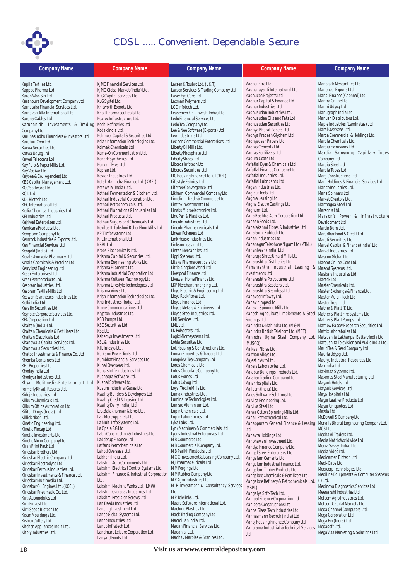

| <b>Company Name</b>                                            | <b>Company Name</b>                                            | <b>Company Name</b>                                             | <b>Company Name</b>                                           | <b>Company Name</b>                                       |
|----------------------------------------------------------------|----------------------------------------------------------------|-----------------------------------------------------------------|---------------------------------------------------------------|-----------------------------------------------------------|
| Kapila Textiles Ltd.                                           | KJMC Financial Services Ltd.                                   | Larsen & Toubro Ltd. (L & T)                                    | Madhu Intra Ltd.                                              | Manorath Mercantiles Ltd                                  |
| Kappac Pharma Ltd                                              | KJMC Global Market (India) Ltd.                                | Larsen Services & Trading Company Ltd                           | Madhu Jayanti International Ltd                               | Manphool Exports Ltd.                                     |
| Karan Woo-Sin Ltd.                                             | KLG Capital Services Ltd.                                      | Laser Eye Care Ltd.                                             | Madhucon Projects Ltd                                         | Mansi Finance (Chennai) Ltd                               |
| Karanpura Development Company Ltd                              | KLG Systel Ltd.                                                | Laxman Polymers Ltd                                             | Madhur Capital & Finance Ltd.                                 | Mantra Online Ltd                                         |
| Karnataka Financial Services Ltd.                              | Knitworth Exports Ltd.                                         | LCC Infotech Ltd.                                               | Madhur Industries Ltd                                         | Mantri Udyog Ltd                                          |
| Karnavati Alfa International Ltd.                              | Knoll Pharmaceuticals Ltd.                                     | Leasemen Fin - Invest (India) Ltd.                              | Madhusudan Industries Ltd.                                    | Manugraph India Ltd                                       |
| Karuna Cables Ltd                                              | Koatex Infrastructure Ltd.                                     | Ledo Financial Services Ltd                                     | Madhusudan Oils and Fats Ltd.                                 | Manush Distributors Ltd.                                  |
| Karunanidhi Investments & Trading                              | Kochi Refineries Ltd                                           | Ledo Tea Company Ltd.                                           | Madhusudan Securities Ltd                                     | Maple Industries (Laminates) Ltd                          |
| Company Ltd                                                    | Kodak India Ltd.                                               | Lee & Nee Software (Exports) Ltd                                | Madhya Bharat Papers Ltd                                      | Maral Overseas Ltd.<br>Marda Commercial & Holdings Ltd.   |
| Karunasindhu Financiers & Investors Ltd                        | Kohinoor Capital & Securities Ltd                              | Leo Industrials Ltd.                                            | Madhya Pradesh Glychem Ltd.<br>Madhyadesh Papers Ltd          | Mardia Chemicals Ltd.                                     |
| Karuturi.Com I td.                                             | Kolar Information Technologies Ltd.<br>Kolmak Chemicals Ltd    | Lexicon Commercial Enterprises Ltd<br>Liberty Oil Mills Ltd.    | Madras Cements Ltd.                                           | Mardia Extrusions Ltd                                     |
| Karwa Securities Ltd.<br>Katwa Udyog Ltd                       | Kome-On Communication Ltd.                                     | Liberty Phosphate Ltd                                           | Madras Fertilizers Ltd.                                       | Mardia Samyoung Capillary Tubes                           |
| Kaveri Telecoms Ltd                                            | Konark Synthetics Ltd                                          | Liberty Shoes Ltd.                                              | Madura Coats Ltd                                              | Company Ltd                                               |
| Kay Pulp & Paper Mills Ltd.                                    | Konkan Tyres Ltd                                               | Libords Infotech Ltd                                            | Mafatlal Dyes & Chemicals Ltd                                 | Mardia Steel Ltd                                          |
| Kay Vee Aar Ltd.                                               | Kopran Ltd.                                                    | Libords Securities Ltd                                          | Mafatlal Finance Company Ltd                                  | Mardia Tubes Ltd                                          |
| Kaypee & Co. (Agencies) Ltd                                    | Kosian Industries Ltd                                          | LIC Housing Finance Ltd. (LICHFL)                               | Mafatlal Industries Ltd.                                      | Marg Constructions Ltd                                    |
| KBS Capital Management Ltd.                                    | Kotak Mahindra Finance Ltd. (KMFL)                             | Lifestyle Fabrics Ltd.                                          | Mafatlal Lubricants Ltd                                       | Marg Holdings & Financial Services Ltd                    |
| KCC Software Ltd.                                              | Kotawala (India) Ltd.                                          | Lifetree Convergence Ltd                                        | Magan Industries Ltd.                                         | Marico Industries Ltd.                                    |
| <b>KCIL Ltd</b>                                                | Kothari Fermentation & Biochem Ltd.                            | Likhami Commercial Company Ltd                                  | Magicut Tools Ltd.                                            | Maris Spinners Ltd                                        |
| KDL Biotech Ltd                                                | Kothari Industrial Corporation Ltd.                            | Limelight Trade & Commerce Ltd                                  | Magma Leasing Ltd.                                            | Market Creators Ltd.                                      |
| KEC International Ltd.                                         | Kothari Petrochemicals Ltd.                                    | Limtex Investments Ltd.                                         | Magna Electro Castings Ltd                                    | Marmagoa Steel Ltd                                        |
| Kedia Chemical Industries Ltd                                  | Kothari Plantations & Industries Ltd                           | Linaks Microelectronics Ltd.                                    | Magnum Ltd.                                                   | Marson's Ltd.                                             |
| KEI Industries Ltd.                                            | Kothari Products Ltd.                                          | Linc Pen & Plastics Ltd.                                        | Maha Rashtra Apex Corporation Ltd.                            | Marson's Power & Infrastructure                           |
| Kejriwal Enterprises Ltd.                                      | Kothari Sugars and Chemicals Ltd.                              | Lincoln Industries Ltd                                          | Mahaan Foods Ltd.                                             | Development Ltd                                           |
| Kemicare Products Ltd.                                         | Kovilpatti Lakshmi Roller Flour Mills Ltd                      | Lincoln Pharmaceuticals Ltd                                     | Mahalakshmi Fibres & Industries Ltd                           | Martin Burn Ltd.                                          |
| Kemp and Company Ltd                                           | KPIT Infosystems Ltd                                           | Linear Polymers Ltd                                             | Mahalaxmi Rubtech Ltd.                                        | Marudhar Food & Credit Ltd.                               |
| Kemrock Industries & Exports Ltd.                              | <b>KPL International Ltd</b>                                   | Link House Industries Ltd.                                      | Mahan Industries Ltd                                          | Maruti Securities Ltd.                                    |
| Ken Financial Services Ltd                                     | <b>KRBL Ltd</b>                                                | Linkson Leasing Ltd                                             | Mahanagar Telephone Nigam Ltd (MTNL)                          | Marvel Capital & Finance (India) Ltd.                     |
| Kengold (India) Ltd.                                           | Krebs Biochemicals Ltd.                                        | Lintas Mercantiles Ltd                                          | Mahanivesh (India) Ltd                                        | Marvel Industries Ltd.                                    |
| Kerala Ayurveda Pharmacy Ltd.                                  | Krishna Capital & Securities Ltd.                              | Lippi Systems Ltd.                                              | Maharaja Shree Umaid Mills Ltd                                | Mascon Global Ltd.                                        |
| Kerala Chemicals & Proteins Ltd.                               | Krishna Engineering Works Ltd.                                 | Litaka Pharmaceuticals Ltd.                                     | Maharashtra Distilleries Ltd.                                 | Mascot Online.Com Ltd.                                    |
| Kerry Jost Engineering Ltd                                     | Krishna Filaments Ltd.                                         | Little Kingdom World Ltd                                        | Maharashtra Industrial Leasing & Mascot Systems Ltd.          |                                                           |
| Kesar Enterprises Ltd                                          | Krishna Industrial Corporation Ltd.                            | Liverpool Finance Ltd                                           | Investments Ltd                                               | Maskara Industries Ltd                                    |
| Kesar Petroproducts Ltd.                                       | Krishna Knitwear Technology Ltd                                | Livewell Home Finance Ltd.                                      | Maharashtra Polybutenes Ltd                                   | Mastek Ltd.                                               |
| Kesoram Industries Ltd.                                        | Krishna Lifestyle Technologies Ltd<br>Krishna Vinyls Ltd       | LKP Merchant Financing Ltd.<br>Lloyd Electric & Engineering Ltd | Maharashtra Scooters Ltd.<br>Maharashtra Seamless Ltd.        | Master Chemicals Ltd.                                     |
| Kesoram Textile Mills Ltd<br>Keswani Synthetics Industries Ltd | Krisn Information Technologies Ltd.                            | Lloyd Rockfibres Ltd.                                           | Mahaveer Infoway Ltd.                                         | Master Exchange & Finance Ltd.<br>Master Multi - Tech Ltd |
| Ketki India Ltd                                                | Kriti Industries (India) Ltd.                                  | Lloyds Finance Ltd.                                             | Mahavir Impex Ltd.                                            | Master Trust Ltd.                                         |
| Kevalin Securities Ltd.                                        | Krone Communications Ltd.                                      | Lloyds Metals & Engineers Ltd.                                  | Mahavir Spinning Mills Ltd.                                   | Mather & Platt (I) Ltd.                                   |
| Keynote Corporate Services Ltd.                                | Krypton Industries Ltd.                                        | Lloyds Steel Industries Ltd.                                    | Mahesh Agricultural Implements & Steel                        | Mather & Platt Fire Systems Ltd                           |
| KFA Corporation Ltd.                                           | KSB Pumps Ltd.                                                 | LMJ Services Ltd.                                               | Forgings Ltd                                                  | Mather & Platt Pumps Ltd                                  |
| Khaitan (India)Ltd.                                            | <b>KSC Securities Ltd</b>                                      | LML Ltd.                                                        | Mahindra & Mahindra Ltd. (M & M)                              | Mathew Easow Research Securities Ltd.                     |
| Khaitan Chemicals & Fertilizers Ltd                            | <b>KSE Ltd</b>                                                 | LN Polyesters Ltd.                                              | Mahindra British Telelcom Ltd. (MBT)                          | Matrix Laboratories Ltd                                   |
| Khaitan Electricals Ltd.                                       | Kshemya Investments Ltd                                        | Logix Microsystems Ltd.                                         | Mahindra Ugine Steel Company Ltd.                             | Matsushita Lakhanpal Battery India Ltd                    |
| Khandwala Capital Services Ltd.                                | KSL & Industries Ltd                                           | Lohia Securites Ltd.                                            | (MUSCO)                                                       | Matsushita Television and Audio India Ltd.                |
| Khandwala Securities Ltd.                                      | KTL Infosys Ltd.                                               | Lok Housing & Constructions Ltd.                                | Maikaal Fibres Ltd.                                           | Maud Tea & Seed Company Ltd                               |
| Khatod Investments & Finance Co. Ltd                           | Kulkarni Power Tools Ltd                                       | Lomax Properties & Traders Ltd                                  | Maithan Alloys Ltd.                                           | Mauria Udyog Ltd.                                         |
| Khemka Containers Ltd                                          | Kumbhat Financial Services Ltd                                 | Longview Tea Company Ltd                                        | Majestic Auto Ltd.                                            | Maurya Industrial Resources Ltd                           |
| <b>KHL Properties Ltd</b>                                      | Kunal Overseas Ltd.                                            | Lords Chemicals Ltd.                                            | Makers Laboratories Ltd.                                      | Max India Ltd.                                            |
| Khoday India Ltd                                               | Kunststoffe Industries Ltd                                     | Lotus Chocolate Company Ltd.                                    | Malabar Buildings Products Ltd.                               | Maximaa Systems Ltd.                                      |
| Khodiyar Industries Ltd.                                       | Kushagra Software Ltd.                                         | Lotus Homes Ltd                                                 | Malabar Trading Company Ltd.                                  | Maximus Steel Manufacturing Ltd                           |
| Khyati Mulitmedia-Entertainment Ltd.                           | Kushal Software Ltd.                                           | Lotus Udyog Ltd                                                 | Malar Hospitals Ltd.                                          | Mayank Hotels Ltd.                                        |
| formerly Khyati Resorts Ltd.                                   | Kusum Industrial Gases Ltd.                                    | Loyal Textile Mills Ltd.                                        | Mallcom (India) Ltd.                                          | Mayank Services Ltd                                       |
| Kiduja Industries Ltd.                                         | Kwality Builders & Developers Ltd                              | Lumax Industries Ltd.                                           | Malos Software Solutions Ltd.                                 | Mayo Hospitals Ltd.                                       |
| Kilburn Chemicals Ltd.                                         | Kwality Credit & Leasing Ltd.<br>Kwality Dairy (India) Ltd.    | Luminaire Technologies Ltd.<br>Lunkad Aluminium Ltd.            | Malvica Engineering Ltd.                                      | Mayur Leather Products Ltd                                |
| Kilburn Office Automation Ltd                                  | L.G.Balakrishnan & Bros Ltd.                                   | Lupin Chemicals Ltd.                                            | Malvika Steel Ltd                                             | Mayur Uniquoters Ltd.<br>Mazda Ltd                        |
| Kilitch Drugs (India) Ltd<br>Killick Nixon Ltd.                | La - Mere Apparels Ltd                                         | Lupin Laboratories Ltd.                                         | Malwa Cotton Spinning Mills Ltd.<br>Manali Petrochemical Ltd. | McDowell & Company Ltd.                                   |
| Kinetic Engineering Ltd.                                       | La Multi Info Systems Ltd.                                     | Lyka Labs Ltd.                                                  | Manappuram General Finance & Leasing                          | Mcnally Bharat Engineering Company Ltd.                   |
| Kinetic Fincap Ltd                                             | La Opala RG Ltd                                                | Lynx Machinery & Commercials Ltd                                |                                                               | MCS Ltd.                                                  |
| Kinetic Investments Ltd.                                       | Labh Construction & Industries Ltd                             | Lyons Industrial Enterprises Ltd.                               | Ltd.<br>Manavta Holdings Ltd.                                 | Medhawi Traders Ltd.                                      |
| Kinetic Motor Company Ltd.                                     | Ladderup Finance Ltd                                           | MB Commerce Ltd.                                                | Manbhawani Investment Ltd.                                    | Media Matrix Worldwide Ltd                                |
| Kiran Print Pack Ltd                                           | Laffans Petrochemicals Ltd.                                    | MB Commercial Company Ltd.                                      | Mandya Finance Company Ltd.                                   | Media Savvy (India) Ltd                                   |
| Kirloskar Brothers Ltd.                                        | Lahoti Overseas Ltd.                                           | MB Parikh Finstocks Ltd                                         | Mangal Steel Enterprises Ltd                                  | Media Video Ltd.                                          |
| Kirloskar Electric Company Ltd.                                | Lakhani India Ltd.                                             | MCC Investment & Leasing Company Ltd.                           | Mangalam Cements Ltd.                                         | Medicamen Biotech Ltd                                     |
| Kirloskar Electrodyne Ltd.                                     | Lakshmi Auto Components Ltd.                                   | MJ Pharmaceuticals Ltd                                          | Mangalam Industrial Finance Ltd.                              | Medi-Caps Ltd                                             |
| Kirloskar Ferrous Industries Ltd.                              | Lakshmi Electrical Control Systems Ltd.                        | MM Forgings Ltd                                                 | Mangalam Timber Products Ltd.                                 | Medicorp Technologies Ltd.                                |
| Kirloskar Investments & Finance Ltd.                           | Lakshmi Finance & Industrial Corporation MM Rubber Company Ltd |                                                                 | Mangalore Chemicals & Fertilizers Ltd.                        | Mediline Equipments & Computer Systems                    |
| Kirloskar Multimedia Ltd.                                      | Ltd.                                                           | MP Agro Industries Ltd.                                         | Mangalore Refinery & Petrochemicals Ltd.                      | $(I)$ Ltd.                                                |
| Kirloskar Oil Engines Ltd. (KOEL)                              | Lakshmi Machine Works Ltd. (LMW)                               | M P Investment & Consultancy Services                           | (MRPL)                                                        | Medinova Diagnostics Services Ltd.                        |
| Kirloskar Pneumatic Co. Ltd.                                   | Lakshmi Overseas Industries Ltd.                               | Ltd.                                                            | Mangalya Soft-Tech Ltd.                                       | Meenakshi Industries Ltd                                  |
| Kirti Automobiles Ltd                                          | Lakshmi Precision Screws Ltd                                   | MP Telelinks Ltd.                                               | Manipal Finance Corporation Ltd                               | Mefcom Agro Industries Ltd.                               |
| Kirti Finvest Ltd                                              | Lan Eseda Industries Ltd                                       | Maars Software International Ltd.                               | Manjeera Constructions Ltd                                    | Mefcom Capital Markets Ltd.                               |
| Kirti Seeds Biotech Ltd                                        | Lancing Investment Ltd.                                        | Machino Plastics Ltd.                                           | Manna Glass Tech Industries Ltd.                              | Mega Channel Computers Ltd.                               |
| Kisan Mouldings Ltd.                                           | Lanco Global Systems Ltd.                                      | Mack Trading Company Ltd                                        | Mannesmann Rexroth (India) Ltd                                | Mega Corporation Ltd.                                     |
| Kishco Cutlery Ltd                                             | Lanco Industries Ltd                                           | Macmillan India Ltd.                                            | Manoj Housing Finance Company Ltd                             | Mega Fin (India) Ltd                                      |
| Kitchen Appliances India Ltd.                                  | Lanco Infratech Ltd.                                           | Madan Financial Services Ltd.                                   | Manorama Industrial & Technical Services                      | Megasoft Ltd.                                             |
| Kitply Industries Ltd.                                         | Landmarc Leisure Corporation Ltd.                              | Madanlal Ltd.                                                   | Ltd                                                           | MegaVisa Marketing & Solutions Ltd.                       |
|                                                                | Lanyard Foods Ltd                                              | Madhav Marbles & Granites Ltd.                                  |                                                               |                                                           |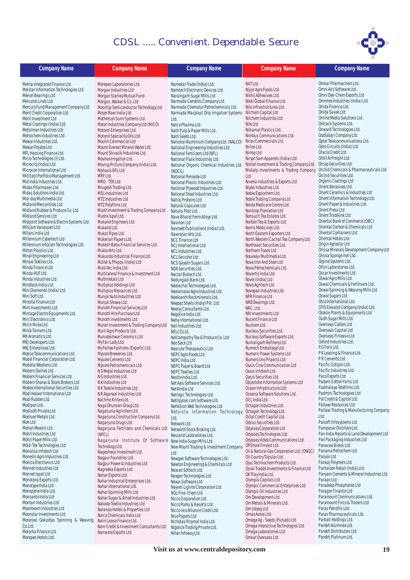

**Company Name Company Name Company Name Company Name Company Name**

| Company Name                            | <b>Company Name</b>                                       | <b>Company Name</b>                       | Con                   |
|-----------------------------------------|-----------------------------------------------------------|-------------------------------------------|-----------------------|
| Mehta Integrated Finance Ltd.           | Morepen Laboratories Ltd.                                 | Namokar Trade (India) Ltd.                | NIIT Ltd.             |
| Melstar Information Technologies Ltd.   | Morgan Industries Ltd                                     | Namtech Electronic Devices Ltd.           | Nijjer Agro Food      |
| Menon Bearings Ltd                      | Morgan Stanley Mutual Fund                                | Naraingarh Sugar Mills Ltd                | Nikhil Adhesive       |
| Mercator Lines Ltd.                     | Morgan, Walker & Co. Ltd                                  | Narmada Cements Company Ltd.              | Nikki Global Fir      |
| Mercury Fund Management Company Ltd     | Moschip Semiconductor Technology Ltd                      | Narmada Chematur Petrochemicals Ltd.      | Nila Infrastruc       |
| Merit Credit Corporation Ltd.           | Moser Baer India Ltd.                                     | Narmada Macplast Drip Irrigation Systems  | Nilchem Capita        |
| Merit Investment Ltd                    | Motherson Sumi Systems Ltd.                               | Ltd.                                      | Nilchem Indust        |
| Metal Coatings (India) Ltd              | Motor Industries Company Ltd (MICO)                       | Natco Pharma Ltd.                         | Nile Ltd.             |
| Metalman Industries Ltd.                | Motorol Enterprises Ltd.                                  | Nath Pulp & Paper Mills Ltd.              | Nilkamal Plast        |
| Metrochem Industries Ltd                | Motorol Speciality Oils Ltd                               | Nath Seeds Ltd.                           | Nimbus Comm           |
| Mewar Industries Ltd.                   | Moulin Commercial Ltd                                     | National Aluminium Company Ltd. (NALCO)   | Nirav Commero         |
| Mewar Polytex Ltd                       | Mount Everest Mineral Water Ltd.                          | National Engineering Industries Ltd       | Nirlon Ltd.           |
| MFL Housing Finance Ltd.                | Mount Shivalik Industries Ltd.                            | National Fertilizers Ltd (NFL)            | Nirma Ltd             |
| Micro Technologies (I) Ltd.             | Movilex Irrigation Ltd.                                   | National Flask Industries Ltd.            | Niryat Sam App        |
| Microcity (India) Ltd.                  | Moving Picture Company (India) Ltd.                       | National Organic Chemical Industries Ltd. | Nishel Investm        |
| Microcon International Ltd.             | Mphasis BFL Ltd                                           |                                           | Niskalp Invest        |
| Mid East Portfolio Management Ltd.      | MRF Ltd.                                                  | (NOCIL)                                   | Ltd                   |
| Mid India Industries Ltd.               |                                                           | National Peroxide Ltd                     |                       |
|                                         | MRO - TEK Ltd.                                            | National Plastic Industries Ltd.          | Nivena Industr        |
| Midas Pharmasec Ltd.                    | Mrugesh Trading Ltd.                                      | National Plywood Industries Ltd.          | Niyati Industri       |
| Midas Solutions India Ltd.              | MSL Industries Ltd                                        | National Steel Industries Ltd.            | Noble Exploche        |
| Mid-day Multimedia Ltd.                 | MTZ Industries Ltd                                        | Natraj Proteins Ltd                       | Noble Trading (       |
| Midland Mercantiles Ltd                 | MTZ Polyfilms Ltd                                         | Natural Capsules Ltd                      | Noida Medicar         |
| Midland Rubber & Produce Co. Ltd        | Mudit Investment & Trading Company Ltd                    | Naturo-Pest Ltd.                          | Nonstop Planta        |
| Midland Services Ltd                    | Mudra Ispat Ltd.                                          | Nava Bharat Ferro Alloys Ltd.             | Nonsuch Tea Es        |
| Midpoint Software & Electro Systems Ltd | Mukand Engineers Ltd.                                     | Navinon Ltd                               | Norben Tea & E        |
| Mihijam Vanaspati Ltd.                  | Mukand Ltd.                                               | Navneet Publications (India) Ltd.         | Norris Medicine       |
| Millars India Ltd                       | Mukat Pipes Ltd.                                          | Nawratan Arts Ltd.                        | North Eastern E       |
| Millennium Cybertech Ltd                | Mukerian Papers Ltd.                                      | NCC Finance Ltd                           | North Western         |
| Millennium Infocom Technologies Ltd.    | Mukesh Babu Financial Services Ltd.                       | NCJ International Ltd.                    | <b>Northeast Secu</b> |
| Milton Plastics Ltd.                    | Mukta Arts Ltd.                                           | NCL Industries Ltd.                       | Northern Foods        |
| Minal Engineering Ltd                   | Mukunda Industrial Finance Ltd.                           | <b>NCL Seccolor Ltd</b>                   | Nouveau Multi         |
| Minaxi Textiles Ltd.                    | Muller & Phipps (India) Ltd                               | NCS Gayatri Sugars Ltd                    | Nova Iron And S       |
| Minda Finance Ltd                       | Multi Arc India Ltd.                                      | NDA Securities Ltd.                       | Nova Petrocher        |
| Minda HUF Ltd.                          | Multilateral Finance & Investment Ltd                     | Nectar Biotech Ltd.                       | Novartis India        |
| Minda Industries Ltd                    | Multimetals Ltd                                           | Nedungadi Bank Ltd.                       | Novel (India) Lt      |
| Mindteck India Ltd.                     | Multiplus Holdings Ltd                                    | Neelachal Technologies Ltd.               | Novo Agritech L       |
| Mini Diamonds (India) Ltd               | Multiplus Resources Ltd.                                  |                                           | Novopan Indus         |
| Mini Soft Ltd.                          | Munjal Auto Industries Ltd                                | Neelamalai Agro Industries Ltd            | NPR Finance Lt        |
| Minolta Finance Ltd                     | Munjal Showa Ltd.                                         | Neelkanth Rockminerals Ltd.               | NRB Bearings I        |
| Mint Investments Ltd                    | Munoth Financial Services Ltd                             | Neepaz Steels (India) Pvt. Ltd.           | NRC Ltd.              |
| Mintage Electro Equipments Ltd.         | Munoth Hire Purchase Ltd                                  | Neeraj Consultants Ltd.                   | NRI Investmen         |
| Mirc Electronics Ltd.                   |                                                           | Negolice India Ltd.                       |                       |
| Mirch Mirex Ltd.                        | Munoth Investments Ltd                                    | Neha International Ltd.                   | <b>Nucent Finance</b> |
| Mirza Tanners Ltd.                      | Murari Investment & Trading Company Ltd                   | Neil Industries Ltd.                      | Nuchem Ltd.           |
| MK Aromatics Ltd.                       | Murli Agro Products Ltd.                                  | NELCO Ltd.                                | Nucleus Securi        |
|                                         | Murudeshwar Ceramics Ltd                                  | Nelliampathy Tea & Produce Co. Ltd        | Nucleus Softwa        |
| MKJ Developers Ltd.                     | My Fair Lady Ltd.                                         | Neo Sack Ltd                              | Numaligarh Re         |
| MKJ Enterprises Ltd.                    | My Fellow Fashions (Exports) Ltd.                         | Neocure Therapeutics Ltd.                 | Numech Emba           |
| Mobile Telecommunications Ltd.          | Mysore Breweries Ltd.                                     | NEPC Agro Foods Ltd.                      | <b>Numeric Power</b>  |
| Model Financial Corporation Ltd.        | Mysore Cements Ltd.                                       | NEPC India Ltd                            | Numero Uno Pr         |
| Modella Woollens Ltd.                   | Mysore Petrochemicals Ltd.                                | NEPC Paper & Board Ltd                    | Oasis Cine Con        |
| Modern Dairies Ltd.                     | N D Metal Industries Ltd                                  | <b>NEPC Textiles Ltd</b>                  | Oasis Infotech        |
| Modern Financial Services Ltd.          | N G Industries Ltd.                                       | Nestle India Ltd.                         | Oasis Securitie       |
| Modern Shares & Stock Brokers Ltd       | N K Industries Ltd                                        | Net Axis Software Services Ltd.           | Objectone Infor       |
| Modex International Securities Ltd      | N K Textile Industries Ltd                                | Net4India Ltd                             | Ocean Infrastri       |
| Modi Hoover International Ltd           | N R Agarwal Industries Ltd.                               | Netlogic Technologies Ltd.                | Oceana Softwa         |
| Modi Rubber Ltd.                        | Nachmo Knitex Ltd.                                        | Netripples.com Software Ltd.              | OCL India Ltd.        |
| Modipon Ltd.                            | Naga Dhunseri Group Ltd.                                  | NetVision Web Technologies Ltd            | Octagon Indus         |
| Modisoft Private Ltd                    | Nagarjuna Agrichem Ltd                                    | Netvista Information Technology           | Octagon Techn         |
| Modison Metals Ltd.                     | Nagarjuna Construction Company Ltd.                       |                                           | Octal Credit Ca       |
| Moh Ltd                                 | Nagarjuna Drugs Ltd.                                      | Ltd.                                      | Odissi Securiti       |
| Mohan Meakin Ltd.                       | Nagarjuna Fertilizers and Chemicals Ltd.                  | Network Ltd.                              | Odyssey Corpor        |
| Mohit Industries Ltd                    |                                                           | Networth Stock Broking Ltd.               |                       |
|                                         | (NFCL)                                                    | Neuland Laboratories Ltd.                 | Odyssey Techn         |
| Mohit Paper Mills Ltd.                  | Nagarjuna Institute Of Software NewIndia Sugar Mills Ltd. |                                           | Odyssey Video         |
| Mold-Tek Technologies Ltd               | Technology Ltd.                                           | New Mount Trading & Investment Company    | Offshore Finve:       |
| Monalisa Infotech Ltd                   | Nageshwar Investment Ltd                                  | Ltd                                       | Oil & Natural G       |
| Moneshi Agro Industries Ltd.            | Nagpur Foundries Ltd.                                     | Newgen Software Technologies Ltd.         | Oil Country Tub       |
| Monica Electronics Ltd                  | Nagpur Power & Industries Ltd                             | Newton Engineering & Chemicals Ltd        | Ojas Technoch         |
| Monnet Industries Ltd                   | Nagreeka Exports Ltd.                                     | Nexcen Softech Ltd.                       | Ojswi Trades In       |
| Monnet Ispat Ltd                        | Nahar Exports Ltd.                                        | Nexgen Technologies Ltd                   | OK Play India L       |
| Monotona Exports Ltd.                   | Nahar Industrial Enterprises Ltd.                         | Nexus Software Ltd.                       | Olympia Capita        |
| Monotype India Ltd                      | Nahar International Ltd.                                  | Neyveli Lignite Corporation Ltd.          | Olympic Comm          |
| Monozyme India Ltd.                     | Nahar Spinning Mills Ltd.                                 | NGL Fine-Chem Ltd                         | Olympic Oil Ind       |
| Monsanto India Ltd                      | Nahar Sugar & Allied Industries Ltd.                      |                                           | Om Developme          |
| Montari Industries Ltd.                 |                                                           | Nicco Corporation Ltd                     | Om Metals & M         |
| Moonbeam Industries Ltd                 | Nakoda Textile Industries Ltd                             | Nicco Parks & Resorts Ltd.                | Om Udyog Ltd.         |
|                                         | Nalanda Hotels & Properties Ltd                           | Nicco Uco Alliance Credit Ltd.            |                       |
| Moonstar Investments Ltd                | Nalco Chemicals India Ltd                                 | Nice Papers Ltd                           | Omax Autos Lto        |
| Morarjee Gokuldas Spinning & Weaving    | Nalin Lease Finance Ltd.                                  | Nicholas Piramal India Ltd.               | Omega Ag - Se         |
| Co.Ltd.                                 | Nam Credit & Investment Consultants Ltd                   | Nigolice Trading Private Ltd.             | Omega Interac         |
| Morarka Finance Ltd.                    | Namaste Exports Ltd                                       | Nihar Infoway Ltd.                        | Omega Labora          |
| Morepen Hotels Ltd.                     |                                                           |                                           | Omkar Oversea         |
|                                         |                                                           |                                           |                       |

 $h1$ es Ltd. ... \_....<br>nance Ltd. tures Ltd. al Ltd tries Ltd tics Ltd. nunications Ltd. cials Ltd. narels (India) Ltd Nishel Investment & Trading Company Ltd. Orcap Securities Ltd. Iments & Trading Company ies & Exports Ltd ies Ltd. em Ltd. ....\_....<br>Company Ltd e Centre Ltd. ation Ltd states Ltd. xports Ltd. n.<br>Northea Exporters Ltd .<br>Cachar Tea Company Ltd urities Ltd.  $htli$ media I td.  $ht$ lleet2 ht Lahim  $htl$ Novel (India) Ltd  $h$ novatives Ltd.<br>November NPR Finance Ltd  $ht$ ts Ltd nu Ln<br>:e Ltd ities Ltd. ..........<br>are Exports Ltd. efinery Ltd. **Ilage Ltd** Systems Ltd ojects Ltd. .<br>nmunication Ltd Ltd. es Ltd. rmation Systems Ltd ucture Ltd. ore Solutions Ltd. Octagon Industries Ltd. ology Ltd. pital Ltd. es Ltd. **Outilians** ologies Ltd. Communications Ltd. st Ltd. as Corporation Ltd. (ONGC) .<br>Id. Laclue em Products Ltd. westments & Finance Ltd  $H_1$ als I td ons and<br>nercial Enterprises Ltd. lustries Ltd ent Ltd. ....\_....<br>|linerals Ltd. Omax Autos Ltd. eds (Punjab) Ltd tive Technologies Ltd. tories Ltd as Ltd

Omkar Pharmachem Ltd. Omni Ax's Software Ltd. Omni Dye-Chem Exports Ltd Omnitex Industries (India) Ltd. Onida Finance Ltd. Onida Savak Ltd Online Media Solutions Ltd. Ontrack Systems Ltd. Onward Technologies Ltd. Oodlabari Company Ltd Optel Telecommunications Ltd. Opto Circuits (India) Ltd Oracle Credit Ltd. Orbit Airfreight Ltd. Orchid Chemicals & Pharmaceuticals Ltd. Orchid Securities Ltd. Organic Coatings Ltd Orient Abrasives Ltd. Orient Ceramics & Industries Ltd Orient Information Technology Ltd. Orient Paper & Industries Ltd. Orient Press Ltd Orient Tradelink Ltd Oriental Bank of Commerce (OBC) Oriental Carbon & Chemicals Ltd Oriental Hotels Ltd. Origin Agrostar Ltd Orissa Minerals Development Company Ltd Orissa Sponge Iron Ltd. Orpine Systems Ltd. Ortin Laboratories Ltd. Oscar Investments Ltd Oswal Agro Mills Ltd. Oswal Chemicals & Fertilisers Ltd. Oswal Spinning & Weaving Mills Ltd Oswal Sugars Ltd Otco International Ltd. OTIS Elevator Company (India) Ltd. Otoklin Plants & Equipments Ltd Oudh Sugar Mills Ltd. Overseas Cables Ltd Overseas Capital Ltd Overseas Finlease Ltd Oxford Industries Ltd. P G Foils Ltd. P K Leasing & Finance Ltd. P R Cements Ltd Pacific Cotspin Ltd. Pacific Industries Ltd. Paco Exports Ltd Padam Cotton Yarns Ltd Padmalaya Telefilms Ltd. Padmini Technologies Ltd Pal Credit & Capital Ltd. Pallawi Resources Ltd Pallawi Trading & Manufacturing Company Ltd Palsoft Infosystems Ltd Pampasar Distillery Ltd. Pan India Resorts & Land Development Ltd Pan Packaging Industries Ltd Panacea Biotec Ltd Panama Petrochem Ltd. Panjon Ltd Pankaj Polymers Ltd Pantaloon Retail (India) Ltd. Panyam Cements & Mineral Industries Ltd Paraan Ltd Paradeep Phosphates Ltd Paragon Finance Ltd Paramount Communications Ltd. Paramount Finco & Traders Ltd Paras Petrofils Ltd. Paras Pharmaceuticals Ltd. Parbati Holdings Ltd. Parekh Aluminex Ltd. Parekh Distributors Ltd Parekh Platinum Ltd. Oriental Containers Ltd.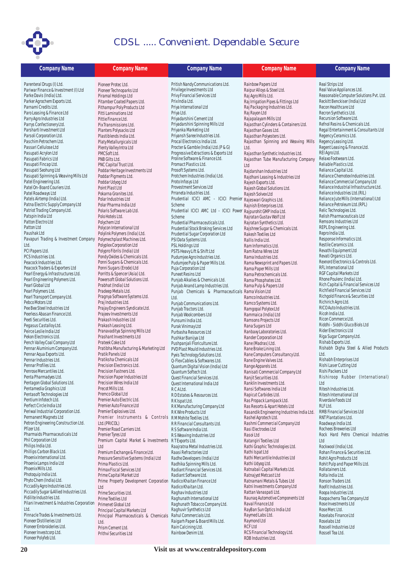

| <b>Company Name</b>                                      | <b>Company Name</b>                                | <b>Company Name</b>                                              | <b>Company Name</b>                        | <b>Company Name</b>                     |
|----------------------------------------------------------|----------------------------------------------------|------------------------------------------------------------------|--------------------------------------------|-----------------------------------------|
| Parenteral Drugs (I) Ltd.                                | Pioneer Protec Ltd.                                | Pritish Nandy Communications Ltd.                                | Rainbow Papers Ltd                         | Real Strips Ltd                         |
| Pariwar Finance & Investment (I) Ltd                     | Pioneer Technoparks Ltd                            | Privilege Investments Ltd                                        | Raipur Alloys & Steel Ltd.                 | Real Value Appliances Ltd.              |
| Parke Davis (India) Ltd.                                 | Piramal Holdings Ltd                               | Privy Financial Services Ltd                                     | Raj Agro Mills Ltd.                        | Reasonable Computer Solutions Pvt. Ltd. |
| Parker Agrochem Exports Ltd.                             | Pitamber Coated Papers Ltd.                        | Prix India Ltd.                                                  | Raj Irrigation Pipes & Fittings Ltd        | Reckitt Benckiser (India) Ltd           |
| Parnami Credits Ltd.                                     | Pithampur Poly Products Ltd                        | Priya International Ltd                                          | Raj Packaging Industries Ltd.              | Recon Healthcare Ltd                    |
| Paro Leasing & Finance Ltd                               | Pitti Laminations Ltd                              | Priya Ltd.                                                       | Raj Rayon Ltd                              | Recron Synthetics Ltd.                  |
| Parry Agro Industries Ltd                                | Pittie Finance Ltd.                                | Priyadarshini Cement Ltd                                         | Rajapalayam Mills Ltd                      | Recursion Software Ltd.                 |
| Parrys Confectionery Ltd.                                | Pix Transmissions Ltd.                             | Priyadarshini Spinning Mills Ltd                                 | Rajasthan Cylinders & Containers Ltd.      | Refnol Resins & Chemicals Ltd.          |
| Parsharti Investment Ltd                                 |                                                    | Priyanka Marketing Ltd                                           | Rajasthan Gases Ltd.                       | Regal Entertainment & Consultants Ltd   |
| Parsoli Corporation Ltd.                                 | Planters Polysacks Ltd<br>Plastiblends India Ltd.  | Priyansh Saree Industries Ltd.                                   | Rajasthan Polyesters Ltd.                  | Regency Ceramics Ltd.                   |
| Paschim Petrochem Ltd.                                   |                                                    | Procal Electronics India Ltd.                                    | Rajasthan Spinning and Weaving Mills       | Regency Leasing Ltd.                    |
| Passari Cellulose Ltd                                    | Platy Metallurgicals Ltd                           | Procter & Gamble (India) Ltd. (P & G)                            | Ltd.                                       | Regent Leasing & Finance Ltd.           |
| Pasupati Acrylon Ltd                                     | Plenty Valley Intra Ltd                            | Progressive Extractions & Exports Ltd                            |                                            | REI Agro Ltd.                           |
| Pasupati Fabrics Ltd                                     | PMCSoft Ltd.                                       | Proline Software & Finance Ltd.                                  | Rajasthan Synthetic Industries Ltd.        | Relaxo Footwears Ltd.                   |
|                                                          | PNB Gilts Ltd.                                     | Promact Plastics Ltd.                                            | Rajasthan Tube Manufacturing Company       | Reliable Plastics Ltd.                  |
| Pasupati Fincap Ltd.<br>Pasupati Seohung Ltd             | PNC Capital Trust Ltd.                             |                                                                  | Ltd                                        | Reliance Capital Ltd.                   |
| Pasupati Spinning & Weaving Mills Ltd                    | Poddar Heritage Investments Ltd                    | Prosoft Systems Ltd.<br>Protchem Industries (India) Ltd.         | Rajdarshan Industries Ltd                  | Reliance Chemotex Industries Ltd.       |
| Patel Engineering Ltd.                                   | Poddar Pigments Ltd.                               | Proto Infosys Ltd                                                | Rajdhani Leasing & Industries Ltd          | Reliance Commercial Company Ltd         |
| Patel On-Board Couriers Ltd.                             | Poddar Udyog Ltd                                   |                                                                  | Rajesh Exports Ltd.                        |                                         |
|                                                          | Point Plast Ltd                                    | Provestment Services Ltd                                         | Rajesh Global Solutions Ltd.               | Reliance Industrial Infrastructure Ltd. |
| Patel Roadways Ltd                                       | Pokarna Granites Ltd.                              | Prraneta Industries Ltd.                                         | Rajesh Solvex Ltd                          | Reliance Industries Ltd. (RIL)          |
| Patels Airtemp (India) Ltd.                              | Polar Industries Ltd                               | Prudential ICICI AMC - ICICI Premier Rajeswari Graphics Ltd.     |                                            | Reliance Jute Mills (International) Ltd |
| Patna Electric Supply Company Ltd                        | Polar Pharma India Ltd                             | Scheme                                                           | Rajnish Enterprises Ltd.                   | Reliance Petroleum Ltd. (RPL)           |
| Patriot Trading Company Ltd.                             | Polaris Software Lab Ltd.                          | Prudential ICICI AMC Ltd - ICICI Power Rajpurohit GMP India Ltd. |                                            | Relic Technologies Ltd.                 |
| Patspin India Ltd                                        | Polo Hotels Ltd.                                   | Scheme                                                           | Rajratan Gustav Wolf Ltd                   | Relish Pharmaceuticals Ltd              |
| Patton Electro Ltd                                       | Polychem Ltd                                       | Prudential Pharmaceuticals Ltd.                                  | Rajratan Synthetics Ltd.                   | Remsons Industries Ltd                  |
| Patton Ltd                                               | Polycon International Ltd                          | Prudential Stock Broking Services Ltd                            | Rajshree Sugar & Chemicals Ltd.            | REPL Engineering Ltd.                   |
| Paushak Ltd                                              | Polylink Polymers (India) Ltd.                     | Prudential Sugar Corporation Ltd                                 | Rakesh Textiles Ltd                        | Repro India Ltd.                        |
| Pavapuri Trading & Investment Company                    | Polymechplast Machines Ltd.                        | PSI Data Systems Ltd.                                            | Rallis India Ltd.                          | Response Informatics Ltd.               |
| Ltd.                                                     | Polyplex Corporation Ltd                           | PSL Holdings Ltd                                                 | Ram Informatics Ltd.                       | Restile Ceramics Ltd.                   |
| PCI Papers Ltd.                                          | Polypro Fibrils (India) Ltd                        | PSTS Heavy Lift & Shift Ltd                                      | Ram Ratna Wires Ltd                        | Revathi Equipment Ltd                   |
| PCS Industries Ltd.                                      | Pondy Oxides & Chemicals Ltd.                      | Pudumjee Agro Industries Ltd.                                    | Rama Industries Ltd.                       | Revati Organics Ltd.                    |
| Peacock Industries Ltd.                                  | Ponni Sugars & Chemicals Ltd.                      | Pudumjee Pulp & Paper Mills Ltd.                                 | Rama Newsprint and Papers Ltd.             | Rexnord Electronics & Controls Ltd.     |
| Peacock Traders & Exporters Ltd                          | Ponni Sugars (Erode) Ltd                           | Puja Corporation Ltd                                             | Rama Paper Mills Ltd                       | RFL International Ltd                   |
| Pearl Energy & Infrastructures Ltd.                      | Porritts & Spencer (Asia) Ltd.                     | <b>Puneet Resins Ltd</b>                                         | Rama Petrochemicals Ltd.                   | RGF Capital Markets Ltd                 |
| Pearl Engineering Polymers Ltd.                          | Powersoft Global Solutions Ltd.                    | Punjab Alkalies & Chemicals Ltd.                                 | Rama Phosphates Ltd.                       | Rhone Poulenc (India) Ltd.              |
| Pearl Global Ltd                                         | Prabhat (India) Ltd                                | Punjab Anand Lamp Industries Ltd.                                | Rama Pulp & Papers Ltd                     | Rich Capital & Financial Services Ltd   |
| Pearl Polymers Ltd.                                      | Pradeep Metals Ltd.                                | Punjab Chemicals & Pharmaceuticals Rama Vision Ltd               |                                            | Richfield Financial Services Ltd        |
| Pearl Transport Company Ltd.                             | Pragnya Software Systems Ltd.                      | Ltd.                                                             | Ramco Industries Ltd.                      | Richgold Finance & Securities Ltd       |
| Pebco Motors Ltd                                         | Praj Industries Ltd.                               | Punjab Communications Ltd.                                       | Ramco Systems Ltd.                         | Richirich Agro Ltd.                     |
| Pee Bee Steel Industries Ltd                             | Prajay Engineers Syndicate Ltd.                    | Punjab Tractors Ltd.                                             | Ramgopal Polytex Ltd                       | RICO Auto Industries Ltd.               |
| Peerless Abasan Finance Ltd.                             | Prajeev Investments Ltd                            | Punjab Woolcombers Ltd                                           | Rammaica (India) Ltd                       | Ricoh India Ltd.                        |
| Peeti Securities Ltd.                                    | Prakash Industries Ltd                             | Punsumi India Ltd.                                               | Ramsons Projects Ltd                       | Ricon Commerce Ltd.                     |
| Pegasus Castalloy Ltd.                                   | Prakash Leasing Ltd.                               | Purak Vinimay Ltd                                                | Rana Sugars Ltd                            | Riddhi - Siddhi Gluco Biols Ltd         |
| Peirce Leslie India Ltd                                  | Pranavaditya Spinning Mills Ltd                    | Purbasha Resources Ltd                                           | Ranbaxy Laboratories Ltd.                  | Rider Electronics Ltd                   |
| Pekon Electronics Ltd.                                   | Prashant Investments Ltd                           | Pushkar Banijya Ltd                                              | Rander Corporation Ltd                     | Riga Sugar Company Ltd.                 |
| Pench Valley Coal Company Ltd                            | Prateek Coke Ltd                                   | Pushpanjali Floriculture Ltd.                                    | Rane (Madras) Ltd.                         | Rishab Exports Ltd.                     |
| Pennar Aluminium Company Ltd.                            | Pratibha Manufacturing & Marketing Ltd             | PVD Plast Mould Industries Ltd.                                  | Rane Brake Lining Ltd.                     | Rishabh Digha Steel & Allied Products   |
| Pennar Aqua Exports Ltd.                                 | Pratik Panels Ltd                                  | Pyxis Technology Solutions Ltd.                                  | Rane Computers Consultancy Ltd.            | Ltd.                                    |
| Pennar Industries Ltd.                                   | Pratiksha Chemicals Ltd                            | Q-Flex Cables & Softwares Ltd.                                   | Rane Engine Valves Ltd.                    | Rishabh Enterprises Ltd                 |
| Pennar Profiles Ltd.                                     | Precision Electronics Ltd.                         | Quantum Digital Vision (India) Ltd                               | Range Apparels Ltd.                        | Rishi Laser Cutting Ltd                 |
| Penrose Mercantiles Ltd.                                 | Precision Fastners Ltd.                            | Quantum Softech Ltd.                                             | Ranisati Commercial Company Ltd            | Rishi Packers Ltd                       |
| Penta Pharmadyes Ltd.                                    | Precision Paper Industries Ltd                     | Quest Financial Services Ltd.                                    | Ranjit Securities Ltd.                     | Rishiroop Rubber (International)        |
| Pentagon Global Solutions Ltd.                           | Precision Wires India Ltd                          | Quest International India Ltd                                    | Ranklin Investments Ltd.                   | Ltd                                     |
| Pentamedia Graphics Ltd                                  | Precot Mills Ltd.                                  |                                                                  | Ransi Softwares India Ltd                  | Ritesh Industries Ltd.                  |
| Pentasoft Technologies Ltd                               | Premco Global Ltd                                  | RCALtd.<br>RD Estates & Resources Ltd.                           | Rapicut Carbides Ltd.                      | Ritesh International Ltd                |
| Pentium Infotech Ltd.                                    | Premier Auto Electric Ltd.                         |                                                                  | Ras Propack Lamipack Ltd.                  | Riverdale Foods Ltd                     |
| Perfect Circle India Ltd                                 | Premier Auto Finance Ltd                           | RK Ispat Ltd.                                                    | Ras Resorts & Apart Hotels Ltd             | RLF Ltd.                                |
| Periwal Industrial Corporation Ltd.                      | Premier Explosives Ltd.                            | RK Manufacturing Company Ltd<br>RK Wire Products Ltd             | Rasandik Engineering Industries India Ltd. | RMB Financial Services Ltd              |
| Permanent Magnets Ltd                                    | Premier Instruments & Controls                     |                                                                  |                                            |                                         |
| Petron Engineering Construction Ltd.                     | Ltd.(PRICOL)                                       | R M Mohite Textiles Ltd.                                         | Rashel Agrotech Ltd.                       | RNT Plantations Ltd.                    |
| Pfizer Ltd.                                              |                                                    | R R Financial Consultants Ltd.                                   | Rashmi Commercial Company Ltd              | Roadways India Ltd.                     |
| Pharmaids Pharmaceuticals Ltd                            | Premier Road Carriers Ltd.                         | R S Software India Ltd.                                          | Rasi Electrodes Ltd                        | Rochees Breweries Ltd                   |
|                                                          | Premier Tyres Ltd                                  | R S Weaving Industries Ltd                                       | Rasoi Ltd                                  | Rock Hard Petro Chemical Industries     |
| Phil Corporation Ltd                                     | Premium Capital Market & Investments RTExportsLtd. |                                                                  | Ratangiri Textiles Ltd                     | Ltd                                     |
| Philips India Ltd.                                       | Ltd                                                | Raajratna Metal Industries Ltd.                                  | Rathi Graphic Technologies Ltd.            | Rockwool (India) Ltd.                   |
| Phillips Carbon Black Ltd.<br>Phoenix International Ltd. | Premium Exchange & Finance Ltd.                    | Raasi Refractories Ltd                                           | Rathi Ispat Ltd                            | Rohan Finance & Securities Ltd.         |
|                                                          | Pressure Sensitive Systems (India) Ltd             | Radhe Developers (India) Ltd                                     | Rathi Mercantile Industries Ltd            | Rohit Agro Products Ltd                 |
| Phoenix Lamps India Ltd                                  | Prima Plastics Ltd.                                | Radhika Spinning Mills Ltd.                                      | Rathi Udyog Ltd.                           | Rohit Pulp and Paper Mills Ltd.         |
| Phoenix Mills Ltd.                                       | Primax Fiscal Services Ltd                         | Radiant Financial Services Ltd.                                  | Ratnabali Capital Markets Ltd.             | Rollatainers Ltd.                       |
| Photoquip India Ltd.                                     | Prime Capital Market Ltd                           | Radiant Software Ltd.                                            | Ratnajyot Metcast Ltd                      | Rolta India Ltd.                        |
| Phyto Chem (India) Ltd.                                  | Prime Property Development Corporation             | Radico Khaitan Finance Ltd                                       | Ratnamani Metals & Tubes Ltd               | Ronson Traders Ltd.                     |
| Piccadily Agro Industries Ltd.                           | Ltd                                                | Radico Khaitan Ltd.                                              | Ratni Investments Company Ltd              | Roofit Industries Ltd.                  |
| Piccadily Sugar & Allied Industries Ltd.                 | Prime Securities Ltd.                              | Raghav Industries Ltd                                            | Rattan Vanaspati Ltd.                      | Roopa Industries Ltd.                   |
| Pidilite Industries Ltd.                                 | Prime Textiles Ltd                                 | Raghunath International Ltd                                      | Raunag Automotive Components Ltd           | Roopacherra Tea Company Ltd             |
| Pilani Investment & Industries Corporation               | Primenet Global Ltd                                | Raghunath Tobacco Company Ltd.                                   | Raval Finance Ltd                          | Rose Investments Ltd                    |
| Ltd.                                                     | Principal Capital Markets Ltd                      | Raghuvir Synthetics Ltd                                          | RayBan Sun Optics India Ltd                | Rose Merc Ltd.                          |
| Pinnacle Trades & Investments Ltd.                       | Principal Pharmaceuticals & Chemicals              | Rahul Commercials Ltd.                                           | Raymed Labs Ltd.                           | Roselabs Finance Ltd                    |
| Pioneer Distilleries Ltd                                 | Ltd.                                               | Raigarh Paper & Board Mills Ltd.                                 | Raymond Ltd                                | Roselabs Ltd                            |
| Pioneer Embroideries Ltd.                                | Prism Cement Ltd.                                  | Rain Calcining Ltd.                                              | <b>RCF Ltd</b>                             | Rossell Industries Ltd                  |
| Pioneer Investcorp Ltd.                                  | Prithvi Securities Ltd                             | Rainbow Denim Ltd.                                               | RCS Financial Technology Ltd.              | Rossell Tea Ltd.                        |
| Pioneer Polyfeb Ltd.                                     |                                                    |                                                                  | RDB Industries Ltd.                        |                                         |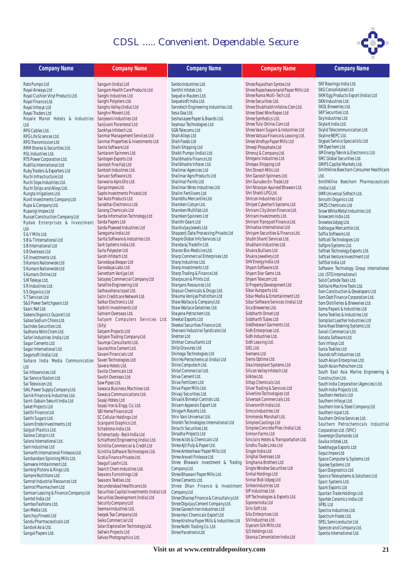

| <b>Company Name</b>                                                            | <b>Company Name</b>                                                       | <b>Company Name</b>                                                           | <b>Company Name</b>                                                     | <b>Company Name</b>                                               |
|--------------------------------------------------------------------------------|---------------------------------------------------------------------------|-------------------------------------------------------------------------------|-------------------------------------------------------------------------|-------------------------------------------------------------------|
| Roto Pumps Ltd                                                                 | Sangam (India) Ltd                                                        | Senbo Industries Ltd.                                                         | Shree Rajasthan Syntex Ltd                                              | SKF Bearings India Ltd.                                           |
| Royal Airways Ltd                                                              | Sangam Health Care Products Ltd                                           | Senthil Infotek Ltd.                                                          | Shree Rajeshwaranand Paper Mills Ltd                                    | SKG Consolidated Ltd                                              |
| Royal Cushion Vinyl Products Ltd.                                              | Sanghi Industries Ltd                                                     | Sequel e-Routers Ltd.                                                         | Shree Rama Multi-Tech Ltd.                                              | SKM Egg Products Export (India) Ltd                               |
| Royal Finance Ltd.                                                             | Sanghi Polysters Ltd.                                                     | Sequelsoft India Ltd.                                                         | Shree Securities Ltd.                                                   | SKN Industries Ltd.<br>SKOL Breweries Ltd.                        |
| Royal Infosys Ltd                                                              | Sanghu Valley (India) Ltd<br>Sanghvi Movers Ltd.                          | Servotech Engineering Industries Ltd.<br>Sesa Goa Ltd.                        | Shree Shubhlabh Infoline.Com Ltd.<br>Shree Steel Wire Ropes Ltd         | SKP Securities Ltd.                                               |
| Royal Traders Ltd<br>Royale Manor Hotels & Industries Sanjeevni Industries Ltd |                                                                           | Seshasayee Paper & Boards Ltd.                                                | Shree Synthetics Ltd.                                                   | Sky Industries Ltd                                                |
| Ltd                                                                            | Sanjivani Paranteral Ltd                                                  | Seymour Technologies Ltd                                                      | Shree Tulsi Online.Com Ltd                                              | Skylark India Ltd.                                                |
| RPG Cables Ltd.                                                                | Sankhya Infotech Ltd.                                                     | <b>SGN Telecoms Ltd</b>                                                       | Shree Vaani Sugars & Industries Ltd                                     | Skylid Telecommunication Ltd.                                     |
| RPG Life Sciences Ltd.                                                         | Sanmar Management Services Ltd                                            | Shah Alloys Ltd                                                               | Shree Vatsaa Finance & Leasing Ltd.                                     | Skyline NEPC Ltd.                                                 |
| RPG Transmission Ltd                                                           | Sanmar Properties & Investments Ltd                                       | Shah Foods Ltd                                                                | Shree Vindhya Paper Mills Ltd                                           | Skypak Service Specialists Ltd                                    |
| RRM Shares & Securities Ltd.<br>RSL Industries Ltd.                            | Sanra Software Ltd<br>Santaram Spinners Ltd.                              | Shahi Shipping Ltd<br>Shakti Pumps (India) Ltd.                               | Shreeji Phosphate Ltd<br>Shrenuj & Company Ltd.                         | SM Dyechem Ltd.<br>SM Energy Teknik & Electronics Ltd             |
| RTS Power Corporation Ltd.                                                     | Santogen Exports Ltd                                                      | Shalibhadra Finance Ltd                                                       | Shreyans Industries Ltd                                                 | SMC Global Securities Ltd.                                        |
| Rubfila International Ltd                                                      | Santosh Fine Fab Ltd                                                      | Shalibhadra Infosec Ltd.                                                      | Shreyas Shipping Ltd                                                    | SMIFS Capital Markets Ltd.                                        |
| Ruby Traders & Exporters Ltd                                                   | Santosh Industries Ltd.                                                   | Shalimar Agencies Ltd                                                         | Shri Dinesh Mills Ltd                                                   | Smithkline Beecham Consumer Healthcare                            |
| Ruchi Infrastructure Ltd                                                       | Sanvan Software Ltd.                                                      | Shalimar Agro Products Ltd                                                    | Shri Ganesh Spinners Ltd.                                               | Ltd.                                                              |
| Ruchi Soya Industries Ltd.                                                     | Sanwaria Agro Oils Ltd.<br>Sanyo Impex Ltd.                               | Shalimar Paints Ltd<br>Shalimar Wires Industries Ltd                          | Shri Gurudev En-Trade Ltd<br>Shri Niranjan Ayurved Bhawan Ltd.          | SmithKline Beecham Pharmaceuticals                                |
| Ruchi Strips and Alloys Ltd.<br>Rungta Irrigations Ltd.                        | Sapte Investments Private Ltd                                             | Shalini Fertilisers Ltd                                                       | Shri Shakti LPG Ltd.                                                    | (India) Ltd<br>SMR Universal Softech Ltd.                         |
| Runit Investments Company Ltd                                                  | Sar Auto Products Ltd                                                     | Shambhu Mercantile Ltd.                                                       | Shricon Industries Ltd                                                  | Smruthi Organics Ltd                                              |
| Rupa & Company Ltd.                                                            | Sarabhai Electronics Ltd                                                  | Shamken Cotsyn Ltd.                                                           | Shripet Cybertech Systems Ltd                                           | SMZS Chemicals Ltd                                                |
| Rupangi Impex Ltd                                                              | Sarang Chemicals Ltd                                                      | Shamken Multifab Ltd.                                                         | Shriram City Union Finance Ltd.                                         | Snow White Metal Industries Ltd                                   |
| Russel Construction Company Ltd                                                | Sarda Information Technology Ltd                                          | Shamken Spinners Ltd                                                          | Shriram Investments Ltd.                                                | Snowcem India Ltd.                                                |
| Rydak Enterprises & Investment                                                 | Sarda Papers Ltd<br>Sarda Plywood Industries Ltd                          | Shanthi Gears Ltd<br>Shantivijay Jewels Ltd                                   | Shriram Transport Finance Ltd.<br>Shrivatsa International Ltd           | Snowtex Udyog Ltd.<br>Sobhagya Mercantile Ltd.                    |
| Ltd<br>S & Y Mills Ltd.                                                        | Saregama India Ltd                                                        | Shapoorji Data Processing Private Ltd                                         | Shriyam Securities & Finance Ltd.                                       | Soffia Software Ltd.                                              |
| SB & T International Ltd                                                       | Sarita Software & Industries Ltd.                                         | Shapre Global Info Services Ld                                                | Shubh Shanti Services Ltd.                                              | Softcell Technologies Ltd                                         |
| S B International Ltd                                                          | Sark Systems India Ltd.                                                   | Shardaraj Tradefin Ltd.                                                       | Shubham Industries Ltd.                                                 | Softpro Systems Ltd.                                              |
| S B Overseas Ltd                                                               | Sarla Polyester Ltd                                                       | Sharon Bio-Medicine Ltd.                                                      | Shukra Bullions Ltd                                                     | Softrak Technology Exports Ltd.                                   |
| SE Investments Ltd.                                                            | Saroh Infotech Ltd.<br>Sarvodaya Beopar Ltd                               | Sharp Commercial Enterprises Ltd                                              | Shukra Jewellery Ltd                                                    | Softrak Venture Investment Ltd                                    |
| S Kumars Nationwide Ltd                                                        | Sarvodaya Labs Ltd.                                                       | Sharp Industries Ltd.<br>Sharp Investments Ltd                                | SHV Energy India Ltd<br>Shyam Software Ltd.                             | SoftSol India Ltd<br>Software Technology Group International      |
| S Kumars Nationwide Ltd<br>S Kumars Online Ltd                                 | Sarvottam Vanijya Ltd                                                     | Sharp Trading & Finance Ltd                                                   | Shyam Star Gems Ltd.                                                    | Ltd. (STG International)                                          |
| SM Telesys Ltd.                                                                | Sataytej Commercial Company Ltd                                           | Sharpscan & Prints Ltd.                                                       | Shyam Telecom Ltd.                                                      | Solid Carbide Tools Ltd.                                          |
| SR Industries Ltd.                                                             | Satellite Engineering Ltd                                                 | Sharyans Resources Ltd                                                        | SI Property Development Ltd                                             | Solitaire Machine Tools Ltd.                                      |
| S S Organics Ltd                                                               | Sathavahana Ispat Ltd.                                                    | Shasun Chemicals & Drugs Ltd.                                                 | Sibar Autoparts Ltd.                                                    | Som Construction & Developers Ltd                                 |
| ST Services Ltd                                                                | Satin Creditcare Network Ltd.<br>Satkar Electronics Ltd                   | Shauma Vanijya Pratisthan Ltd<br>Shaw Wallace & Company Ltd.                  | Sibar Media & Entertainment Ltd.<br>Sibar Software Services (India) Ltd | Som Datt Finance Corporation Ltd.                                 |
| S&S Power Switchgears Ltd<br>Saarc Net Ltd.                                    | Satkriti Investments Ltd                                                  | Shaw Wallace Gelatines Ltd.                                                   | Sica Breweries Ltd.                                                     | Som Distilleries & Breweries Ltd.<br>Soma Papers & Industries Ltd |
| Sabero Organics Gujarat Ltd.                                                   | Satnam Overseas Ltd.                                                      | Shayona Petrochem Ltd.                                                        | Siddharth Ormet Ltd                                                     | Soma Textiles & Industries Ltd                                    |
| Saboo Sodium Chloro Ltd.                                                       | Satyam Computers Services Ltd.                                            | Sheetal Exports Ltd                                                           | Siddharth Tubes Ltd                                                     | Somplast Leather Industries Ltd                                   |
| Sachdev Securities Ltd.                                                        | (Sify)                                                                    | Sheetal Securities Finance Ltd.                                               | Siddheswari Garments Ltd.                                               | Sona Koyo Steering Systems Ltd.                                   |
| Sadhana Nitro Chem Ltd.                                                        | Satyam Projects Ltd                                                       | Shervani Industrial Syndicate Ltd<br>Shetron Ltd                              | Sidh Enterprises Ltd.<br>Sidh Industries Ltd.                           | Sonali Commercial Ltd.                                            |
| Safari Industries (India) Ltd<br>Sagar Cements Ltd                             | Satyam Trading Company Ltd<br>Saumya Consultants Ltd.                     | Shikhar Consultants Ltd                                                       | Sidh Leasing Ltd.                                                       | Sonata Software Ltd.<br>Soni Infosys Ltd                          |
| Sagar International Ltd.                                                       | Saurashtra Cement Ltd.                                                    | Shilp Gravures Ltd                                                            | SIEL Ltd.                                                               | Sonia Textiles Ltd                                                |
| Sagarsoft (India) Ltd.                                                         | Savani Financials Ltd                                                     | Shimoga Technologies Ltd                                                      | Siemens Ltd.                                                            | Soundcraft Industries Ltd.                                        |
| Sahara India Media Communication                                               | Saven Technologies Ltd.                                                   | Shin Ho Petrochemical (India) Ltd                                             | Sierra Optima Ltd.                                                      | South Asian Enterprises Ltd.                                      |
| Ltd                                                                            | Savera Hotels Ltd.                                                        | Shine Computech Ltd.<br>Shital Commercial Ltd.                                | Sika Interplant Systems Ltd<br>Silicon Valley Infotech Ltd              | South Asian Petrochem Ltd.                                        |
| Sai Infoservices Ltd                                                           | Savita Chemicals Ltd<br>Savitri Overseas Ltd.                             | Shiva Cement Ltd.                                                             | Silktex Ltd.                                                            | South East Asia Marine Engineering &                              |
| Sai Service Station Ltd<br>Sai Television Ltd.                                 | Saw Pipes Ltd.                                                            | Shiva Fertilizers Ltd                                                         | Siltap Chemicals Ltd.                                                   | Construction Ltd.<br>South India Corporation (Agencies) Ltd.      |
| SAIL Power Supply Company Ltd.                                                 | Sawaca Business Machines Ltd.                                             | Shiva Paper Mills Ltd.                                                        | Silver Trading & Services Ltd                                           | South India Projects Ltd.                                         |
| Sainik Finance & Industries Ltd.                                               | Sawaca Communications Ltd.                                                | Shivaji Securities Ltd.                                                       | Silverline Technologies Ltd                                             | Southern Herbals Ltd                                              |
| Saint-Gobain Sekurit India Ltd                                                 | Sayaji Hotels Ltd                                                         | Shivalik Bimetal Controls Ltd.<br>Shivam Apperals Export Ltd                  | Silveroak Commercials Ltd.<br>Silversmith India Ltd.                    | Southern Infosys Ltd.                                             |
| Saket Projects Ltd                                                             | Sayaji Iron & Engg. Co. Ltd.<br>SBI Home Finance Ltd                      | Shivgarh Resorts Ltd.                                                         | Simco Industries Ltd                                                    | Southern Iron & Steel Company Ltd                                 |
| Sakthi Finance Ltd<br>Sakthi Sugars Ltd.                                       | SC Cellular Holdings Ltd                                                  | Shiv-Vani Universal Ltd.                                                      | Simmonds Marshall Ltd.                                                  | Southern Ispat Ltd.<br>Southern Online Services Ltd.              |
| Salem Erode Investments Ltd                                                    | Scanpoint Graphics Ltd.                                                   | Shonkh Technologies International Ltd                                         | Simplex Castings Ltd                                                    | Southern Petrochemicals Industrial                                |
| Salguti Plastics Ltd.                                                          | Schablona India Ltd.                                                      | Shrachi Securities Ltd.                                                       | Simplex Concrete Piles (India) Ltd.                                     | Corporation Ltd. (SPIC)                                           |
| Salona Cotspin Ltd                                                             | Schenectady - Beck India Ltd                                              | Shradha Projects Ltd<br>Shree Acids & Chemicals Ltd                           | Simran Farms Ltd<br>Sinclairs Hotels & Transportation Ltd.              | Sovereign Diamonds Ltd                                            |
| Salora International Ltd.                                                      | Schlafhorst Engineering (India) Ltd.<br>Scintilla Commercial & Credit Ltd | Shree Ajit Pulp & Paper Ltd.                                                  | Sindhu Trade Links Ltd                                                  | Sovika Infotek Ltd.                                               |
| Sam Industries Ltd<br>Samarth International Finlease Ltd.                      | Scintilla Software Technologies Ltd.                                      | Shree Ambeshwar Paper Mills Ltd                                               | Singer India Ltd                                                        | Sowbhaqya Exports Ltd<br>Soyuz Impex Ltd                          |
| Sambandam Spinning Mills Ltd.                                                  | Scotia Finance Private Ltd.                                               | Shree Araveli Finlease Ltd                                                    | Singhal Overseas Ltd                                                    | Space Computer & Systems Ltd                                      |
| Sameera Infotainment Ltd.                                                      | Seagull Leafin Ltd.                                                       | Shree Bhawani Investment & Trading                                            | Singhania Brothers Ltd                                                  | Spalee Systems Ltd                                                |
| Samkrg Pistons & Rings Ltd.                                                    | Search Chem Industries Ltd.                                               | Company Ltd.                                                                  | Single Window Securities Ltd                                            | Span Diagnostics Ltd                                              |
| Sampre Nutritions Ltd.                                                         | Seasons Furnishings Ltd<br>Seasons Textiles Ltd.                          | Shree Bhawani Paper Mills Ltd.<br>Shree Cements Ltd.                          | Sinhal Holdings Ltd<br>Sinnar Bidi Udyog Ltd                            | Spanco Telesystems & Solutions Ltd.                               |
| Samrat Industrial Resources Ltd<br>Samrat Pharmachem Ltd                       | Secunderabad Healthcare Ltd.                                              | Shree Dhan Finance & Investment                                               | Sintex Industries Ltd                                                   | Sparc Systems Ltd.                                                |
| Samson Leasing & Finance Company Ltd                                           | Securities Capital Investments (India) Ltd                                | Company Ltd                                                                   | SIP Industries Ltd.                                                     | Spark Exports Ltd<br>Spartan Trade Holdings Ltd                   |
| Samtel India Ltd                                                               | Securities Development (India) Ltd                                        | Shree Dhanop Finance & Consultancy Ltd                                        | SIP Technologies & Exports Ltd.                                         | Spartek Ceramics India Ltd                                        |
| Samtex Fashions Ltd.                                                           | Security Company Ltd                                                      | Shree Digvijay Cement Company Ltd.                                            | Siporex India Ltd                                                       | SPBL Ltd                                                          |
| San Media Ltd.                                                                 | Seemax Industries Ltd.                                                    | Shree Ganesh Iron Industries Ltd                                              | Siris Soft Ltd.<br>Sita Enterprises Ltd                                 | Spectra Industries Ltd.                                           |
| Sanchay Finvest Ltd<br>Sandu Pharmaceuticals Ltd                               | Seeyok Tea Company Ltd.<br>Seiko Commercial Ltd                           | Shree Hari Chemicals Export Ltd<br>Shree Krishna Paper Mills & Industries Ltd | SIV Industries Ltd.                                                     | Spectrum Foods Ltd.                                               |
| Sandvik Asia Ltd.                                                              | Selan Exploration Technology Ltd.                                         | Shree Nidhi Trading Co. Ltd                                                   | Siyaram Silk Mills Ltd.                                                 | SPEL Semiconductor Ltd<br>Spencer and Company Ltd.                |
| Sangal Papers Ltd.                                                             | Sellwin Projects Ltd                                                      | Shree Pacetronix Ltd                                                          | SJS Holdings Ltd.                                                       | Spenta International Ltd.                                         |
|                                                                                | Selvas Photographics Ltd.                                                 |                                                                               | Skansa Cementation India Ltd                                            |                                                                   |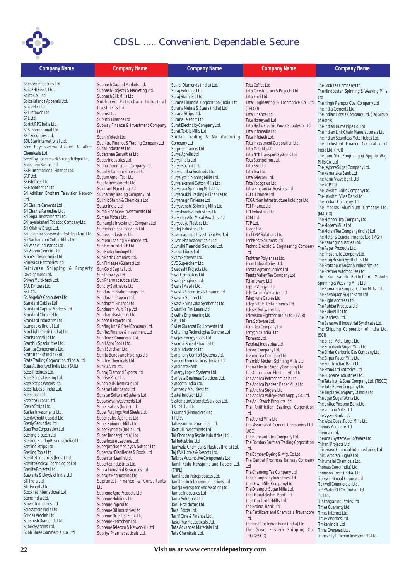

| <b>Company Name</b>                                                            | <b>Company Name</b>                                            | <b>Company Name</b>                                                            | <b>Company Name</b>                                                     | <b>Company Name</b>                                                               |
|--------------------------------------------------------------------------------|----------------------------------------------------------------|--------------------------------------------------------------------------------|-------------------------------------------------------------------------|-----------------------------------------------------------------------------------|
| Spentex Industries Ltd                                                         | Subhash Capital Markets Ltd.                                   | Su-raj Diamonds (India) Ltd.                                                   | Tata Coffee Ltd                                                         | The Grob Tea Company Ltd.                                                         |
| Spic PHI Seeds Ltd.                                                            | Subhash Projects & Marketing Ltd.                              | Suraj Holdings Ltd                                                             | Tata Construction & Projects Ltd                                        | The Hindoostan Spinning & Weaving Mills                                           |
| Spice Cell Ltd<br>Spice Islands Apparels Ltd.                                  | Subhash Silk Mills Ltd                                         | Suraj Stainless Ltd                                                            | Tata Elxsi Ltd.                                                         | Ltd                                                                               |
| Spice Net Ltd                                                                  | Subhsree Patrocham Industrial<br>Investments Ltd               | Surana Financial Corporation (India) Ltd<br>Surana Metals & Steels (India) Ltd | Tata Engineering & Locomotive Co. Ltd<br>(TELCO)                        | The Hingir Rampur Coal Company Ltd<br>The India Cements Ltd.                      |
| SPL Infoweb Ltd                                                                | Subros Ltd.                                                    | Surana Strips Ltd.                                                             | Tata Finance Ltd.                                                       | The Indian Hotels Company Ltd. (Taj Group                                         |
| SPL Ltd.<br>Sprint RPG India Ltd.                                              | Subuthi Finance Ltd                                            | Surana Telecom Ltd.                                                            | Tata Honeywell Ltd.                                                     | of Hotels)                                                                        |
| SPS International Ltd.                                                         | Subway Finance & Investment Company<br>Ltd                     | Surat Electricity Company Ltd.<br>Surat Textile Mills Ltd                      | Tata Hydro Electric Power Supply Co. Ltd.<br>Tata Infomedia Ltd         | The Indian Hume Pipe Co. Ltd.                                                     |
| SPT Securities Ltd.                                                            | Suchinfotech Ltd.                                              | Surdas Trading & Manufacturing                                                 | Tata Infotech Ltd.                                                      | The Indian Link Chain Manufacturers Ltd<br>The Indian Seamless Metal Tubes Ltd.   |
| SQL Star International Ltd.<br>Sree Rayalaseema Alkalies & Allied              | Suchitra Finance & Trading Company Ltd                         | Company Ltd                                                                    | Tata Investment Corporation Ltd.                                        | The Industrial Finance Corporation of                                             |
| Chemicals Ltd.                                                                 | Sudal Industries Ltd<br>Sudershan Securities Ltd               | Surprise Traders Ltd.<br>Surya Agroils Ltd                                     | Tata Metaliks Ltd<br>Tata NYK Transport Systems Ltd                     | India Ltd. (IFCI)                                                                 |
| Sree Rayalaseema Hi Strength Hypo Ltd.                                         | Sudev Industries Ltd.                                          | Surya India Ltd                                                                | Tata Sponge Iron Ltd.                                                   | The Jam Shri Ranjitsinghji Spg. & Wvg.<br>Mills Co. Ltd                           |
| Sreechem Resins Ltd                                                            | Sudha Commercial Company Ltd.                                  | Surya Roshni Ltd.                                                              | Tata SSL Ltd                                                            | The Jeypore Sugar Company Ltd.                                                    |
| SREI International Finance Ltd.<br>SRF Ltd.                                    | Sugal & Damani Finlease Ltd<br>Sugam Agro - Tech Ltd           | Suryachakra Seafoods Ltd.<br>Suryajyoti Spinning Mills Ltd.                    | Tata Tea Ltd.<br>Tata Telecom Ltd.                                      | The Karnataka Bank Ltd                                                            |
| SRG Infotec Ltd.                                                               | Sujata Investments Ltd                                         | Suryalakshmi Cotton Mills Ltd.                                                 | Tata Yodogawa Ltd                                                       | The Karur Vysya Bank Ltd<br>The KCP Ltd                                           |
| SRH Synthetics Ltd.                                                            | Sukaram Marketing Ltd                                          | Suryalata Spinning Mills Ltd.                                                  | Tatia Finaancial Services Ltd                                           | The Lakshmi Mills Company Ltd.                                                    |
| Sri Adhikari Brothers Television Network<br>Ltd.                               | Sukhamay Trading Company Ltd<br>Sukhjit Starch & Chemicals Ltd | Suryamukhi Trading & Finance Ltd<br>Suryanagri Finlease Ltd                    | <b>TCFC Finance Ltd</b><br>TCG Urban Infrastructure Holdings Ltd        | The Lakshmi Vilas Bank Ltd                                                        |
| Sri Chakra Cements Ltd                                                         | Sulzer India Ltd                                               | Suryavanshi Spinning Mills Ltd                                                 | <b>TCI Finance Ltd</b>                                                  | The Loobah Company Ltd<br>The Madras Aluminium Company Ltd.                       |
| Sri Chakra Remedies Ltd.                                                       | Suma Finance & Investments Ltd.                                | Suryo Foods & Industries Ltd                                                   | TCI Industries Ltd.                                                     | (MALCO)                                                                           |
| Sri Gopal Investments Ltd.<br>Sri Jayalakshmi Tobacco Company Ltd.             | Suman Motels Ltd.<br>Sumangla Investment Company Ltd           | Suryoday Allo-Metal Powders Ltd.                                               | <b>TCMLtd</b><br>TCP Ltd.                                               | The Methoni Tea Company Ltd                                                       |
| Sri Krishna Drugs Ltd.                                                         | Sumedha Fiscal Services Ltd.                                   | Suryodaya Plastics Ltd<br>Sutlej Industries Ltd                                | Teage Ltd.                                                              | The Modern Mills Ltd.                                                             |
| Sri Lakshmi Saraswathi Textiles (Arni) Ltd                                     | Sumeet Industries Ltd                                          | Suvarnapuspa Investment Pvt. Ltd.                                              | TechDNA Solutions Ltd.                                                  | The Moran Tea Company (India) Ltd.<br>The Motor & General Finance Ltd. (MGF)      |
| Sri Nachammai Cotton Mills Ltd<br>Sri Vasavi Industries Ltd                    | Sumeru Leasing & Finance Ltd.                                  | Suven Pharmaceuticals Ltd.<br>Suvridhi Financial Services Ltd.                 | <b>TechNest Solutions Ltd</b>                                           | The Narang Industries Ltd.                                                        |
| Sri Vishnu Cement Ltd.                                                         | Sun Beam Infotech Ltd.<br>Sun Biotechnology Ltd                | Suzion Fibres Ltd                                                              | Techno Electric & Engineering Company<br>Ltd.                           | The Paper Products Ltd.                                                           |
| Srico Software India Ltd.                                                      | Sun Earth Ceramics Ltd.                                        | Svam Software Ltd.                                                             | Techtran Polylenses Ltd.                                                | The Phosphate Company Ltd.<br>The Prag Bosimi Synthetics Ltd.                     |
| Srinivasa Hatcheries Ltd<br>Srinivasa Shipping & Property                      | Sun Finlease (Gujarat) Ltd                                     | SVC Superchem Ltd.                                                             | Teem Laboratories Ltd.                                                  | The Pratappur Sugar & Industries Ltd                                              |
| Development Ltd.                                                               | Sun Gold Capital Ltd.<br>Sun Infoways Ltd.                     | Swadeshi Projects Ltd.<br>Swal Computers Ltd.                                  | Teesta Agro Industries Ltd<br>Teesta Valley Tea Company Ltd             | The Premier Automobiles Ltd.                                                      |
| Sriven Multi-tech Ltd.                                                         | Sun Pharmaceuticals Ltd.                                       | Swaraj Engines Ltd.                                                            | Tej Infoways Ltd.                                                       | The Rai Saheb Rekhchand Mohota<br>Spinning & Weaving Mills Ltd                    |
| SRU Knitters Ltd.                                                              | Suncity Synthetics Ltd                                         | Swaraj Mazda Ltd.                                                              | Tejpur Vanijya Ltd                                                      | The Ramaraju Surgical Cotton Mills Ltd                                            |
| SSI Ltd.<br>St. Angelo's Computers Ltd.                                        | Sundaram Brake Linings Ltd<br>Sundaram Clayton Ltd.            | Swastik Securities & Finance Ltd.<br>Swastik Spintex Ltd                       | Tele Data Informatics Ltd.<br>Telephone Cables Ltd                      | The Ravalgaon Sugar Farm Ltd                                                      |
| Standard Cables Ltd                                                            | Sundaram Finance Ltd.                                          | Swastik Vinayaka Synthetics Ltd                                                | Telephoto Entertainments Ltd.                                           | The Right Address Ltd.<br>The Rubber Products Ltd                                 |
| Standard Capital Markets Ltd                                                   | Sundaram Multi Pap Ltd                                         | Swastika Fin-Lease Ltd.                                                        | Telesys Software Ltd.                                                   | The Ruby Mills Ltd.                                                               |
| Standard Chrome Ltd<br>Standard Industries Ltd.                                | Sundram Fasteners Ltd.<br>Sunehari Exports Ltd.                | Swetha Engineering Ltd<br>SWIL Ltd.                                            | Television Eighteen India Ltd. (TV18)<br>Tera Software Ltd.             | The Sandesh Ltd.                                                                  |
| Stanpacks (India) Ltd                                                          | Sunflag Iron & Steel Company Ltd.                              | Swiss Glascoat Equipments Ltd                                                  | Terai Tea Company Ltd                                                   | The Saraswati Industrial Syndicate Ltd.<br>The Shipping Corporation of India Ltd. |
| Star Light Credit (India) Ltd.                                                 | Sunflex Finance & Investment Ltd                               | Switching Technologies Gunther Ltd                                             | Terrygold (India) Ltd.                                                  | (SCI)                                                                             |
| Star Paper Mills Ltd.<br>Starchik Specialities Ltd.                            | Sunflower Commerce Ltd.<br>Sunil Agro Foods Ltd.               | Swojas Energy Foods Ltd.<br>Sword & Shield Pharma Ltd.                         | Texmaco Ltd.<br>Texplast Industries Ltd                                 | The Silcal Metallurgic Ltd                                                        |
| Starlite Components Ltd.                                                       | Sunil Synchem Ltd.                                             | Sybly Industries Ltd                                                           | Textool Company Ltd.                                                    | The Simbhaoli Sugar Mills Ltd.<br>The Sirdar Carbonic Gas Company Ltd             |
| State Bank of India (SBI)                                                      | Sunita Bonds and Holdings Ltd                                  | Symphony Comfort Systems Ltd.                                                  | Tezpore Tea Company Ltd.                                                | The Sirpur Paper Mills Ltd                                                        |
| State Trading Corporation of India Ltd<br>Steel Authority of India Ltd. (SAIL) | Sunitee Chemicals Ltd<br>Sunku Auto Ltd.                       | Syncom Formulations (India) Ltd.<br>Syndicate Bank                             | Thambbi Modern Spinning Mills Ltd<br>Thana Electric Supply Company Ltd  | The South Indian Bank Ltd                                                         |
| Steel Products Ltd.                                                            | Sunraj Diamond Exports Ltd                                     | Synergy Log-In Systems Ltd.                                                    | The Ahmedabad Electricity Co. Ltd.                                      | The Standard Batteries Ltd<br>The Supreme Industries Ltd.                         |
| Steel Strips Leasing Ltd.                                                      | Sunrise Zinc Ltd.                                              | Synfosys Business Solutions Ltd.                                               | The Andhra Petrochemicals Ltd.                                          | The Tata Iron & Steel Company Ltd. (TISCO)                                        |
| Steel Strips Wheels Ltd.<br>Steel Tubes of India Ltd.                          | Sunshield Chemicals Ltd<br>Sunstar Lubricants Ltd              | Syngenta India Ltd.<br>Synthetic Moulders Ltd                                  | The Andhra Pradesh Paper Mills Ltd.<br>The Andhra Sugars Ltd            | The Tata Power Company Ltd.                                                       |
| Steelcast Ltd                                                                  | Sunstar Software Systems Ltd.                                  | Systel Infotech Ltd                                                            | The Andhra Valley Power Supply Co. Ltd.                                 | The Tinplate Company Of India Ltd                                                 |
| Steelco Gujarat Ltd.                                                           | Suparswa Investments Ltd                                       | Systematix Corporate Services Ltd.                                             | The Anil Starch Products Ltd.                                           | The Ugar Sugar Works Ltd<br>The United Western Bank Ltd.                          |
| Stelco Strips Ltd.<br>Stellar Investments Ltd.                                 | Super Bakers (India) Ltd<br>Super Forgings And Steels Ltd.     | T & I Global Ltd<br>T Kumari (Financiers) Ltd                                  | The Antifriction Bearings Corporation<br>Ltd.                           | The Victoria Mills Ltd.                                                           |
| Stenly Credit Capital Ltd                                                      | Super Sales Agencies Ltd                                       | TT Ltd.                                                                        | The Arvind Mills Ltd.                                                   | The Vysya Bank Ltd.                                                               |
| <b>Stenly Securities Ltd</b>                                                   | Super Spinning Mills Ltd                                       | Tabassum International Ltd.                                                    | The Associated Cement Companies Ltd                                     | The West Coast Paper Mills Ltd.<br>Themis Medicare Ltd                            |
| Step Two Corporation Ltd<br>Sterling Biotech Ltd                               | Super Syncotex (India) Ltd.<br>Super Tannery (India) Ltd       | Tactfull Investments Ltd<br>Tai Chonbang Textile Industries Ltd.               | (ACC)                                                                   | Thermax Ltd.                                                                      |
| Sterling Holiday Resorts (India) Ltd.                                          | Superhouse Leathers Ltd.                                       | Tai Industries Ltd                                                             | The Bishnauth Tea Company Ltd.<br>The Bombay Burmah Trading Corporation | Thermax Systems & Software Ltd.                                                   |
| Sterling Strips Ltd                                                            | Superprecise Medisys & Softech Ltd                             | Tainwala Chemical & Plastics (India) Ltd.                                      | Ltd.                                                                    | Thirani Projects Ltd.<br>Thirdwave Financial Intermediaries Ltd.                  |
| Sterling Tools Ltd.<br>Sterlite Industries (India) Ltd.                        | Superstar Distilleries & Foods Ltd<br>Superstar Leafin Ltd.    | Taj GVK Hotels & Resorts Ltd.<br>Talbros Automotive Components Ltd             | The Bombay Dyeing & Mfg. Co.Ltd.                                        | Thiru Arooran Sugars Ltd.                                                         |
| Sterlite Optical Technologies Ltd.                                             | Supertex Industries Ltd.                                       | Tamil Nadu Newsprint and Papers Ltd.                                           | The Central Provinces Railway Company<br>Ltd                            | Thirumalai Chemicals Ltd.<br>Thomas Cook (India) Ltd.                             |
| Sterlite Projects Ltd.                                                         | Supra Industrial Resources Ltd                                 | (TNPL)                                                                         | The Chamong Tea Company Ltd                                             | Thomson Press (India) Ltd                                                         |
| Stewarts & Lloyds of India Ltd.<br>STI India Ltd.                              | Suprajit Engineering Ltd.<br>Supraneet Finance & Consultants   | Tamilnadu Petroproducts Ltd.<br>Tamilnadu Telecommunications Ltd               | The Champdany Industries Ltd                                            | Tibrewal Global Finance Ltd                                                       |
| <b>STL Exports Ltd</b>                                                         | Ltd                                                            | Taneja Aerospace And Aviation Ltd.                                             | The Dawn Mills Company Ltd<br>The Dhampur Sugar Mills Ltd.              | Tickwell Commercial Ltd.<br>Tide Water Oil Co. (India) Ltd                        |
| Stocknet International Ltd                                                     | Supreme Agro Products Ltd                                      | Tanfac Industries Ltd                                                          | The Dhanalakshmi Bank Ltd.                                              | TIL Ltd.                                                                          |
| Stone India Ltd.<br>Stovec Industries Ltd                                      | Supreme Holdings Ltd<br>Supreme Impex Ltd                      | Tanla Solutions Ltd.<br>Tanu Healthcare Ltd.                                   | The Dhar Textile Mills Ltd.                                             | Tilaknagar Industries Ltd                                                         |
| Stresscrete India Ltd.                                                         | Supreme Oil Industries Ltd                                     | Tarai Foods Ltd.                                                               | The Federal Bank Ltd.<br>The Fertilizers and Chemicals Travancore       | <b>Times Guaranty Ltd</b><br>Times Internet Ltd.                                  |
| Strides Arcolab Ltd<br>Suashish Diamonds Ltd                                   | Supreme Oriented Films Ltd                                     | Tarrif Cine & Finance Ltd.                                                     | Ltd.                                                                    | Timex Watches Ltd.                                                                |
| Subex Systems Ltd.                                                             | Supreme Petrochem Ltd.<br>Supreme Telecom & Network (I) Ltd    | Tasc Pharmaceuticals Ltd.<br>Tata Advanced Materials Ltd                       | The First Custodian Fund (India) Ltd.                                   | Timken India Ltd                                                                  |
| Subh Shree Commercial Co. Ltd                                                  | Supriya Pharmaceuticals Ltd.                                   | Tata Chemicals Ltd.                                                            | The Great Eastern Shipping Co. TinnaOverseasLtd.<br>Ltd.(GESCO)         | Tinnevelly Tuticorin Investments Ltd                                              |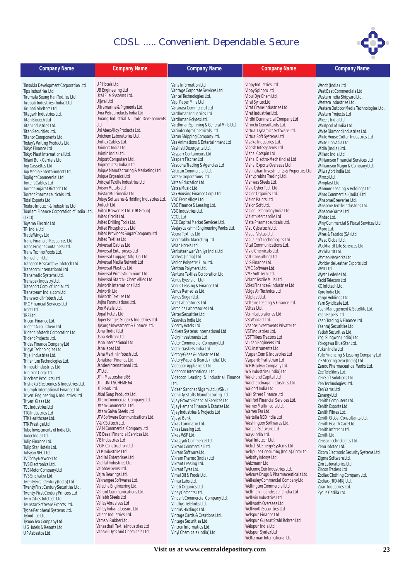

| <b>Company Name</b>                                             | <b>Company Name</b>                                                       | <b>Company Name</b>                                                   | <b>Company Name</b>                                                 | <b>Company Name</b>                                                  |
|-----------------------------------------------------------------|---------------------------------------------------------------------------|-----------------------------------------------------------------------|---------------------------------------------------------------------|----------------------------------------------------------------------|
| Tinsukia Development Corporation Ltd                            | <b>UP Hotels Ltd</b>                                                      | Vans Information Ltd                                                  | Vippy Industries Ltd                                                | Wendt (India) Ltd                                                    |
| <b>Tips Industries Ltd</b>                                      | <b>UB Engineering Ltd</b>                                                 | Vantage Corporate Services Ltd                                        | Vippy Spinpro Ltd                                                   | West East Commercials Ltd                                            |
| Tirumala Seung Han Textiles Ltd.                                | Ucal Fuel Systems Ltd.                                                    | Vantel Technologies Ltd.                                              | Vipul Dye Chem Ltd.                                                 | Western India Shipyard Ltd.                                          |
| Tirupati Industries (India) Ltd                                 | Ujjwal Ltd<br>Ultramarine & Pigments Ltd.                                 | Vapi Paper Mills Ltd<br>Varanasi Commercial Ltd                       | Viral Syntex Ltd.<br>Virat Crane Industries Ltd.                    | Western Industries Ltd.                                              |
| Tirupati Shelters Ltd.<br>Titagarh Industries Ltd.              | Uma Petroproducts India Ltd                                               | Vardhman Industries Ltd                                               | Virat Industries Ltd.                                               | Western Outdoor Media Technologies Ltd.<br>Western Projects Ltd      |
| <b>Titan Biotech Ltd</b>                                        | Umang Industrial & Trade Developments                                     | Vardhman Polytex Ltd.                                                 | Virdhi Commercial Company Ltd                                       | Wheels India Ltd                                                     |
| Titan Industries Ltd.                                           | Ltd                                                                       | Vardhman Spinning & General Mills Ltd.                                | Virinchi Consultants Ltd.                                           | Whirlpool of India Ltd.                                              |
| Titan Securities Ltd.                                           | Uni Abex Alloy Products Ltd.                                              | Varinder Agro Chemicals Ltd                                           | Virtual Dynamics Software Ltd.                                      | White Diamond Industries Ltd.                                        |
| Titanor Components Ltd.                                         | Unichem Laboratories Ltd.<br>Uniflex Cables Ltd.                          | Varun Shipping Company Ltd.<br>Vas Animations & Entertainment Ltd     | VirtualSoft Systems Ltd<br>Visaka Industries Ltd.                   | White House Cotton Industries Ltd                                    |
| Today's Writing Products Ltd.<br>Tokyo Finance Ltd              | Unimers India Ltd                                                         | Vashisti Detergents Ltd.                                              | Visesh Infosystems Ltd                                              | White Lion Asia Ltd<br>Widia (India) Ltd.                            |
| Tokyo Plast International Ltd.                                  | Unimin India Ltd.                                                         | Vasparr Containeurs Ltd                                               | Vishal Cotspin Ltd                                                  | Willard India Ltd                                                    |
| Tolani Bulk Carriers Ltd                                        | Uniport Computers Ltd.                                                    | Vasparr Fischer Ltd                                                   | Vishal Electro-Mech (India) Ltd                                     | Williamson Financial Services Ltd                                    |
| <b>Top Cassettes Ltd</b>                                        | Uniproducts (India) Ltd.                                                  | Vasudha Trading & Agencies Ltd                                        | Vishal Exports Overseas Ltd.                                        | Williamson Magor & Company Ltd.                                      |
| Top Media Entertainment Ltd<br>Toplight Commercial Ltd.         | Unique Manufacturing & Marketing Ltd<br>Unique Organics Ltd               | Vatican Commercial Ltd.<br>Vatsa Corporations Ltd                     | Vishnuhari Investments & Properties Ltd<br>Vishvprabha Trading Ltd. | Wilwayfort India Ltd.<br>Wimco Ltd.                                  |
| <b>Torrent Cables Ltd</b>                                       | Uniroyal Textile Industries Ltd                                           | Vatsa Education Ltd.                                                  | Vishwas Steels Ltd.                                                 | Wimplast Ltd.                                                        |
| Torrent Gujarat Biotech Ltd                                     | Unison Metals Ltd                                                         | Vatsa Music Ltd.                                                      | Visie Cyber Tech Ltd.                                               | Winmore Leasing & Holdings Ltd                                       |
| Torrent Pharmaceuticals Ltd.                                    | Unistar Multimedia Ltd.                                                   | Vax Housing Finance Corp. Ltd                                         | Vision Organics Ltd.                                                | Winro Commercial (India) Ltd                                         |
| <b>Total Exports Ltd</b>                                        | Unisys Softwares & Holding Industries Ltd.                                | VBC Ferro Alloys Ltd.                                                 | Vision Paints Ltd                                                   | Winsome Breweries Ltd.                                               |
| Toubro Infotech & Industries Ltd.                               | Unitech Ltd.<br>United Breweries Ltd. (UB Group)                          | VBC Finance & Leasing Ltd.<br>VBC Industries Ltd.                     | Vision Soft Ltd.<br>Vision Technology India Ltd.                    | Winsome Textile Industries Ltd.<br>Winsome Yarns Ltd                 |
| Tourism Finance Corporation of India Ltd.<br>(TFCI)             | United Credit Ltd.                                                        | <b>VCCL Ltd</b>                                                       | Visisth Mercantile Ltd                                              | Wintac Ltd.                                                          |
| Toyama Electric Ltd                                             | United Drilling Tools Ltd.                                                | VCK Capital Market Services Ltd.                                      | Vista Pharmaceuticals Ltd.                                          | Winy Commercial & Fiscal Services Ltd                                |
| TPI India Ltd                                                   | United Phosphorous Ltd.                                                   | Veejay Lakshmi Engineering Works Ltd.                                 | Visu Cybertech Ltd.                                                 | Wipro Ltd.                                                           |
| Trade Wings Ltd                                                 | United Provinces Sugar Company Ltd                                        | Veena Textiles Ltd                                                    | Visual Vistas Ltd.                                                  | Wires & Fabrics (SA) Ltd                                             |
| Trans Financial Resources Ltd.                                  | United Textiles Ltd                                                       | Veerprabhu Marketing Ltd                                              | Visualsoft Technologies Ltd                                         | Wisec Global Ltd.                                                    |
| Trans Freight Containers Ltd.                                   | Universal Cables Ltd.<br>Universal Enterprises Ltd                        | Velan Hotels Ltd<br>Venkateshwar Vanijya India Ltd                    | Vital Communications Ltd.<br>Vivid Chemicals Ltd.                   | Wockhardt Life Sciences Ltd.<br>Wockhardt Ltd.                       |
| Trans Techno Foods Ltd.<br>Transchem Ltd                        | Universal Luggage Mfg. Co. Ltd.                                           | Venky's (India) Ltd                                                   | VJIL Consulting Ltd.                                                | Women Networks Ltd                                                   |
| Transcon Research & Infotech Ltd.                               | Universal Media Network Ltd                                               | Venlon Polyester Film Ltd.                                            | VLS Finance Ltd.                                                    | Worldwide Leather Exports Ltd                                        |
| Transcorp International Ltd                                     | Universal Plastics Ltd.                                                   | Ventron Polymers Ltd.                                                 | VMC Software Ltd.                                                   | <b>WPIL Ltd</b>                                                      |
| Transmatic Systems Ltd.                                         | Universal Prime Aluminium Ltd                                             | Ventura Textiles Corporation Ltd.                                     | VMF Soft Tech Ltd.                                                  | Wyeth Lederle Ltd.                                                   |
| Transpek Industry Ltd.                                          | Universal Starch - Chem Allied Ltd<br>Uniworth International Ltd          | Venus Eyevision Ltd.                                                  | Volant Textile Mills Ltd<br>Volex Finance & Industries Ltd          | Xedd Telecom Ltd                                                     |
| Transport Corp. of India Ltd<br>Transtream India.com Ltd        | Uniworth Ltd                                                              | Venus Leasing & Finance Ltd<br>Venus Remedies Ltd.                    | Volga Air Technics Ltd                                              | XO Infotech Ltd.<br>Xpro India Ltd.                                  |
| Transworld Infotech Ltd.                                        | Uniworth Textiles Ltd                                                     | Venus Sugar Ltd                                                       | Volplast Ltd.                                                       | Yargo Holdings Ltd                                                   |
| <b>TRC Financial Services Ltd</b>                               | Unjha Formulations Ltd.                                                   | Vera Laboratories Ltd.                                                | Voltaire Leasing & Finance Ltd.                                     | Yarn Syndicate Ltd.                                                  |
| Trent Ltd.                                                      | Uno Metals Ltd.                                                           | Veronica Laboratories Ltd.                                            | Voltas Ltd.                                                         | Yash Management & Satellite Ltd.                                     |
| TRF Ltd.                                                        | Uppal Hotels Ltd                                                          | Vertex Securities Ltd                                                 | Vorin Laboratories Ltd<br>VR Woodart Ltd.                           | Yash Papers Ltd                                                      |
| Tricom Finance Ltd.<br>Trident Alco - Chem Ltd                  | Upper Ganges Sugar & Industries Ltd.<br>Upsurge Investment & Finance Ltd. | Vesuvius India Ltd.<br>Viceroy Hotels Ltd                             | Vsapte Investments Private Ltd                                      | Yash Trading & Finance Ltd<br>Yashraj Securities Ltd.                |
| Trident Infotech Corporation Ltd                                | Usha (India) Ltd                                                          | Vickers Systems International Ltd                                     | VST Industries Ltd.                                                 | Yatish Securities Ltd.                                               |
| Trident Projects Ltd.                                           | Usha Beltron Ltd.                                                         | Vicky Investments Ltd                                                 | VST Tillers Tractors Ltd                                            | Yogi Sungwon (India) Ltd.                                            |
| Tridev Finance Company Ltd                                      | Usha International Ltd.                                                   | Victor Commercial Company Ltd                                         | Vulcan Engineers Ltd                                                | Yokogawa Blue Star Ltd.                                              |
| Trigyn Technologies Ltd                                         | Usha Ispat Ltd<br>Usha Martin Infotech Ltd.                               | Victor Gaskets India Ltd                                              | VXL Instruments Ltd.<br>Vyapar.Com & Industries Ltd                 | Yuken India Ltd                                                      |
| Trijal Industries Ltd.                                          | Ushakiran Finance Ltd.                                                    | Victory Glass & Industries Ltd<br>Victory Paper & Boards (India) Ltd  | Vyaparik Pratisthan Ltd                                             | Yule Financing & Leasing Company Ltd<br>ZF Steering Gear (India) Ltd |
| Trillenium Technologies Ltd.<br>Trimbak Industries Ltd.         | Ushdev International Ltd.                                                 | Videocon Appliances Ltd.                                              | WH Brady & Company Ltd.                                             | Zandu Pharmaceutical Works Ltd.                                      |
| Trinitron Corp Ltd.                                             | UT Ltd.                                                                   | Videocon International Ltd.                                           | W S Industries (India) Ltd                                          | Zee Telefilms Ltd.                                                   |
| <b>Triochem Products Ltd</b>                                    | UTI - Mastershare 86                                                      | Videocon Leasing & Industrial Finance                                 | Walchand Capital Ltd                                                | Zen Soft Solutions Ltd.                                              |
| Trishakti Electronics & Industries Ltd.                         | UTI - UNIT SCHEME 64<br>UTI Bank Ltd.                                     | Ltd.                                                                  | Walchandnagar Industries Ltd.                                       | Zen Technologies Ltd.                                                |
| Triumph International Finance Ltd.                              | Utkal Soap Products Ltd.                                                  | Videsh Sanchar Nigam Ltd. (VSNL)<br>Vidhi Dyestuffs Manufacturing Ltd | Waldorf India Ltd<br>Wall Street Finance Ltd                        | Zen Yarns Ltd<br>Zenergy Ltd                                         |
| Triveni Engineering & Industries Ltd<br>Triveni Glass Ltd.      | Uttam Commercial Company Ltd.                                             | Vijay Growth Financial Services Ltd.                                  | Wallfort Financial Services Ltd.                                    | Zenith Computers Ltd.                                                |
| <b>TSL Industries Ltd</b>                                       | Uttam Commercial Ltd.                                                     | Vijay Hemant Finance & Estates Ltd.                                   | Warner Multimedia Ltd.                                              | Zenith Exports Ltd                                                   |
| <b>TTG Industries Ltd</b>                                       | Uttam Galva Steels Ltd                                                    | Vijay Industries & Projects Ltd                                       | Warren Tea Ltd.                                                     | Zenith Fibres Ltd.                                                   |
| TTK Healthcare Ltd.                                             | UTV Software Communications Ltd.                                          | Vijaya Bank                                                           | Wartsila NSD India Ltd                                              | Zenith Global Consultants Ltd.                                       |
| TTK Prestige Ltd.                                               | V & K Softech Ltd.<br>V A M Commercial Company Ltd                        | Vikas Laminator Ltd.                                                  | Washington Softwares Ltd.<br>Watson Software Ltd                    | Zenith Health Care Ltd.                                              |
| Tube Investments of India Ltd.<br>Tudor India Ltd.              | VB Desai Financial Services Ltd.                                          | Vikas Leasing Ltd.<br>Vikas WSP Ltd.                                  | Ways India Ltd.                                                     | Zenith Infotech Ltd.<br>Zenith Ltd.                                  |
| Tulip Finance Ltd.                                              | VB Industries Ltd                                                         | Vikasjyoti Commerce Ltd.                                              | Weal Infotech Ltd.                                                  | Zensar Technologies Ltd.                                             |
| Tulip Star Hotels Ltd.                                          | V G R Construction Ltd                                                    | Vikram Commercial Ltd                                                 | Webel-SL Energy Systems Ltd                                         | Zenu Infotec Ltd.                                                    |
| <b>Tulsyan NEC Ltd</b>                                          | VIP Industries Ltd.                                                       | Vikram Software Ltd.                                                  | Webpulse Consulting (India).Com Ltd                                 | Zicom Electronic Security Systems Ltd                                |
| TV Today Network Ltd                                            | Vadilal Enterprises Ltd<br>Vadilal Industries Ltd                         | Vikram Thermo (India) Ltd                                             | Websity Infosys Ltd.<br>Weizmann Ltd.                               | Zigma Software Ltd.                                                  |
| TVS Electronics Ltd.<br><b>TVS Motor Company Ltd</b>            | Vaibhav Gems Ltd.                                                         | Vikrant Leasing Ltd.<br>Vikrant Tyres Ltd.                            | Welcome Coir Industries Ltd.                                        | Zim Laboratories Ltd<br>Zircon Traders Ltd                           |
| TVS Srichakra Ltd.                                              | Vajra Bearings Ltd.                                                       | Vimal Oil & Foods Ltd.                                                | Welcure Drugs & Pharmaceuticals Ltd.                                | Zodiac Clothing Company Ltd.                                         |
| Twenty First Century (India) Ltd                                | Vakrangee Softwares Ltd.                                                  | Vimta Labs Ltd.                                                       | Wellesley Commercial Company Ltd                                    | Zodiac-JRD-MKJ Ltd.                                                  |
| Twenty First Century Securities Ltd.                            | Valecha Engineering Ltd.                                                  | Vinati Organics Ltd.                                                  | Wellington Commercial Ltd                                           | Zuari Industries Ltd.                                                |
| Twenty-First Century Printers Ltd                               | Valiant Communications Ltd.                                               | Vinay Cements Ltd.                                                    | Wellman Incandescent India Ltd                                      | Zydus Cadila Ltd                                                     |
| Twin Cities Infotech Ltd.                                       | Vallabh Steels Ltd<br>Valley Abrasives Ltd                                | Vincent Commercial Company Ltd.<br>Vindhya Telelinks Ltd.             | Wellwin Industries Ltd.<br>Wellworth Overseas Ltd                   |                                                                      |
| Twinstar Software Exports Ltd.<br>Tyche Peripheral Systems Ltd. | Valley Indiana Leisure Ltd                                                | Vindus Holdings Ltd.                                                  | Wellworth Securities Ltd                                            |                                                                      |
| Tyford Tea Ltd.                                                 | Valson Industries Ltd.                                                    | Vintage Cards & Creations Ltd.                                        | Welspun Finance Ltd                                                 |                                                                      |
| Tyroon Tea Company Ltd.                                         | Vamshi Rubber Ltd.                                                        | Vintage Securities Ltd.                                               | Welspun Gujarat Stahl Rohren Ltd                                    |                                                                      |
| <b>UGHotels &amp; Resorts Ltd</b>                               | Vanasthali Textile Industries Ltd                                         | Vintron Informatics Ltd.                                              | Welspun India Ltd                                                   |                                                                      |

Welspun Syntex Ltd Welterman International Ltd

Vinyl Chemicals (India) Ltd.

U P Asbestos Ltd.

Vanavil Dyes and Chemicals Ltd.